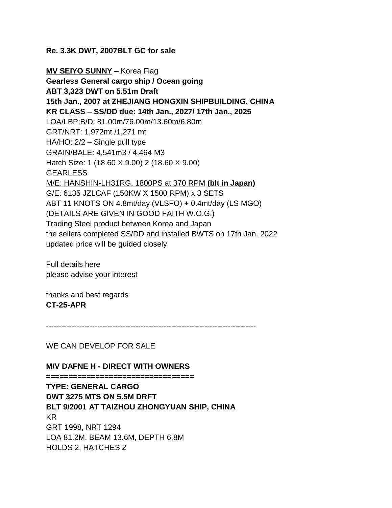#### **Re. 3.3K DWT, 2007BLT GC for sale**

**MV SEIYO SUNNY** – Korea Flag **Gearless General cargo ship / Ocean going ABT 3,323 DWT on 5.51m Draft 15th Jan., 2007 at ZHEJIANG HONGXIN SHIPBUILDING, CHINA KR CLASS – SS/DD due: 14th Jan., 2027/ 17th Jan., 2025** LOA/LBP:B/D: 81.00m/76.00m/13.60m/6.80m GRT/NRT: 1,972mt /1,271 mt HA/HO: 2/2 – Single pull type GRAIN/BALE: 4,541m3 / 4,464 M3 Hatch Size: 1 (18.60 X 9.00) 2 (18.60 X 9.00) GEARLESS M/E: HANSHIN-LH31RG, 1800PS at 370 RPM **(blt in Japan)** G/E: 6135 JZLCAF (150KW X 1500 RPM) x 3 SETS ABT 11 KNOTS ON 4.8mt/day (VLSFO) + 0.4mt/day (LS MGO) (DETAILS ARE GIVEN IN GOOD FAITH W.O.G.) Trading Steel product between Korea and Japan the sellers completed SS/DD and installed BWTS on 17th Jan. 2022 updated price will be guided closely

Full details here please advise your interest

thanks and best regards **CT-25-APR**

----------------------------------------------------------------------------------

WE CAN DEVELOP FOR SALE

#### **M/V DAFNE H - DIRECT WITH OWNERS**

**================================= TYPE: GENERAL CARGO DWT 3275 MTS ON 5.5M DRFT BLT 9/2001 AT TAIZHOU ZHONGYUAN SHIP, CHINA** KR GRT 1998, NRT 1294 LOA 81.2M, BEAM 13.6M, DEPTH 6.8M HOLDS 2, HATCHES 2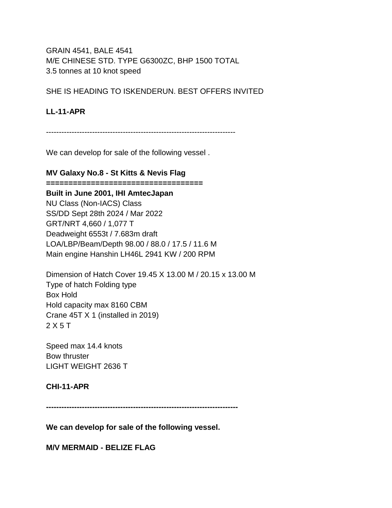GRAIN 4541, BALE 4541 M/E CHINESE STD. TYPE G6300ZC, BHP 1500 TOTAL 3.5 tonnes at 10 knot speed

SHE IS HEADING TO ISKENDERUN. BEST OFFERS INVITED

## **LL-11-APR**

--------------------------------------------------------------------------

We can develop for sale of the following vessel .

### **MV Galaxy No.8 - St Kitts & Nevis Flag**

**===================================**

**Built in June 2001, IHI AmtecJapan** NU Class (Non-IACS) Class SS/DD Sept 28th 2024 / Mar 2022 GRT/NRT 4,660 / 1,077 T Deadweight 6553t / 7.683m draft LOA/LBP/Beam/Depth 98.00 / 88.0 / 17.5 / 11.6 M Main engine Hanshin LH46L 2941 KW / 200 RPM

Dimension of Hatch Cover 19.45 X 13.00 M / 20.15 x 13.00 M Type of hatch Folding type Box Hold Hold capacity max 8160 CBM Crane 45T X 1 (installed in 2019) 2 X 5 T

Speed max 14.4 knots Bow thruster LIGHT WEIGHT 2636 T

### **CHI-11-APR**

**---------------------------------------------------------------------------**

**We can develop for sale of the following vessel.**

**M/V MERMAID - BELIZE FLAG**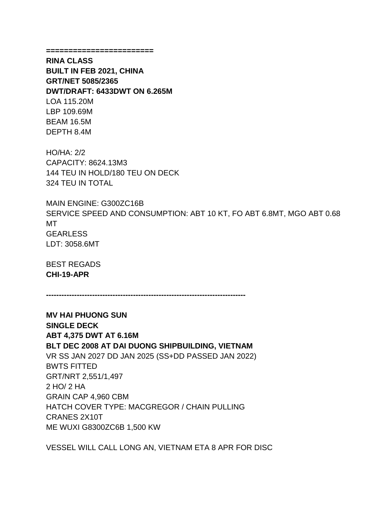**========================**

**RINA CLASS BUILT IN FEB 2021, CHINA GRT/NET 5085/2365 DWT/DRAFT: 6433DWT ON 6.265M** LOA 115.20M LBP 109.69M BEAM 16.5M DEPTH 8.4M

HO/HA: 2/2 CAPACITY: 8624.13M3 144 TEU IN HOLD/180 TEU ON DECK 324 TEU IN TOTAL

MAIN ENGINE: G300ZC16B SERVICE SPEED AND CONSUMPTION: ABT 10 KT, FO ABT 6.8MT, MGO ABT 0.68 MT **GEARLESS** LDT: 3058.6MT

BEST REGADS **CHI-19-APR**

**------------------------------------------------------------------------------**

**MV HAI PHUONG SUN SINGLE DECK ABT 4,375 DWT AT 6.16M BLT DEC 2008 AT DAI DUONG SHIPBUILDING, VIETNAM** VR SS JAN 2027 DD JAN 2025 (SS+DD PASSED JAN 2022) BWTS FITTED GRT/NRT 2,551/1,497 2 HO/ 2 HA GRAIN CAP 4,960 CBM HATCH COVER TYPE: MACGREGOR / CHAIN PULLING CRANES 2X10T ME WUXI G8300ZC6B 1,500 KW

VESSEL WILL CALL LONG AN, VIETNAM ETA 8 APR FOR DISC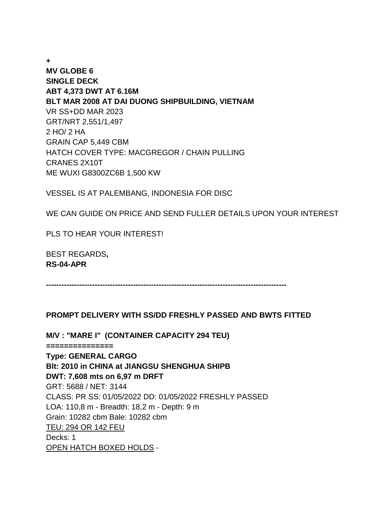**+ MV GLOBE 6 SINGLE DECK ABT 4,373 DWT AT 6.16M BLT MAR 2008 AT DAI DUONG SHIPBUILDING, VIETNAM** VR SS+DD MAR 2023 GRT/NRT 2,551/1,497 2 HO/ 2 HA GRAIN CAP 5,449 CBM HATCH COVER TYPE: MACGREGOR / CHAIN PULLING CRANES 2X10T ME WUXI G8300ZC6B 1,500 KW

VESSEL IS AT PALEMBANG, INDONESIA FOR DISC

WE CAN GUIDE ON PRICE AND SEND FULLER DETAILS UPON YOUR INTEREST

PLS TO HEAR YOUR INTEREST!

BEST REGARDS**, RS-04-APR**

**----------------------------------------------------------------------------------------------**

### **PROMPT DELIVERY WITH SS/DD FRESHLY PASSED AND BWTS FITTED**

**M/V : "MARE I" (CONTAINER CAPACITY 294 TEU)**

**===============**

**Type: GENERAL CARGO Blt: 2010 in CHINA at JIANGSU SHENGHUA SHIPB DWT: 7,608 mts on 6,97 m DRFT** GRT: 5688 / NET: 3144 CLASS: PR SS: 01/05/2022 DD: 01/05/2022 FRESHLY PASSED LOA: 110,8 m - Breadth: 18,2 m - Depth: 9 m Grain: 10282 cbm Bale: 10282 cbm TEU: 294 OR 142 FEU Decks: 1 OPEN HATCH BOXED HOLDS -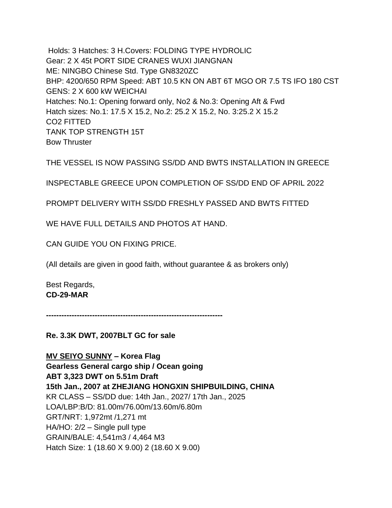Holds: 3 Hatches: 3 H.Covers: FOLDING TYPE HYDROLIC Gear: 2 X 45t PORT SIDE CRANES WUXI JIANGNAN ME: NINGBO Chinese Std. Type GN8320ZC BHP: 4200/650 RPM Speed: ABT 10.5 KN ON ABT 6T MGO OR 7.5 TS IFO 180 CST GENS: 2 X 600 kW WEICHAI Hatches: No.1: Opening forward only, No2 & No.3: Opening Aft & Fwd Hatch sizes: No.1: 17.5 X 15.2, No.2: 25.2 X 15.2, No. 3:25.2 X 15.2 CO2 FITTED TANK TOP STRENGTH 15T Bow Thruster

THE VESSEL IS NOW PASSING SS/DD AND BWTS INSTALLATION IN GREECE

INSPECTABLE GREECE UPON COMPLETION OF SS/DD END OF APRIL 2022

PROMPT DELIVERY WITH SS/DD FRESHLY PASSED AND BWTS FITTED

WE HAVE FULL DETAILS AND PHOTOS AT HAND.

CAN GUIDE YOU ON FIXING PRICE.

(All details are given in good faith, without guarantee & as brokers only)

Best Regards, **CD-29-MAR**

**---------------------------------------------------------------------**

**Re. 3.3K DWT, 2007BLT GC for sale**

**MV SEIYO SUNNY – Korea Flag Gearless General cargo ship / Ocean going ABT 3,323 DWT on 5.51m Draft 15th Jan., 2007 at ZHEJIANG HONGXIN SHIPBUILDING, CHINA** KR CLASS – SS/DD due: 14th Jan., 2027/ 17th Jan., 2025 LOA/LBP:B/D: 81.00m/76.00m/13.60m/6.80m GRT/NRT: 1,972mt /1,271 mt HA/HO: 2/2 – Single pull type GRAIN/BALE: 4,541m3 / 4,464 M3 Hatch Size: 1 (18.60 X 9.00) 2 (18.60 X 9.00)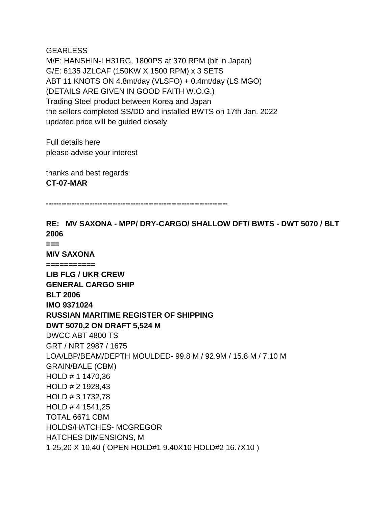**GEARLESS** M/E: HANSHIN-LH31RG, 1800PS at 370 RPM (blt in Japan) G/E: 6135 JZLCAF (150KW X 1500 RPM) x 3 SETS ABT 11 KNOTS ON 4.8mt/day (VLSFO) + 0.4mt/day (LS MGO) (DETAILS ARE GIVEN IN GOOD FAITH W.O.G.) Trading Steel product between Korea and Japan the sellers completed SS/DD and installed BWTS on 17th Jan. 2022 updated price will be guided closely

Full details here please advise your interest

thanks and best regards **CT-07-MAR**

**-----------------------------------------------------------------------**

**RE: MV SAXONA - MPP/ DRY-CARGO/ SHALLOW DFT/ BWTS - DWT 5070 / BLT 2006 === M/V SAXONA =========== LIB FLG / UKR CREW GENERAL CARGO SHIP BLT 2006 IMO 9371024 RUSSIAN MARITIME REGISTER OF SHIPPING DWT 5070,2 ON DRAFT 5,524 M** DWCC ABT 4800 TS GRT / NRT 2987 / 1675 LOA/LBP/BEAM/DEPTH MOULDED- 99.8 M / 92.9M / 15.8 M / 7.10 M GRAIN/BALE (CBM) HOLD # 1 1470,36 HOLD # 2 1928,43 HOLD # 3 1732,78 HOLD # 4 1541,25 TOTAL 6671 CBM HOLDS/HATCHES- MCGREGOR HATCHES DIMENSIONS, M 1 25,20 X 10,40 ( OPEN HOLD#1 9.40X10 HOLD#2 16.7X10 )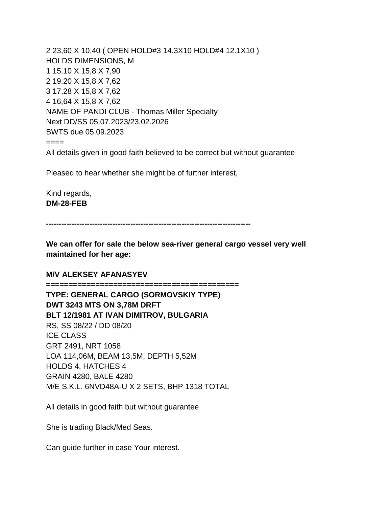2 23,60 X 10,40 ( OPEN HOLD#3 14.3X10 HOLD#4 12.1X10 ) HOLDS DIMENSIONS, M 1 15.10 X 15,8 X 7,90 2 19.20 X 15,8 X 7,62 3 17,28 X 15,8 X 7,62 4 16,64 X 15,8 X 7,62 NAME OF PANDI CLUB - Thomas Miller Specialty Next DD/SS 05.07.2023/23.02.2026 BWTS due 05.09.2023 ==== All details given in good faith believed to be correct but without guarantee

Pleased to hear whether she might be of further interest,

Kind regards, **DM-28-FEB**

**--------------------------------------------------------------------------------**

**We can offer for sale the below sea-river general cargo vessel very well maintained for her age:**

#### **M/V ALEKSEY AFANASYEV**

**=========================================== TYPE: GENERAL CARGO (SORMOVSKIY TYPE) DWT 3243 MTS ON 3,78M DRFT BLT 12/1981 AT IVAN DIMITROV, BULGARIA** RS, SS 08/22 / DD 08/20 ICE CLASS GRT 2491, NRT 1058 LOA 114,06M, BEAM 13,5M, DEPTH 5,52M HOLDS 4, HATCHES 4 GRAIN 4280, BALE 4280 M/E S.K.L. 6NVD48A-U X 2 SETS, BHP 1318 TOTAL

All details in good faith but without guarantee

She is trading Black/Med Seas.

Can guide further in case Your interest.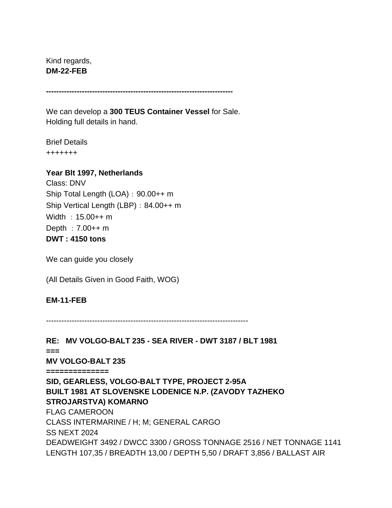Kind regards, **DM-22-FEB**

**-------------------------------------------------------------------------**

We can develop a **300 TEUS Container Vessel** for Sale. Holding full details in hand.

Brief Details +++++++

### **Year Blt 1997, Netherlands**

Class: DNV Ship Total Length (LOA): 90.00++ m Ship Vertical Length (LBP): 84.00++ m Width :15.00++ m Depth :  $7.00++m$ **DWT : 4150 tons**

We can guide you closely

(All Details Given in Good Faith, WOG)

### **EM-11-FEB**

-------------------------------------------------------------------------------

**RE: MV VOLGO-BALT 235 - SEA RIVER - DWT 3187 / BLT 1981 === MV VOLGO-BALT 235 ============== SID, GEARLESS, VOLGO-BALT TYPE, PROJECT 2-95A BUILT 1981 AT SLOVENSKE LODENICE N.P. (ZAVODY TAZHEKO STROJARSTVA) KOMARNO** FLAG CAMEROON CLASS INTERMARINE / H; M; GENERAL CARGO SS NEXT 2024 DEADWEIGHT 3492 / DWCC 3300 / GROSS TONNAGE 2516 / NET TONNAGE 1141 LENGTH 107,35 / BREADTH 13,00 / DEPTH 5,50 / DRAFT 3,856 / BALLAST AIR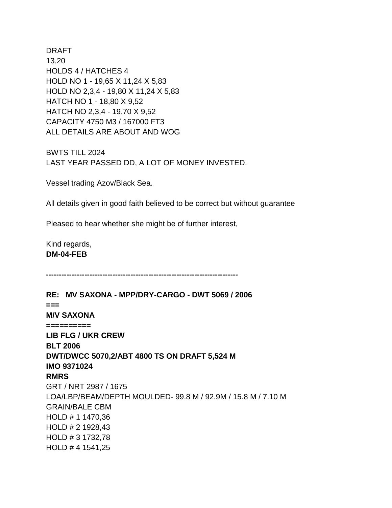DRAFT 13,20 HOLDS 4 / HATCHES 4 HOLD NO 1 - 19,65 X 11,24 X 5,83 HOLD NO 2,3,4 - 19,80 X 11,24 X 5,83 HATCH NO 1 - 18,80 X 9,52 HATCH NO 2,3,4 - 19,70 X 9,52 CAPACITY 4750 M3 / 167000 FT3 ALL DETAILS ARE ABOUT AND WOG

BWTS TILL 2024 LAST YEAR PASSED DD, A LOT OF MONEY INVESTED.

Vessel trading Azov/Black Sea.

All details given in good faith believed to be correct but without guarantee

Pleased to hear whether she might be of further interest,

Kind regards, **DM-04-FEB**

**---------------------------------------------------------------------------**

**RE: MV SAXONA - MPP/DRY-CARGO - DWT 5069 / 2006 === M/V SAXONA ========== LIB FLG / UKR CREW BLT 2006 DWT/DWCC 5070,2/ABT 4800 TS ON DRAFT 5,524 M IMO 9371024 RMRS** GRT / NRT 2987 / 1675 LOA/LBP/BEAM/DEPTH MOULDED- 99.8 M / 92.9M / 15.8 M / 7.10 M GRAIN/BALE CBM HOLD # 1 1470,36 HOLD # 2 1928,43 HOLD # 3 1732,78 HOLD # 4 1541,25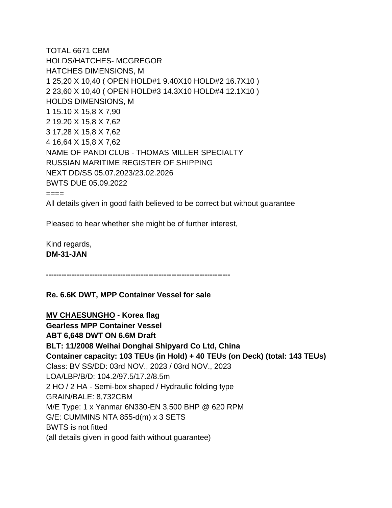TOTAL 6671 CBM HOLDS/HATCHES- MCGREGOR HATCHES DIMENSIONS, M 1 25,20 X 10,40 ( OPEN HOLD#1 9.40X10 HOLD#2 16.7X10 ) 2 23,60 X 10,40 ( OPEN HOLD#3 14.3X10 HOLD#4 12.1X10 ) HOLDS DIMENSIONS, M 1 15.10 X 15,8 X 7,90 2 19.20 X 15,8 X 7,62 3 17,28 X 15,8 X 7,62 4 16,64 X 15,8 X 7,62 NAME OF PANDI CLUB - THOMAS MILLER SPECIALTY RUSSIAN MARITIME REGISTER OF SHIPPING NEXT DD/SS 05.07.2023/23.02.2026 BWTS DUE 05.09.2022 ==== All details given in good faith believed to be correct but without guarantee

Pleased to hear whether she might be of further interest,

Kind regards, **DM-31-JAN**

**------------------------------------------------------------------------**

### **Re. 6.6K DWT, MPP Container Vessel for sale**

**MV CHAESUNGHO - Korea flag**

**Gearless MPP Container Vessel ABT 6,648 DWT ON 6.6M Draft BLT: 11/2008 Weihai Donghai Shipyard Co Ltd, China Container capacity: 103 TEUs (in Hold) + 40 TEUs (on Deck) (total: 143 TEUs)** Class: BV SS/DD: 03rd NOV., 2023 / 03rd NOV., 2023 LOA/LBP/B/D: 104.2/97.5/17.2/8.5m 2 HO / 2 HA - Semi-box shaped / Hydraulic folding type GRAIN/BALE: 8,732CBM M/E Type: 1 x Yanmar 6N330-EN 3,500 BHP @ 620 RPM G/E: CUMMINS NTA 855-d(m) x 3 SETS BWTS is not fitted (all details given in good faith without guarantee)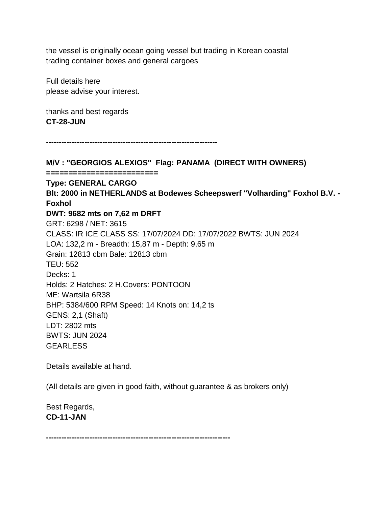the vessel is originally ocean going vessel but trading in Korean coastal trading container boxes and general cargoes

Full details here please advise your interest.

thanks and best regards **CT-28-JUN**

**-------------------------------------------------------------------**

**M/V : "GEORGIOS ALEXIOS" Flag: PANAMA (DIRECT WITH OWNERS) ========================= Type: GENERAL CARGO Blt: 2000 in NETHERLANDS at Bodewes Scheepswerf "Volharding" Foxhol B.V. - Foxhol DWT: 9682 mts on 7,62 m DRFT** GRT: 6298 / NET: 3615 CLASS: IR ICE CLASS SS: 17/07/2024 DD: 17/07/2022 BWTS: JUN 2024 LOA: 132,2 m - Breadth: 15,87 m - Depth: 9,65 m Grain: 12813 cbm Bale: 12813 cbm TEU: 552 Decks: 1 Holds: 2 Hatches: 2 H.Covers: PONTOON ME: Wartsila 6R38 BHP: 5384/600 RPM Speed: 14 Knots on: 14,2 ts GENS: 2,1 (Shaft) LDT: 2802 mts BWTS: JUN 2024 GEARLESS

Details available at hand.

(All details are given in good faith, without guarantee & as brokers only)

Best Regards, **CD-11-JAN**

**------------------------------------------------------------------------**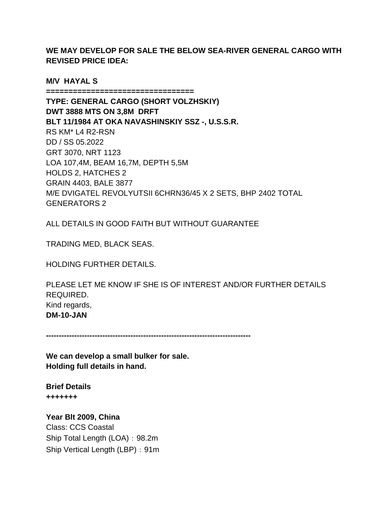**WE MAY DEVELOP FOR SALE THE BELOW SEA-RIVER GENERAL CARGO WITH REVISED PRICE IDEA:**

**M/V HAYAL S** 

**=================================**

**TYPE: GENERAL CARGO (SHORT VOLZHSKIY) DWT 3888 MTS ON 3,8M DRFT BLT 11/1984 AT OKA NAVASHINSKIY SSZ -, U.S.S.R.**  RS KM\* L4 R2-RSN DD / SS 05.2022 GRT 3070, NRT 1123 LOA 107,4M, BEAM 16,7M, DEPTH 5,5M HOLDS 2, HATCHES 2 GRAIN 4403, BALE 3877 M/E DVIGATEL REVOLYUTSII 6CHRN36/45 X 2 SETS, BHP 2402 TOTAL GENERATORS 2

ALL DETAILS IN GOOD FAITH BUT WITHOUT GUARANTEE

TRADING MED, BLACK SEAS.

HOLDING FURTHER DETAILS.

PLEASE LET ME KNOW IF SHE IS OF INTEREST AND/OR FURTHER DETAILS REQUIRED. Kind regards, **DM-10-JAN**

**--------------------------------------------------------------------------------**

**We can develop a small bulker for sale. Holding full details in hand.**

**Brief Details +++++++**

**Year Blt 2009, China** Class: CCS Coastal Ship Total Length (LOA): 98.2m Ship Vertical Length (LBP): 91m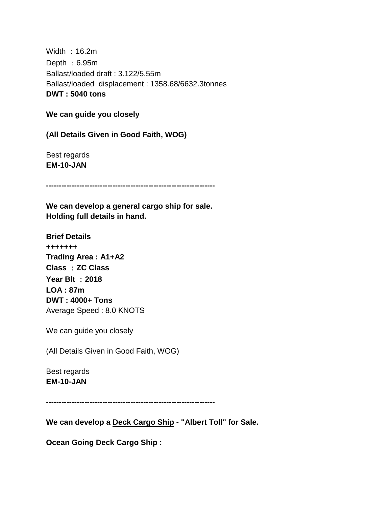Width :16.2m Depth :  $6.95m$ Ballast/loaded draft : 3.122/5.55m Ballast/loaded displacement : 1358.68/6632.3tonnes **DWT : 5040 tons**

**We can guide you closely**

**(All Details Given in Good Faith, WOG)**

Best regards **EM-10-JAN**

**------------------------------------------------------------------**

**We can develop a general cargo ship for sale. Holding full details in hand.**

**Brief Details +++++++ Trading Area : A1+A2 Class** :**ZC Class Year Blt** :**2018 LOA : 87m DWT : 4000+ Tons** Average Speed : 8.0 KNOTS

We can guide you closely

(All Details Given in Good Faith, WOG)

Best regards **EM-10-JAN**

**------------------------------------------------------------------**

**We can develop a Deck Cargo Ship - "Albert Toll" for Sale.**

**Ocean Going Deck Cargo Ship :**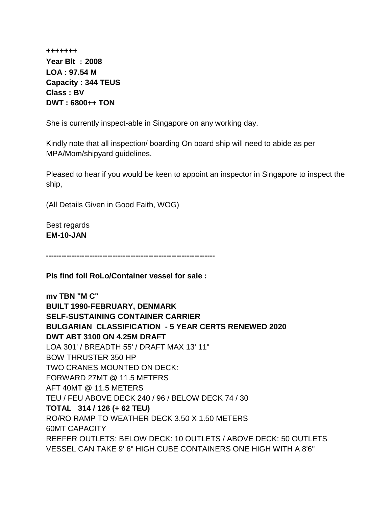**+++++++ Year Blt** :**2008 LOA : 97.54 M Capacity : 344 TEUS Class : BV DWT : 6800++ TON**

She is currently inspect-able in Singapore on any working day.

Kindly note that all inspection/ boarding On board ship will need to abide as per MPA/Mom/shipyard guidelines.

Pleased to hear if you would be keen to appoint an inspector in Singapore to inspect the ship,

(All Details Given in Good Faith, WOG)

Best regards **EM-10-JAN**

**------------------------------------------------------------------**

**Pls find foll RoLo/Container vessel for sale :**

**mv TBN "M C" BUILT 1990-FEBRUARY, DENMARK SELF-SUSTAINING CONTAINER CARRIER BULGARIAN CLASSIFICATION - 5 YEAR CERTS RENEWED 2020 DWT ABT 3100 ON 4.25M DRAFT** LOA 301' / BREADTH 55' / DRAFT MAX 13' 11" BOW THRUSTER 350 HP TWO CRANES MOUNTED ON DECK: FORWARD 27MT @ 11.5 METERS AFT 40MT @ 11.5 METERS TEU / FEU ABOVE DECK 240 / 96 / BELOW DECK 74 / 30 **TOTAL 314 / 126 (+ 62 TEU)** RO/RO RAMP TO WEATHER DECK 3.50 X 1.50 METERS 60MT CAPACITY REEFER OUTLETS: BELOW DECK: 10 OUTLETS / ABOVE DECK: 50 OUTLETS VESSEL CAN TAKE 9' 6" HIGH CUBE CONTAINERS ONE HIGH WITH A 8'6"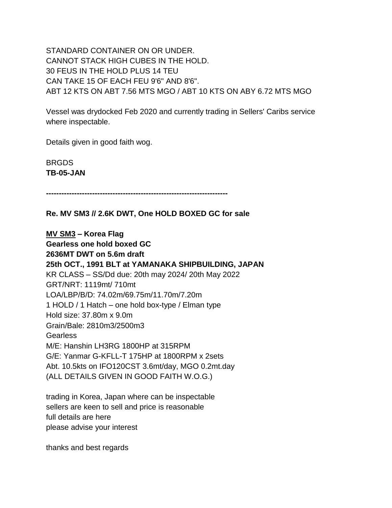STANDARD CONTAINER ON OR UNDER. CANNOT STACK HIGH CUBES IN THE HOLD. 30 FEUS IN THE HOLD PLUS 14 TEU CAN TAKE 15 OF EACH FEU 9'6" AND 8'6". ABT 12 KTS ON ABT 7.56 MTS MGO / ABT 10 KTS ON ABY 6.72 MTS MGO

Vessel was drydocked Feb 2020 and currently trading in Sellers' Caribs service where inspectable.

Details given in good faith wog.

BRGDS **TB-05-JAN**

**-----------------------------------------------------------------------**

**Re. MV SM3 // 2.6K DWT, One HOLD BOXED GC for sale**

**MV SM3 – Korea Flag Gearless one hold boxed GC 2636MT DWT on 5.6m draft 25th OCT., 1991 BLT at YAMANAKA SHIPBUILDING, JAPAN** KR CLASS – SS/Dd due: 20th may 2024/ 20th May 2022 GRT/NRT: 1119mt/ 710mt LOA/LBP/B/D: 74.02m/69.75m/11.70m/7.20m 1 HOLD / 1 Hatch – one hold box-type / Elman type Hold size: 37.80m x 9.0m Grain/Bale: 2810m3/2500m3 Gearless M/E: Hanshin LH3RG 1800HP at 315RPM G/E: Yanmar G-KFLL-T 175HP at 1800RPM x 2sets Abt. 10.5kts on IFO120CST 3.6mt/day, MGO 0.2mt.day (ALL DETAILS GIVEN IN GOOD FAITH W.O.G.)

trading in Korea, Japan where can be inspectable sellers are keen to sell and price is reasonable full details are here please advise your interest

thanks and best regards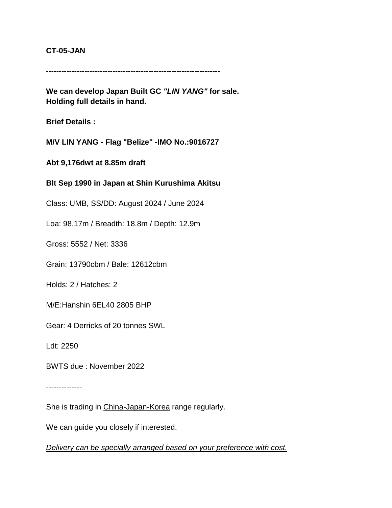#### **CT-05-JAN**

**--------------------------------------------------------------------**

**We can develop Japan Built GC** *"LIN YANG"* **for sale. Holding full details in hand.**

**Brief Details :**

**M/V LIN YANG - Flag "Belize" -IMO No.:9016727**

**Abt 9,176dwt at 8.85m draft**

**Blt Sep 1990 in Japan at Shin Kurushima Akitsu**

Class: UMB, SS/DD: August 2024 / June 2024

Loa: 98.17m / Breadth: 18.8m / Depth: 12.9m

Gross: 5552 / Net: 3336

Grain: 13790cbm / Bale: 12612cbm

Holds: 2 / Hatches: 2

M/E:Hanshin 6EL40 2805 BHP

Gear: 4 Derricks of 20 tonnes SWL

Ldt: 2250

BWTS due : November 2022

--------------

She is trading in China-Japan-Korea range regularly.

We can guide you closely if interested.

*Delivery can be specially arranged based on your preference with cost.*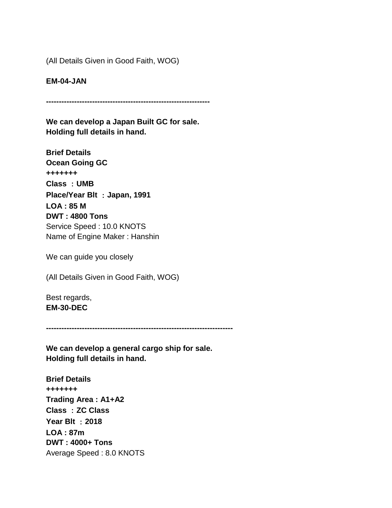(All Details Given in Good Faith, WOG)

**EM-04-JAN**

**----------------------------------------------------------------**

**We can develop a Japan Built GC for sale. Holding full details in hand.**

**Brief Details Ocean Going GC +++++++ Class** :**UMB Place/Year Blt** :**Japan, 1991 LOA : 85 M DWT : 4800 Tons** Service Speed : 10.0 KNOTS Name of Engine Maker : Hanshin

We can guide you closely

(All Details Given in Good Faith, WOG)

Best regards, **EM-30-DEC**

**-------------------------------------------------------------------------**

**We can develop a general cargo ship for sale. Holding full details in hand.**

**Brief Details +++++++ Trading Area : A1+A2 Class** :**ZC Class Year Blt** :**2018 LOA : 87m DWT : 4000+ Tons** Average Speed : 8.0 KNOTS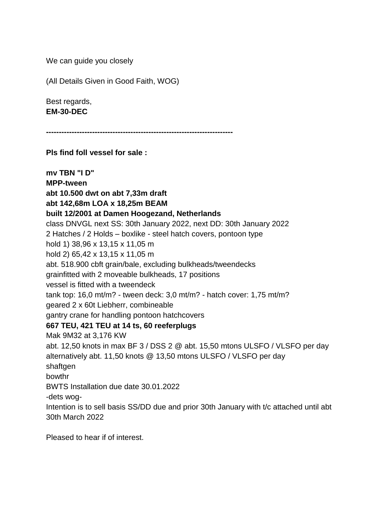We can guide you closely

(All Details Given in Good Faith, WOG)

Best regards, **EM-30-DEC**

**-------------------------------------------------------------------------**

**Pls find foll vessel for sale :**

**mv TBN "I D" MPP-tween abt 10.500 dwt on abt 7,33m draft abt 142,68m LOA x 18,25m BEAM built 12/2001 at Damen Hoogezand, Netherlands** class DNVGL next SS: 30th January 2022, next DD: 30th January 2022 2 Hatches / 2 Holds – boxlike - steel hatch covers, pontoon type hold 1) 38,96 x 13,15 x 11,05 m hold 2) 65,42 x 13,15 x 11,05 m abt. 518.900 cbft grain/bale, excluding bulkheads/tweendecks grainfitted with 2 moveable bulkheads, 17 positions vessel is fitted with a tweendeck tank top: 16,0 mt/m? - tween deck: 3,0 mt/m? - hatch cover: 1,75 mt/m? geared 2 x 60t Liebherr, combineable gantry crane for handling pontoon hatchcovers **667 TEU, 421 TEU at 14 ts, 60 reeferplugs** Mak 9M32 at 3,176 KW abt. 12,50 knots in max BF 3 / DSS 2 @ abt. 15,50 mtons ULSFO / VLSFO per day alternatively abt. 11,50 knots @ 13,50 mtons ULSFO / VLSFO per day shaftgen bowthr BWTS Installation due date 30.01.2022 -dets wog-Intention is to sell basis SS/DD due and prior 30th January with t/c attached until abt 30th March 2022

Pleased to hear if of interest.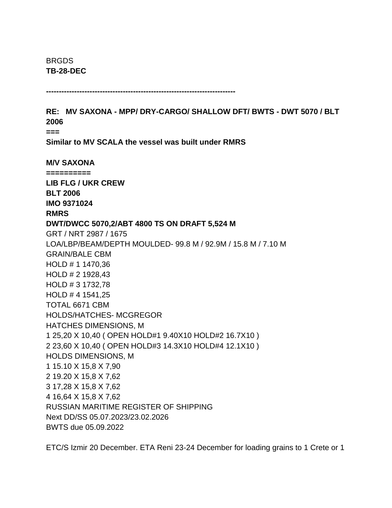BRGDS **TB-28-DEC**

**--------------------------------------------------------------------------**

**RE: MV SAXONA - MPP/ DRY-CARGO/ SHALLOW DFT/ BWTS - DWT 5070 / BLT 2006 ===**

**Similar to MV SCALA the vessel was built under RMRS** 

**M/V SAXONA ========== LIB FLG / UKR CREW BLT 2006 IMO 9371024 RMRS DWT/DWCC 5070,2/ABT 4800 TS ON DRAFT 5,524 M** GRT / NRT 2987 / 1675 LOA/LBP/BEAM/DEPTH MOULDED- 99.8 M / 92.9M / 15.8 M / 7.10 M GRAIN/BALE CBM HOLD # 1 1470,36 HOLD # 2 1928,43 HOLD # 3 1732,78 HOLD # 4 1541,25 TOTAL 6671 CBM HOLDS/HATCHES- MCGREGOR HATCHES DIMENSIONS, M 1 25,20 X 10,40 ( OPEN HOLD#1 9.40X10 HOLD#2 16.7X10 ) 2 23,60 X 10,40 ( OPEN HOLD#3 14.3X10 HOLD#4 12.1X10 ) HOLDS DIMENSIONS, M 1 15.10 X 15,8 X 7,90 2 19.20 X 15,8 X 7,62 3 17,28 X 15,8 X 7,62 4 16,64 X 15,8 X 7,62 RUSSIAN MARITIME REGISTER OF SHIPPING Next DD/SS 05.07.2023/23.02.2026 BWTS due 05.09.2022

ETC/S Izmir 20 December. ETA Reni 23-24 December for loading grains to 1 Crete or 1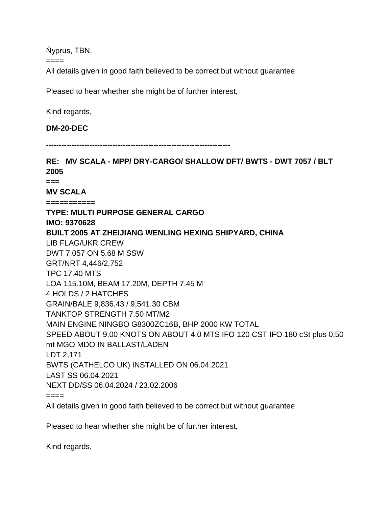Ńyprus, TBN.

====

All details given in good faith believed to be correct but without guarantee

Pleased to hear whether she might be of further interest,

Kind regards,

#### **DM-20-DEC**

**------------------------------------------------------------------------**

**RE: MV SCALA - MPP/ DRY-CARGO/ SHALLOW DFT/ BWTS - DWT 7057 / BLT 2005 === MV SCALA =========== TYPE: MULTI PURPOSE GENERAL CARGO IMO: 9370628 BUILT 2005 AT ZHEIJIANG WENLING HEXING SHIPYARD, CHINA**  LIB FLAG/UKR CREW DWT 7,057 ON 5.68 M SSW GRT/NRT 4,446/2,752 TPC 17.40 MTS LOA 115.10M, BEAM 17.20M, DEPTH 7.45 M 4 HOLDS / 2 HATCHES GRAIN/BALE 9,836.43 / 9,541.30 CBM TANKTOP STRENGTH 7.50 MT/M2 MAIN ENGINE NINGBO G8300ZC16B, BHP 2000 KW TOTAL SPEED ABOUT 9.00 KNOTS ON ABOUT 4.0 MTS IFO 120 CST IFO 180 cSt plus 0.50 mt MGO MDO IN BALLAST/LADEN LDT 2,171 BWTS (CATHELCO UK) INSTALLED ON 06.04.2021 LAST SS 06.04.2021 NEXT DD/SS 06.04.2024 / 23.02.2006  $====$ 

All details given in good faith believed to be correct but without guarantee

Pleased to hear whether she might be of further interest,

Kind regards,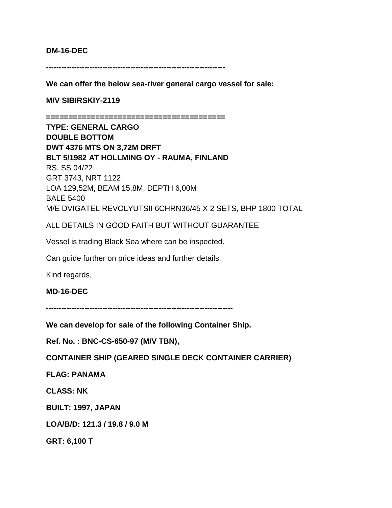#### **DM-16-DEC**

**----------------------------------------------------------------------**

**We can offer the below sea-river general cargo vessel for sale:**

**M/V SIBIRSKIY-2119** 

**========================================**

**TYPE: GENERAL CARGO DOUBLE BOTTOM DWT 4376 MTS ON 3,72M DRFT BLT 5/1982 AT HOLLMING OY - RAUMA, FINLAND** RS, SS 04/22 GRT 3743, NRT 1122 LOA 129,52M, BEAM 15,8M, DEPTH 6,00M BALE 5400 M/E DVIGATEL REVOLYUTSII 6CHRN36/45 X 2 SETS, BHP 1800 TOTAL

ALL DETAILS IN GOOD FAITH BUT WITHOUT GUARANTEE

Vessel is trading Black Sea where can be inspected.

Can guide further on price ideas and further details.

Kind regards,

**MD-16-DEC**

**-------------------------------------------------------------------------**

**We can develop for sale of the following Container Ship.**

**Ref. No. : BNC-CS-650-97 (M/V TBN),**

**CONTAINER SHIP (GEARED SINGLE DECK CONTAINER CARRIER)**

**FLAG: PANAMA**

**CLASS: NK**

**BUILT: 1997, JAPAN**

**LOA/B/D: 121.3 / 19.8 / 9.0 M**

**GRT: 6,100 T**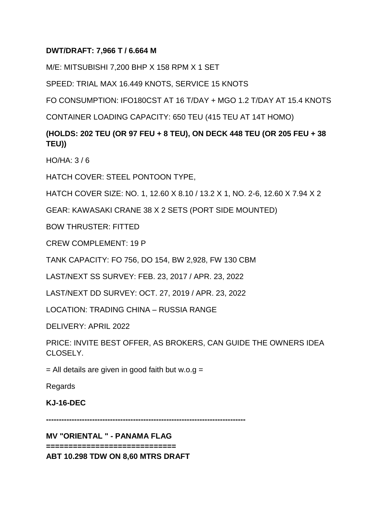### **DWT/DRAFT: 7,966 T / 6.664 M**

M/E: MITSUBISHI 7,200 BHP X 158 RPM X 1 SET

SPEED: TRIAL MAX 16.449 KNOTS, SERVICE 15 KNOTS

FO CONSUMPTION: IFO180CST AT 16 T/DAY + MGO 1.2 T/DAY AT 15.4 KNOTS

CONTAINER LOADING CAPACITY: 650 TEU (415 TEU AT 14T HOMO)

# **(HOLDS: 202 TEU (OR 97 FEU + 8 TEU), ON DECK 448 TEU (OR 205 FEU + 38 TEU))**

HO/HA: 3 / 6

HATCH COVER: STEEL PONTOON TYPE,

HATCH COVER SIZE: NO. 1, 12.60 X 8.10 / 13.2 X 1, NO. 2-6, 12.60 X 7.94 X 2

GEAR: KAWASAKI CRANE 38 X 2 SETS (PORT SIDE MOUNTED)

BOW THRUSTER: FITTED

CREW COMPLEMENT: 19 P

TANK CAPACITY: FO 756, DO 154, BW 2,928, FW 130 CBM

LAST/NEXT SS SURVEY: FEB. 23, 2017 / APR. 23, 2022

LAST/NEXT DD SURVEY: OCT. 27, 2019 / APR. 23, 2022

LOCATION: TRADING CHINA – RUSSIA RANGE

DELIVERY: APRIL 2022

PRICE: INVITE BEST OFFER, AS BROKERS, CAN GUIDE THE OWNERS IDEA CLOSELY.

 $=$  All details are given in good faith but w.o.g  $=$ 

Regards

**KJ-16-DEC**

**------------------------------------------------------------------------------**

**MV "ORIENTAL " - PANAMA FLAG**

**=============================**

**ABT 10.298 TDW ON 8,60 MTRS DRAFT**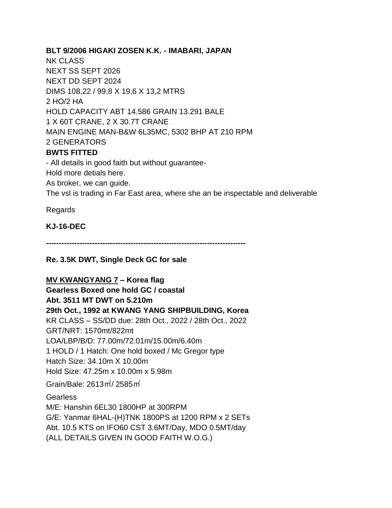**BLT 9/2006 HIGAKI ZOSEN K.K. - IMABARI, JAPAN** NK CLASS NEXT SS SEPT 2026 NEXT DD SEPT 2024 DIMS 108,22 / 99,8 X 19,6 X 13,2 MTRS 2 HO/2 HA HOLD CAPACITY ABT 14.586 GRAIN 13.291 BALE 1 X 60T CRANE, 2 X 30.7T CRANE MAIN ENGINE MAN-B&W 6L35MC, 5302 BHP AT 210 RPM 2 GENERATORS **BWTS FITTED** - All details in good faith but without guarantee-Hold more detials here. As broker, we can guide.

The vsl is trading in Far East area, where she an be inspectable and deliverable

Regards

**KJ-16-DEC**

**------------------------------------------------------------------------------**

**Re. 3.5K DWT, Single Deck GC for sale**

**MV KWANGYANG 7 – Korea flag**

**Gearless Boxed one hold GC / coastal Abt. 3511 MT DWT on 5.210m 29th Oct., 1992 at KWANG YANG SHIPBUILDING, Korea** KR CLASS – SS/DD due: 28th Oct., 2022 / 28th Oct., 2022 GRT/NRT: 1570mt/822mt LOA/LBP/B/D: 77.00m/72.01m/15.00m/6.40m 1 HOLD / 1 Hatch: One hold boxed / Mc Gregor type Hatch Size: 34.10m X 10.00m Hold Size: 47.25m x 10.00m x 5.98m Grain/Bale: 2613㎥/ 2585㎥

**Gearless** M/E: Hanshin 6EL30 1800HP at 300RPM G/E: Yanmar 6HAL-(H)TNK 1800PS at 1200 RPM x 2 SETs Abt. 10.5 KTS on IFO60 CST 3.6MT/Day, MDO 0.5MT/day (ALL DETAILS GIVEN IN GOOD FAITH W.O.G.)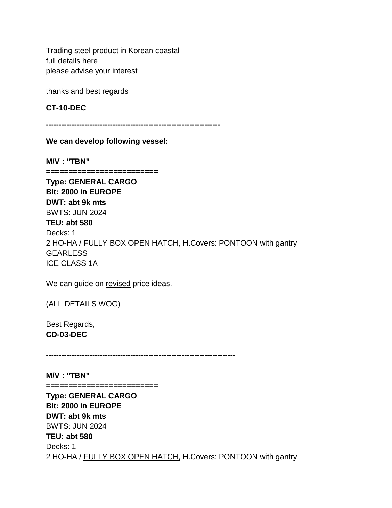Trading steel product in Korean coastal full details here please advise your interest

thanks and best regards

**CT-10-DEC**

**--------------------------------------------------------------------**

**We can develop following vessel:**

**M/V : "TBN" ========================= Type: GENERAL CARGO Blt: 2000 in EUROPE DWT: abt 9k mts**  BWTS: JUN 2024 **TEU: abt 580** Decks: 1 2 HO-HA / FULLY BOX OPEN HATCH, H.Covers: PONTOON with gantry **GEARLESS** ICE CLASS 1A

We can guide on revised price ideas.

(ALL DETAILS WOG)

Best Regards, **CD-03-DEC**

**--------------------------------------------------------------------------**

**M/V : "TBN"**

**=========================**

**Type: GENERAL CARGO Blt: 2000 in EUROPE DWT: abt 9k mts**  BWTS: JUN 2024 **TEU: abt 580** Decks: 1 2 HO-HA / FULLY BOX OPEN HATCH, H.Covers: PONTOON with gantry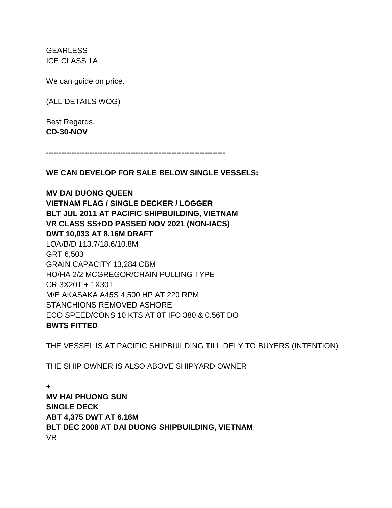**GEARLESS** ICE CLASS 1A

We can quide on price.

(ALL DETAILS WOG)

Best Regards, **CD-30-NOV**

**----------------------------------------------------------------------**

**WE CAN DEVELOP FOR SALE BELOW SINGLE VESSELS:**

**MV DAI DUONG QUEEN VIETNAM FLAG / SINGLE DECKER / LOGGER BLT JUL 2011 AT PACIFIC SHIPBUILDING, VIETNAM VR CLASS SS+DD PASSED NOV 2021 (NON-IACS) DWT 10,033 AT 8.16M DRAFT** LOA/B/D 113.7/18.6/10.8M GRT 6,503 GRAIN CAPACITY 13,284 CBM HO/HA 2/2 MCGREGOR/CHAIN PULLING TYPE CR 3X20T + 1X30T M/E AKASAKA A45S 4,500 HP AT 220 RPM STANCHIONS REMOVED ASHORE ECO SPEED/CONS 10 KTS AT 8T IFO 380 & 0.56T DO **BWTS FITTED**

THE VESSEL IS AT PACIFIC SHIPBUILDING TILL DELY TO BUYERS (INTENTION)

THE SHIP OWNER IS ALSO ABOVE SHIPYARD OWNER

**+ MV HAI PHUONG SUN SINGLE DECK ABT 4,375 DWT AT 6.16M BLT DEC 2008 AT DAI DUONG SHIPBUILDING, VIETNAM** VR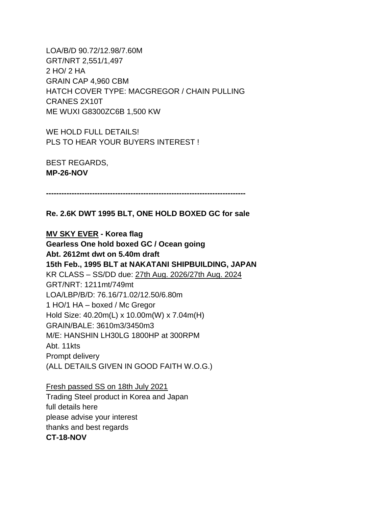LOA/B/D 90.72/12.98/7.60M GRT/NRT 2,551/1,497 2 HO/ 2 HA GRAIN CAP 4,960 CBM HATCH COVER TYPE: MACGREGOR / CHAIN PULLING CRANES 2X10T ME WUXI G8300ZC6B 1,500 KW

WE HOLD FULL DETAILS! PLS TO HEAR YOUR BUYERS INTEREST !

BEST REGARDS, **MP-26-NOV**

**------------------------------------------------------------------------------**

**Re. 2.6K DWT 1995 BLT, ONE HOLD BOXED GC for sale**

**MV SKY EVER - Korea flag Gearless One hold boxed GC / Ocean going Abt. 2612mt dwt on 5.40m draft 15th Feb., 1995 BLT at NAKATANI SHIPBUILDING, JAPAN** KR CLASS – SS/DD due: 27th Aug. 2026/27th Aug. 2024 GRT/NRT: 1211mt/749mt LOA/LBP/B/D: 76.16/71.02/12.50/6.80m 1 HO/1 HA – boxed / Mc Gregor Hold Size: 40.20m(L) x 10.00m(W) x 7.04m(H) GRAIN/BALE: 3610m3/3450m3 M/E: HANSHIN LH30LG 1800HP at 300RPM Abt. 11kts Prompt delivery (ALL DETAILS GIVEN IN GOOD FAITH W.O.G.)

Fresh passed SS on 18th July 2021 Trading Steel product in Korea and Japan full details here please advise your interest thanks and best regards **CT-18-NOV**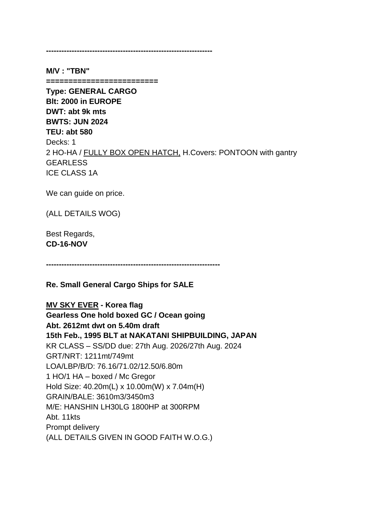**-----------------------------------------------------------------**

**M/V : "TBN"**

**=========================**

**Type: GENERAL CARGO Blt: 2000 in EUROPE DWT: abt 9k mts BWTS: JUN 2024 TEU: abt 580** Decks: 1 2 HO-HA / FULLY BOX OPEN HATCH, H.Covers: PONTOON with gantry **GEARLESS** ICE CLASS 1A

We can guide on price.

(ALL DETAILS WOG)

Best Regards, **CD-16-NOV**

**--------------------------------------------------------------------**

**Re. Small General Cargo Ships for SALE**

**MV SKY EVER - Korea flag**

**Gearless One hold boxed GC / Ocean going Abt. 2612mt dwt on 5.40m draft 15th Feb., 1995 BLT at NAKATANI SHIPBUILDING, JAPAN** KR CLASS – SS/DD due: 27th Aug. 2026/27th Aug. 2024 GRT/NRT: 1211mt/749mt LOA/LBP/B/D: 76.16/71.02/12.50/6.80m 1 HO/1 HA – boxed / Mc Gregor Hold Size: 40.20m(L) x 10.00m(W) x 7.04m(H) GRAIN/BALE: 3610m3/3450m3 M/E: HANSHIN LH30LG 1800HP at 300RPM Abt. 11kts Prompt delivery (ALL DETAILS GIVEN IN GOOD FAITH W.O.G.)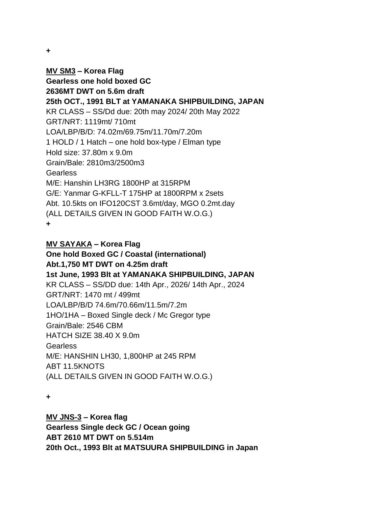**+**

**MV SM3 – Korea Flag Gearless one hold boxed GC 2636MT DWT on 5.6m draft 25th OCT., 1991 BLT at YAMANAKA SHIPBUILDING, JAPAN** KR CLASS – SS/Dd due: 20th may 2024/ 20th May 2022 GRT/NRT: 1119mt/ 710mt LOA/LBP/B/D: 74.02m/69.75m/11.70m/7.20m 1 HOLD / 1 Hatch – one hold box-type / Elman type Hold size: 37.80m x 9.0m Grain/Bale: 2810m3/2500m3 **Gearless** M/E: Hanshin LH3RG 1800HP at 315RPM G/E: Yanmar G-KFLL-T 175HP at 1800RPM x 2sets Abt. 10.5kts on IFO120CST 3.6mt/day, MGO 0.2mt.day (ALL DETAILS GIVEN IN GOOD FAITH W.O.G.) **+**

**MV SAYAKA – Korea Flag One hold Boxed GC / Coastal (international) Abt.1,750 MT DWT on 4.25m draft 1st June, 1993 Blt at YAMANAKA SHIPBUILDING, JAPAN** KR CLASS – SS/DD due: 14th Apr., 2026/ 14th Apr., 2024 GRT/NRT: 1470 mt / 499mt LOA/LBP/B/D 74.6m/70.66m/11.5m/7.2m 1HO/1HA – Boxed Single deck / Mc Gregor type Grain/Bale: 2546 CBM HATCH SIZE 38.40 X 9.0m **Gearless** M/E: HANSHIN LH30, 1,800HP at 245 RPM ABT 11.5KNOTS (ALL DETAILS GIVEN IN GOOD FAITH W.O.G.)

**+**

**MV JNS-3 – Korea flag Gearless Single deck GC / Ocean going ABT 2610 MT DWT on 5.514m 20th Oct., 1993 Blt at MATSUURA SHIPBUILDING in Japan**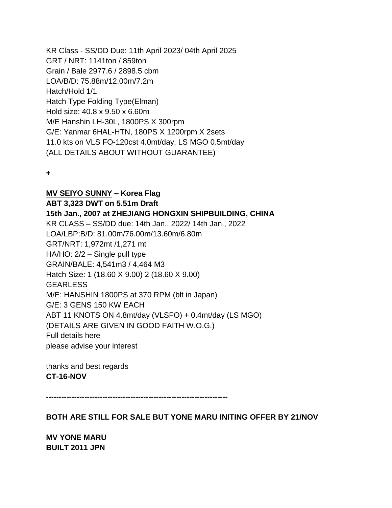KR Class - SS/DD Due: 11th April 2023/ 04th April 2025 GRT / NRT: 1141ton / 859ton Grain / Bale 2977.6 / 2898.5 cbm LOA/B/D: 75.88m/12.00m/7.2m Hatch/Hold 1/1 Hatch Type Folding Type(Elman) Hold size: 40.8 x 9.50 x 6.60m M/E Hanshin LH-30L, 1800PS X 300rpm G/E: Yanmar 6HAL-HTN, 180PS X 1200rpm X 2sets 11.0 kts on VLS FO-120cst 4.0mt/day, LS MGO 0.5mt/day (ALL DETAILS ABOUT WITHOUT GUARANTEE)

**+**

#### **MV SEIYO SUNNY – Korea Flag**

**ABT 3,323 DWT on 5.51m Draft 15th Jan., 2007 at ZHEJIANG HONGXIN SHIPBUILDING, CHINA** KR CLASS – SS/DD due: 14th Jan., 2022/ 14th Jan., 2022 LOA/LBP:B/D: 81.00m/76.00m/13.60m/6.80m GRT/NRT: 1,972mt /1,271 mt HA/HO: 2/2 – Single pull type GRAIN/BALE: 4,541m3 / 4,464 M3 Hatch Size: 1 (18.60 X 9.00) 2 (18.60 X 9.00) GEARLESS M/E: HANSHIN 1800PS at 370 RPM (blt in Japan) G/E: 3 GENS 150 KW EACH ABT 11 KNOTS ON 4.8mt/day (VLSFO) + 0.4mt/day (LS MGO) (DETAILS ARE GIVEN IN GOOD FAITH W.O.G.) Full details here please advise your interest

thanks and best regards **CT-16-NOV**

**-----------------------------------------------------------------------**

**BOTH ARE STILL FOR SALE BUT YONE MARU INITING OFFER BY 21/NOV**

**MV YONE MARU BUILT 2011 JPN**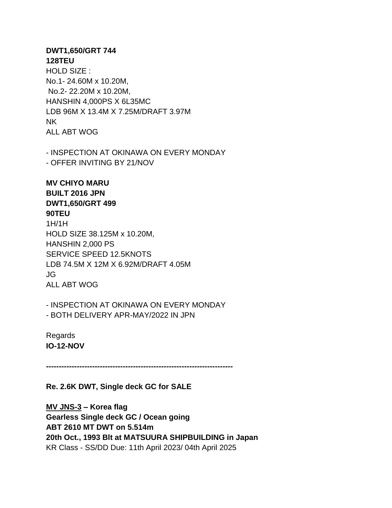#### **DWT1,650/GRT 744 128TEU**

HOLD SIZE : No.1- 24.60M x 10.20M, No.2- 22.20M x 10.20M, HANSHIN 4,000PS X 6L35MC LDB 96M X 13.4M X 7.25M/DRAFT 3.97M NK ALL ABT WOG

- INSPECTION AT OKINAWA ON EVERY MONDAY - OFFER INVITING BY 21/NOV

# **MV CHIYO MARU BUILT 2016 JPN DWT1,650/GRT 499 90TEU**

1H/1H HOLD SIZE 38.125M x 10.20M, HANSHIN 2,000 PS SERVICE SPEED 12.5KNOTS LDB 74.5M X 12M X 6.92M/DRAFT 4.05M JG ALL ABT WOG

- INSPECTION AT OKINAWA ON EVERY MONDAY - BOTH DELIVERY APR-MAY/2022 IN JPN

Regards **IO-12-NOV**

**-------------------------------------------------------------------------**

**Re. 2.6K DWT, Single deck GC for SALE**

**MV JNS-3 – Korea flag Gearless Single deck GC / Ocean going ABT 2610 MT DWT on 5.514m 20th Oct., 1993 Blt at MATSUURA SHIPBUILDING in Japan** KR Class - SS/DD Due: 11th April 2023/ 04th April 2025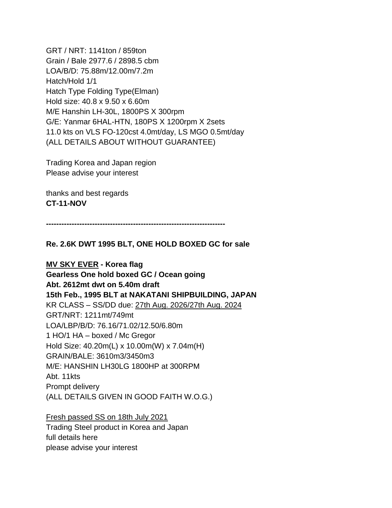GRT / NRT: 1141ton / 859ton Grain / Bale 2977.6 / 2898.5 cbm LOA/B/D: 75.88m/12.00m/7.2m Hatch/Hold 1/1 Hatch Type Folding Type(Elman) Hold size: 40.8 x 9.50 x 6.60m M/E Hanshin LH-30L, 1800PS X 300rpm G/E: Yanmar 6HAL-HTN, 180PS X 1200rpm X 2sets 11.0 kts on VLS FO-120cst 4.0mt/day, LS MGO 0.5mt/day (ALL DETAILS ABOUT WITHOUT GUARANTEE)

Trading Korea and Japan region Please advise your interest

thanks and best regards **CT-11-NOV**

**----------------------------------------------------------------------**

**Re. 2.6K DWT 1995 BLT, ONE HOLD BOXED GC for sale**

**MV SKY EVER - Korea flag Gearless One hold boxed GC / Ocean going Abt. 2612mt dwt on 5.40m draft 15th Feb., 1995 BLT at NAKATANI SHIPBUILDING, JAPAN** KR CLASS – SS/DD due: 27th Aug. 2026/27th Aug. 2024 GRT/NRT: 1211mt/749mt LOA/LBP/B/D: 76.16/71.02/12.50/6.80m 1 HO/1 HA – boxed / Mc Gregor Hold Size: 40.20m(L) x 10.00m(W) x 7.04m(H) GRAIN/BALE: 3610m3/3450m3 M/E: HANSHIN LH30LG 1800HP at 300RPM Abt. 11kts Prompt delivery (ALL DETAILS GIVEN IN GOOD FAITH W.O.G.)

Fresh passed SS on 18th July 2021 Trading Steel product in Korea and Japan full details here please advise your interest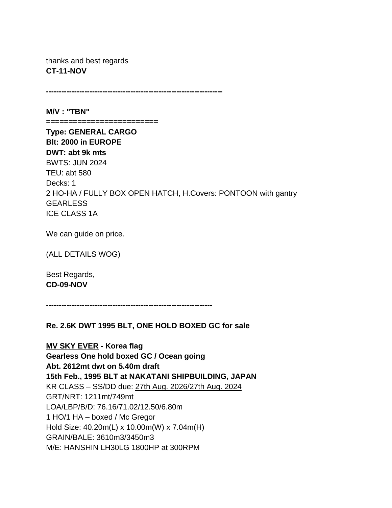thanks and best regards **CT-11-NOV**

**---------------------------------------------------------------------**

**M/V : "TBN" =========================**

**Type: GENERAL CARGO Blt: 2000 in EUROPE DWT: abt 9k mts**  BWTS: JUN 2024 TEU: abt 580 Decks: 1 2 HO-HA / FULLY BOX OPEN HATCH, H.Covers: PONTOON with gantry **GEARLESS** ICE CLASS 1A

We can guide on price.

(ALL DETAILS WOG)

Best Regards, **CD-09-NOV**

**-----------------------------------------------------------------**

**Re. 2.6K DWT 1995 BLT, ONE HOLD BOXED GC for sale**

**MV SKY EVER - Korea flag Gearless One hold boxed GC / Ocean going Abt. 2612mt dwt on 5.40m draft 15th Feb., 1995 BLT at NAKATANI SHIPBUILDING, JAPAN** KR CLASS – SS/DD due: 27th Aug. 2026/27th Aug. 2024 GRT/NRT: 1211mt/749mt LOA/LBP/B/D: 76.16/71.02/12.50/6.80m 1 HO/1 HA – boxed / Mc Gregor Hold Size: 40.20m(L) x 10.00m(W) x 7.04m(H) GRAIN/BALE: 3610m3/3450m3 M/E: HANSHIN LH30LG 1800HP at 300RPM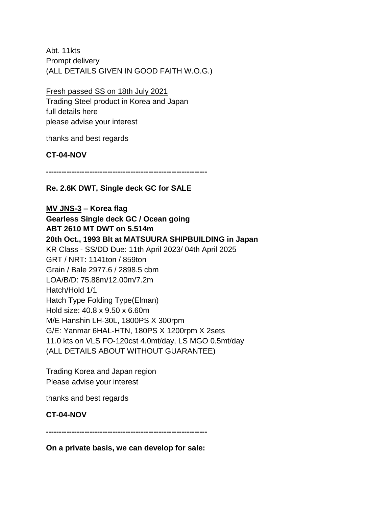Abt. 11kts Prompt delivery (ALL DETAILS GIVEN IN GOOD FAITH W.O.G.)

Fresh passed SS on 18th July 2021

Trading Steel product in Korea and Japan full details here please advise your interest

thanks and best regards

**CT-04-NOV**

**---------------------------------------------------------------**

**Re. 2.6K DWT, Single deck GC for SALE**

**MV JNS-3 – Korea flag Gearless Single deck GC / Ocean going ABT 2610 MT DWT on 5.514m 20th Oct., 1993 Blt at MATSUURA SHIPBUILDING in Japan** KR Class - SS/DD Due: 11th April 2023/ 04th April 2025 GRT / NRT: 1141ton / 859ton Grain / Bale 2977.6 / 2898.5 cbm LOA/B/D: 75.88m/12.00m/7.2m Hatch/Hold 1/1 Hatch Type Folding Type(Elman) Hold size: 40.8 x 9.50 x 6.60m M/E Hanshin LH-30L, 1800PS X 300rpm G/E: Yanmar 6HAL-HTN, 180PS X 1200rpm X 2sets 11.0 kts on VLS FO-120cst 4.0mt/day, LS MGO 0.5mt/day (ALL DETAILS ABOUT WITHOUT GUARANTEE)

Trading Korea and Japan region Please advise your interest

thanks and best regards

### **CT-04-NOV**

**---------------------------------------------------------------**

**On a private basis, we can develop for sale:**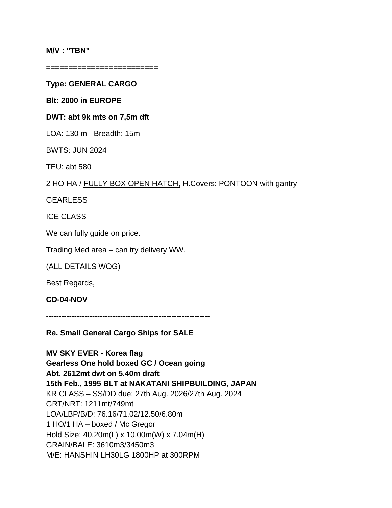#### **M/V : "TBN"**

**=========================**

**Type: GENERAL CARGO**

**Blt: 2000 in EUROPE**

#### **DWT: abt 9k mts on 7,5m dft**

LOA: 130 m - Breadth: 15m

BWTS: JUN 2024

TEU: abt 580

2 HO-HA / FULLY BOX OPEN HATCH, H.Covers: PONTOON with gantry

GEARLESS

ICE CLASS

We can fully quide on price.

Trading Med area – can try delivery WW.

(ALL DETAILS WOG)

Best Regards,

**CD-04-NOV**

**----------------------------------------------------------------**

**Re. Small General Cargo Ships for SALE**

**MV SKY EVER - Korea flag Gearless One hold boxed GC / Ocean going Abt. 2612mt dwt on 5.40m draft 15th Feb., 1995 BLT at NAKATANI SHIPBUILDING, JAPAN** KR CLASS – SS/DD due: 27th Aug. 2026/27th Aug. 2024 GRT/NRT: 1211mt/749mt LOA/LBP/B/D: 76.16/71.02/12.50/6.80m 1 HO/1 HA – boxed / Mc Gregor Hold Size: 40.20m(L) x 10.00m(W) x 7.04m(H) GRAIN/BALE: 3610m3/3450m3 M/E: HANSHIN LH30LG 1800HP at 300RPM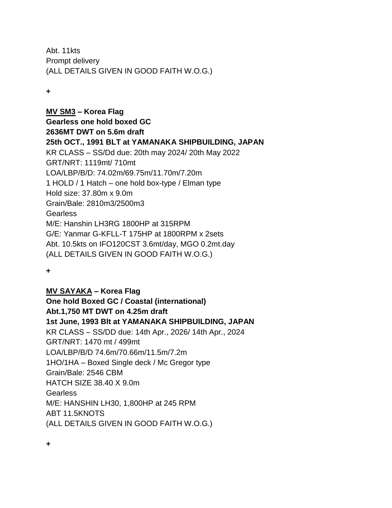Abt. 11kts Prompt delivery (ALL DETAILS GIVEN IN GOOD FAITH W.O.G.)

**+**

**MV SM3 – Korea Flag Gearless one hold boxed GC 2636MT DWT on 5.6m draft 25th OCT., 1991 BLT at YAMANAKA SHIPBUILDING, JAPAN** KR CLASS – SS/Dd due: 20th may 2024/ 20th May 2022 GRT/NRT: 1119mt/ 710mt LOA/LBP/B/D: 74.02m/69.75m/11.70m/7.20m 1 HOLD / 1 Hatch – one hold box-type / Elman type Hold size: 37.80m x 9.0m Grain/Bale: 2810m3/2500m3 Gearless M/E: Hanshin LH3RG 1800HP at 315RPM G/E: Yanmar G-KFLL-T 175HP at 1800RPM x 2sets Abt. 10.5kts on IFO120CST 3.6mt/day, MGO 0.2mt.day (ALL DETAILS GIVEN IN GOOD FAITH W.O.G.)

**+**

### **MV SAYAKA – Korea Flag**

**One hold Boxed GC / Coastal (international) Abt.1,750 MT DWT on 4.25m draft 1st June, 1993 Blt at YAMANAKA SHIPBUILDING, JAPAN** KR CLASS – SS/DD due: 14th Apr., 2026/ 14th Apr., 2024 GRT/NRT: 1470 mt / 499mt LOA/LBP/B/D 74.6m/70.66m/11.5m/7.2m 1HO/1HA – Boxed Single deck / Mc Gregor type Grain/Bale: 2546 CBM HATCH SIZE 38.40 X 9.0m Gearless M/E: HANSHIN LH30, 1,800HP at 245 RPM ABT 11.5KNOTS (ALL DETAILS GIVEN IN GOOD FAITH W.O.G.)

**+**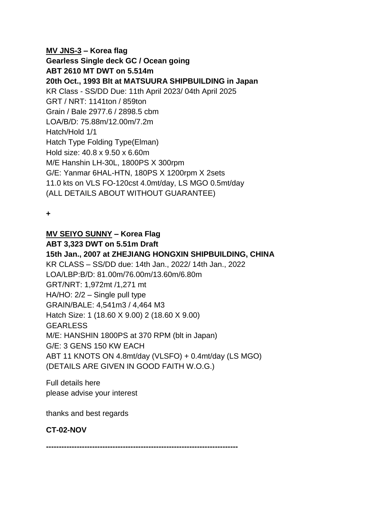**MV JNS-3 – Korea flag Gearless Single deck GC / Ocean going ABT 2610 MT DWT on 5.514m 20th Oct., 1993 Blt at MATSUURA SHIPBUILDING in Japan** KR Class - SS/DD Due: 11th April 2023/ 04th April 2025 GRT / NRT: 1141ton / 859ton Grain / Bale 2977.6 / 2898.5 cbm LOA/B/D: 75.88m/12.00m/7.2m Hatch/Hold 1/1 Hatch Type Folding Type(Elman) Hold size: 40.8 x 9.50 x 6.60m M/E Hanshin LH-30L, 1800PS X 300rpm G/E: Yanmar 6HAL-HTN, 180PS X 1200rpm X 2sets 11.0 kts on VLS FO-120cst 4.0mt/day, LS MGO 0.5mt/day (ALL DETAILS ABOUT WITHOUT GUARANTEE)

**+**

### **MV SEIYO SUNNY – Korea Flag**

**ABT 3,323 DWT on 5.51m Draft**

**15th Jan., 2007 at ZHEJIANG HONGXIN SHIPBUILDING, CHINA** KR CLASS – SS/DD due: 14th Jan., 2022/ 14th Jan., 2022 LOA/LBP:B/D: 81.00m/76.00m/13.60m/6.80m GRT/NRT: 1,972mt /1,271 mt HA/HO: 2/2 – Single pull type GRAIN/BALE: 4,541m3 / 4,464 M3 Hatch Size: 1 (18.60 X 9.00) 2 (18.60 X 9.00) **GEARLESS** M/E: HANSHIN 1800PS at 370 RPM (blt in Japan) G/E: 3 GENS 150 KW EACH ABT 11 KNOTS ON 4.8mt/day (VLSFO) + 0.4mt/day (LS MGO) (DETAILS ARE GIVEN IN GOOD FAITH W.O.G.)

Full details here please advise your interest

thanks and best regards

# **CT-02-NOV**

**---------------------------------------------------------------------------**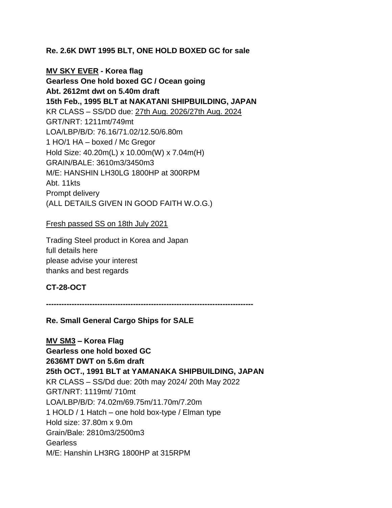## **Re. 2.6K DWT 1995 BLT, ONE HOLD BOXED GC for sale**

**MV SKY EVER - Korea flag Gearless One hold boxed GC / Ocean going Abt. 2612mt dwt on 5.40m draft 15th Feb., 1995 BLT at NAKATANI SHIPBUILDING, JAPAN** KR CLASS – SS/DD due: 27th Aug. 2026/27th Aug. 2024 GRT/NRT: 1211mt/749mt LOA/LBP/B/D: 76.16/71.02/12.50/6.80m 1 HO/1 HA – boxed / Mc Gregor Hold Size: 40.20m(L) x 10.00m(W) x 7.04m(H) GRAIN/BALE: 3610m3/3450m3 M/E: HANSHIN LH30LG 1800HP at 300RPM Abt. 11kts Prompt delivery (ALL DETAILS GIVEN IN GOOD FAITH W.O.G.)

Fresh passed SS on 18th July 2021

Trading Steel product in Korea and Japan full details here please advise your interest thanks and best regards

## **CT-28-OCT**

**---------------------------------------------------------------------------------**

**Re. Small General Cargo Ships for SALE**

**MV SM3 – Korea Flag Gearless one hold boxed GC 2636MT DWT on 5.6m draft 25th OCT., 1991 BLT at YAMANAKA SHIPBUILDING, JAPAN** KR CLASS – SS/Dd due: 20th may 2024/ 20th May 2022 GRT/NRT: 1119mt/ 710mt LOA/LBP/B/D: 74.02m/69.75m/11.70m/7.20m 1 HOLD / 1 Hatch – one hold box-type / Elman type Hold size: 37.80m x 9.0m Grain/Bale: 2810m3/2500m3 Gearless M/E: Hanshin LH3RG 1800HP at 315RPM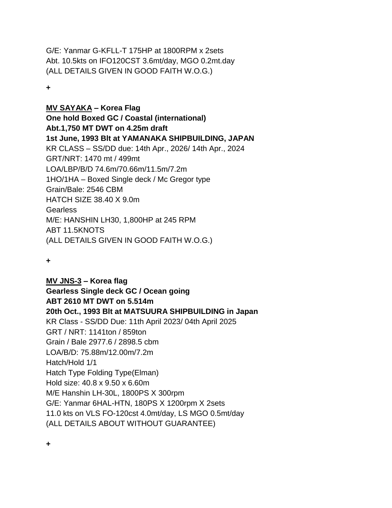G/E: Yanmar G-KFLL-T 175HP at 1800RPM x 2sets Abt. 10.5kts on IFO120CST 3.6mt/day, MGO 0.2mt.day (ALL DETAILS GIVEN IN GOOD FAITH W.O.G.)

**+**

**MV SAYAKA – Korea Flag One hold Boxed GC / Coastal (international) Abt.1,750 MT DWT on 4.25m draft 1st June, 1993 Blt at YAMANAKA SHIPBUILDING, JAPAN** KR CLASS – SS/DD due: 14th Apr., 2026/ 14th Apr., 2024 GRT/NRT: 1470 mt / 499mt LOA/LBP/B/D 74.6m/70.66m/11.5m/7.2m 1HO/1HA – Boxed Single deck / Mc Gregor type Grain/Bale: 2546 CBM HATCH SIZE 38.40 X 9.0m Gearless M/E: HANSHIN LH30, 1,800HP at 245 RPM ABT 11.5KNOTS (ALL DETAILS GIVEN IN GOOD FAITH W.O.G.)

**+**

**+**

**MV JNS-3 – Korea flag Gearless Single deck GC / Ocean going ABT 2610 MT DWT on 5.514m 20th Oct., 1993 Blt at MATSUURA SHIPBUILDING in Japan** KR Class - SS/DD Due: 11th April 2023/ 04th April 2025 GRT / NRT: 1141ton / 859ton Grain / Bale 2977.6 / 2898.5 cbm LOA/B/D: 75.88m/12.00m/7.2m Hatch/Hold 1/1 Hatch Type Folding Type(Elman) Hold size: 40.8 x 9.50 x 6.60m M/E Hanshin LH-30L, 1800PS X 300rpm G/E: Yanmar 6HAL-HTN, 180PS X 1200rpm X 2sets 11.0 kts on VLS FO-120cst 4.0mt/day, LS MGO 0.5mt/day (ALL DETAILS ABOUT WITHOUT GUARANTEE)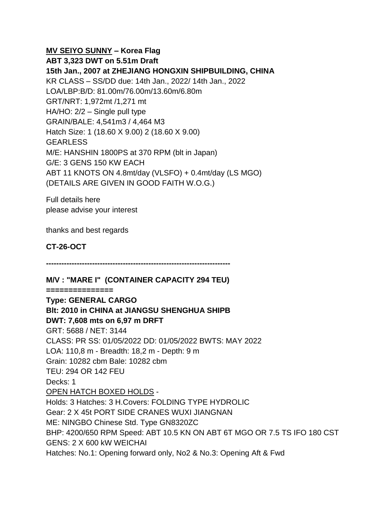### **MV SEIYO SUNNY – Korea Flag**

**ABT 3,323 DWT on 5.51m Draft 15th Jan., 2007 at ZHEJIANG HONGXIN SHIPBUILDING, CHINA** KR CLASS – SS/DD due: 14th Jan., 2022/ 14th Jan., 2022 LOA/LBP:B/D: 81.00m/76.00m/13.60m/6.80m GRT/NRT: 1,972mt /1,271 mt HA/HO: 2/2 – Single pull type GRAIN/BALE: 4,541m3 / 4,464 M3 Hatch Size: 1 (18.60 X 9.00) 2 (18.60 X 9.00) **GEARLESS** M/E: HANSHIN 1800PS at 370 RPM (blt in Japan) G/E: 3 GENS 150 KW EACH ABT 11 KNOTS ON 4.8mt/day (VLSFO) + 0.4mt/day (LS MGO) (DETAILS ARE GIVEN IN GOOD FAITH W.O.G.)

Full details here please advise your interest

thanks and best regards

**CT-26-OCT**

**------------------------------------------------------------------------**

## **M/V : "MARE I" (CONTAINER CAPACITY 294 TEU)**

**===============**

# **Type: GENERAL CARGO Blt: 2010 in CHINA at JIANGSU SHENGHUA SHIPB DWT: 7,608 mts on 6,97 m DRFT** GRT: 5688 / NET: 3144 CLASS: PR SS: 01/05/2022 DD: 01/05/2022 BWTS: MAY 2022 LOA: 110,8 m - Breadth: 18,2 m - Depth: 9 m Grain: 10282 cbm Bale: 10282 cbm TEU: 294 OR 142 FEU Decks: 1 OPEN HATCH BOXED HOLDS - Holds: 3 Hatches: 3 H.Covers: FOLDING TYPE HYDROLIC Gear: 2 X 45t PORT SIDE CRANES WUXI JIANGNAN ME: NINGBO Chinese Std. Type GN8320ZC BHP: 4200/650 RPM Speed: ABT 10.5 KN ON ABT 6T MGO OR 7.5 TS IFO 180 CST GENS: 2 X 600 kW WEICHAI Hatches: No.1: Opening forward only, No2 & No.3: Opening Aft & Fwd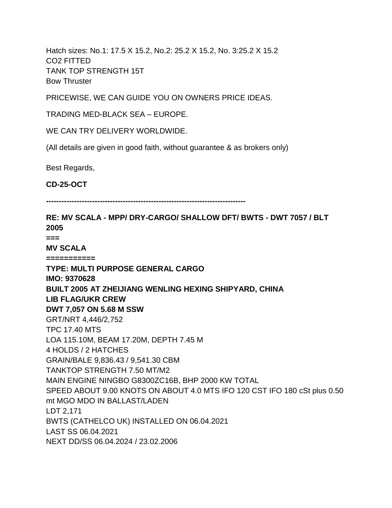Hatch sizes: No.1: 17.5 X 15.2, No.2: 25.2 X 15.2, No. 3:25.2 X 15.2 CO2 FITTED TANK TOP STRENGTH 15T Bow Thruster

PRICEWISE, WE CAN GUIDE YOU ON OWNERS PRICE IDEAS.

TRADING MED-BLACK SEA – EUROPE.

WE CAN TRY DELIVERY WORLDWIDE.

(All details are given in good faith, without guarantee & as brokers only)

Best Regards,

**CD-25-OCT**

**------------------------------------------------------------------------------**

**RE: MV SCALA - MPP/ DRY-CARGO/ SHALLOW DFT/ BWTS - DWT 7057 / BLT 2005 === MV SCALA =========== TYPE: MULTI PURPOSE GENERAL CARGO IMO: 9370628 BUILT 2005 AT ZHEIJIANG WENLING HEXING SHIPYARD, CHINA LIB FLAG/UKR CREW DWT 7,057 ON 5.68 M SSW** GRT/NRT 4,446/2,752 TPC 17.40 MTS LOA 115.10M, BEAM 17.20M, DEPTH 7.45 M 4 HOLDS / 2 HATCHES GRAIN/BALE 9,836.43 / 9,541.30 CBM TANKTOP STRENGTH 7.50 MT/M2 MAIN ENGINE NINGBO G8300ZC16B, BHP 2000 KW TOTAL SPEED ABOUT 9.00 KNOTS ON ABOUT 4.0 MTS IFO 120 CST IFO 180 cSt plus 0.50 mt MGO MDO IN BALLAST/LADEN LDT 2,171 BWTS (CATHELCO UK) INSTALLED ON 06.04.2021 LAST SS 06.04.2021 NEXT DD/SS 06.04.2024 / 23.02.2006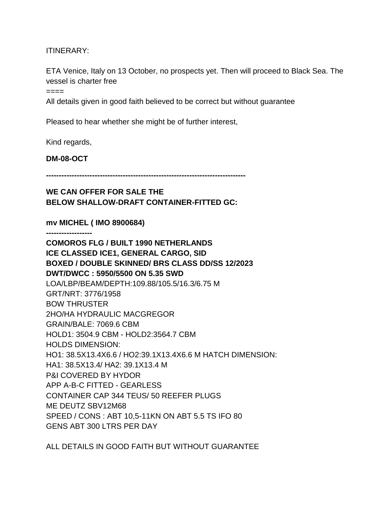ITINERARY:

ETA Venice, Italy on 13 October, no prospects yet. Then will proceed to Black Sea. The vessel is charter free

 $=$ 

All details given in good faith believed to be correct but without guarantee

Pleased to hear whether she might be of further interest,

Kind regards,

**DM-08-OCT**

**------------------------------------------------------------------------------**

## **WE CAN OFFER FOR SALE THE BELOW SHALLOW-DRAFT CONTAINER-FITTED GC:**

**mv MICHEL ( IMO 8900684)**

**------------------**

**COMOROS FLG / BUILT 1990 NETHERLANDS ICE CLASSED ICE1, GENERAL CARGO, SID BOXED / DOUBLE SKINNED/ BRS CLASS DD/SS 12/2023 DWT/DWCC : 5950/5500 ON 5.35 SWD** LOA/LBP/BEAM/DEPTH:109.88/105.5/16.3/6.75 M GRT/NRT: 3776/1958 BOW THRUSTER 2HO/HA HYDRAULIC MACGREGOR GRAIN/BALE: 7069.6 CBM HOLD1: 3504.9 CBM - HOLD2:3564.7 CBM HOLDS DIMENSION: HO1: 38.5X13.4X6.6 / HO2:39.1X13.4X6.6 M HATCH DIMENSION: HA1: 38.5X13.4/ HA2: 39.1X13.4 M P&I COVERED BY HYDOR APP A-B-C FITTED - GEARLESS CONTAINER CAP 344 TEUS/ 50 REEFER PLUGS ME DEUTZ SBV12M68 SPEED / CONS : ABT 10,5-11KN ON ABT 5.5 TS IFO 80 GENS ABT 300 LTRS PER DAY

ALL DETAILS IN GOOD FAITH BUT WITHOUT GUARANTEE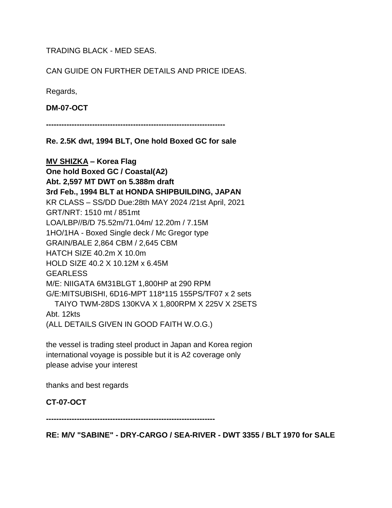TRADING BLACK - MED SEAS.

CAN GUIDE ON FURTHER DETAILS AND PRICE IDEAS.

Regards,

**DM-07-OCT**

**----------------------------------------------------------------------**

**Re. 2.5K dwt, 1994 BLT, One hold Boxed GC for sale**

**MV SHIZKA – Korea Flag One hold Boxed GC / Coastal(A2) Abt. 2,597 MT DWT on 5.388m draft 3rd Feb., 1994 BLT at HONDA SHIPBUILDING, JAPAN** KR CLASS – SS/DD Due:28th MAY 2024 /21st April, 2021 GRT/NRT: 1510 mt / 851mt LOA/LBP//B/D 75.52m/71.04m/ 12.20m / 7.15M 1HO/1HA - Boxed Single deck / Mc Gregor type GRAIN/BALE 2,864 CBM / 2,645 CBM HATCH SIZE 40.2m X 10.0m HOLD SIZE 40.2 X 10.12M x 6.45M **GEARLESS** M/E: NIIGATA 6M31BLGT 1,800HP at 290 RPM G/E:MITSUBISHI, 6D16-MPT 118\*115 155PS/TF07 x 2 sets TAIYO TWM-28DS 130KVA X 1,800RPM X 225V X 2SETS Abt. 12kts (ALL DETAILS GIVEN IN GOOD FAITH W.O.G.)

the vessel is trading steel product in Japan and Korea region international voyage is possible but it is A2 coverage only please advise your interest

thanks and best regards

**CT-07-OCT**

**------------------------------------------------------------------**

**RE: M/V "SABINE" - DRY-CARGO / SEA-RIVER - DWT 3355 / BLT 1970 for SALE**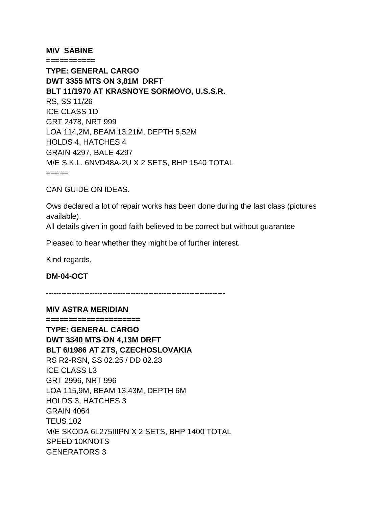#### **M/V SABINE**

**=========== TYPE: GENERAL CARGO DWT 3355 MTS ON 3,81M DRFT BLT 11/1970 AT KRASNOYE SORMOVO, U.S.S.R.**  RS, SS 11/26 ICE CLASS 1D GRT 2478, NRT 999 LOA 114,2M, BEAM 13,21M, DEPTH 5,52M HOLDS 4, HATCHES 4 GRAIN 4297, BALE 4297 M/E S.K.L. 6NVD48A-2U X 2 SETS, BHP 1540 TOTAL =====

CAN GUIDE ON IDEAS.

Ows declared a lot of repair works has been done during the last class (pictures available).

All details given in good faith believed to be correct but without guarantee

Pleased to hear whether they might be of further interest.

Kind regards,

**DM-04-OCT**

**----------------------------------------------------------------------**

#### **M/V ASTRA MERIDIAN**

**===================== TYPE: GENERAL CARGO DWT 3340 MTS ON 4,13M DRFT BLT 6/1986 AT ZTS, CZECHOSLOVAKIA** RS R2-RSN, SS 02.25 / DD 02.23 ICE CLASS L3 GRT 2996, NRT 996 LOA 115,9M, BEAM 13,43M, DEPTH 6M HOLDS 3, HATCHES 3 GRAIN 4064 **TEUS 102** M/E SKODA 6L275IIIPN X 2 SETS, BHP 1400 TOTAL SPEED 10KNOTS GENERATORS 3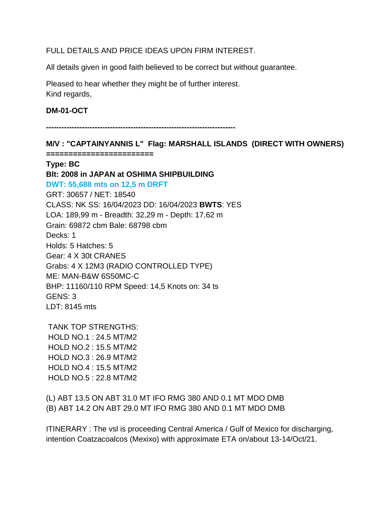FULL DETAILS AND PRICE IDEAS UPON FIRM INTEREST.

All details given in good faith believed to be correct but without guarantee.

Pleased to hear whether they might be of further interest. Kind regards,

### **DM-01-OCT**

**--------------------------------------------------------------------------**

**M/V : "CAPTAINYANNIS L" Flag: MARSHALL ISLANDS (DIRECT WITH OWNERS)**

**======================== Type: BC Blt: 2008 in JAPAN at OSHIMA SHIPBUILDING DWT: 55,688 mts on 12,5 m DRFT** GRT: 30657 / NET: 18540 CLASS: NK SS: 16/04/2023 DD: 16/04/2023 **BWTS**: YES LOA: 189,99 m - Breadth: 32,29 m - Depth: 17,62 m Grain: 69872 cbm Bale: 68798 cbm Decks: 1 Holds: 5 Hatches: 5 Gear: 4 X 30t CRANES Grabs: 4 X 12M3 (RADIO CONTROLLED TYPE) ME: MAN-B&W 6S50MC-C BHP: 11160/110 RPM Speed: 14,5 Knots on: 34 ts GENS: 3 LDT: 8145 mts

TANK TOP STRENGTHS: HOLD NO.1 : 24.5 MT/M2 HOLD NO.2 : 15.5 MT/M2 HOLD NO.3 : 26.9 MT/M2 HOLD NO.4 : 15.5 MT/M2 HOLD NO.5 : 22.8 MT/M2

(L) ABT 13.5 ON ABT 31.0 MT IFO RMG 380 AND 0.1 MT MDO DMB (B) ABT 14.2 ON ABT 29.0 MT IFO RMG 380 AND 0.1 MT MDO DMB

ITINERARY : The vsl is proceeding Central America / Gulf of Mexico for discharging, intention Coatzacoalcos (Mexixo) with approximate ETA on/about 13-14/Oct/21.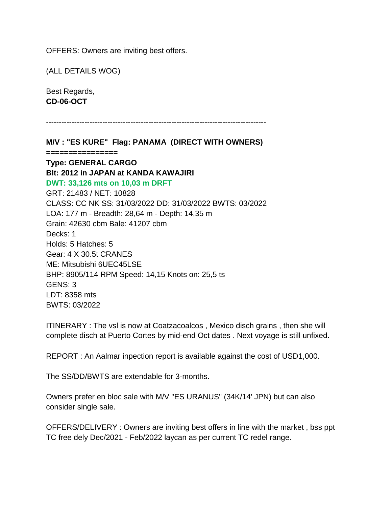OFFERS: Owners are inviting best offers.

(ALL DETAILS WOG)

Best Regards, **CD-06-OCT**

```
--------------------------------------------------------------------------------------
```
**M/V : "ES KURE" Flag: PANAMA (DIRECT WITH OWNERS) ================ Type: GENERAL CARGO Blt: 2012 in JAPAN at KANDA KAWAJIRI DWT: 33,126 mts on 10,03 m DRFT** GRT: 21483 / NET: 10828 CLASS: CC NK SS: 31/03/2022 DD: 31/03/2022 BWTS: 03/2022 LOA: 177 m - Breadth: 28,64 m - Depth: 14,35 m Grain: 42630 cbm Bale: 41207 cbm Decks: 1 Holds: 5 Hatches: 5 Gear: 4 X 30.5t CRANES ME: Mitsubishi 6UEC45LSE BHP: 8905/114 RPM Speed: 14,15 Knots on: 25,5 ts GENS: 3 LDT: 8358 mts BWTS: 03/2022

ITINERARY : The vsl is now at Coatzacoalcos , Mexico disch grains , then she will complete disch at Puerto Cortes by mid-end Oct dates . Next voyage is still unfixed.

REPORT : An Aalmar inpection report is available against the cost of USD1,000.

The SS/DD/BWTS are extendable for 3-months.

Owners prefer en bloc sale with M/V "ES URANUS" (34K/14' JPN) but can also consider single sale.

OFFERS/DELIVERY : Owners are inviting best offers in line with the market , bss ppt TC free dely Dec/2021 - Feb/2022 laycan as per current TC redel range.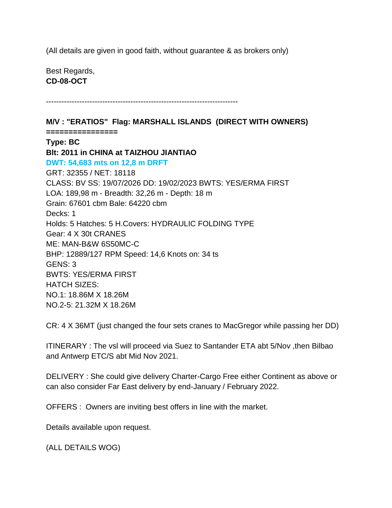(All details are given in good faith, without guarantee & as brokers only)

---------------------------------------------------------------------------

Best Regards, **CD-08-OCT**

**M/V : "ERATIOS" Flag: MARSHALL ISLANDS (DIRECT WITH OWNERS) ================ Type: BC Blt: 2011 in CHINA at TAIZHOU JIANTIAO DWT: 54,683 mts on 12,8 m DRFT** GRT: 32355 / NET: 18118 CLASS: BV SS: 19/07/2026 DD: 19/02/2023 BWTS: YES/ERMA FIRST LOA: 189,98 m - Breadth: 32,26 m - Depth: 18 m Grain: 67601 cbm Bale: 64220 cbm Decks: 1 Holds: 5 Hatches: 5 H.Covers: HYDRAULIC FOLDING TYPE Gear: 4 X 30t CRANES ME: MAN-B&W 6S50MC-C BHP: 12889/127 RPM Speed: 14,6 Knots on: 34 ts GENS: 3 BWTS: YES/ERMA FIRST HATCH SIZES: NO.1: 18.86M X 18.26M NO.2-5: 21.32M X 18.26M

CR: 4 X 36MT (just changed the four sets cranes to MacGregor while passing her DD)

ITINERARY : The vsl will proceed via Suez to Santander ETA abt 5/Nov ,then Bilbao and Antwerp ETC/S abt Mid Nov 2021.

DELIVERY : She could give delivery Charter-Cargo Free either Continent as above or can also consider Far East delivery by end-January / February 2022.

OFFERS : Owners are inviting best offers in line with the market.

Details available upon request.

(ALL DETAILS WOG)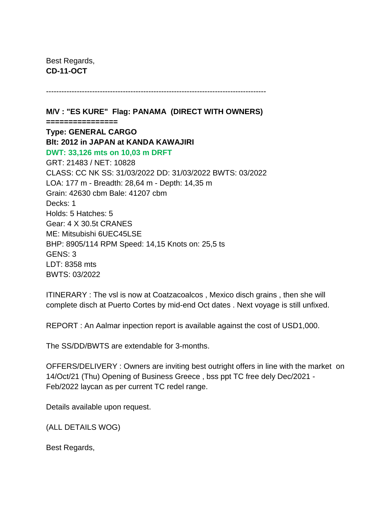Best Regards, **CD-11-OCT**

**M/V : "ES KURE" Flag: PANAMA (DIRECT WITH OWNERS) ================ Type: GENERAL CARGO Blt: 2012 in JAPAN at KANDA KAWAJIRI DWT: 33,126 mts on 10,03 m DRFT** GRT: 21483 / NET: 10828 CLASS: CC NK SS: 31/03/2022 DD: 31/03/2022 BWTS: 03/2022 LOA: 177 m - Breadth: 28,64 m - Depth: 14,35 m Grain: 42630 cbm Bale: 41207 cbm Decks: 1 Holds: 5 Hatches: 5 Gear: 4 X 30.5t CRANES ME: Mitsubishi 6UEC45LSE BHP: 8905/114 RPM Speed: 14,15 Knots on: 25,5 ts GENS: 3 LDT: 8358 mts BWTS: 03/2022

--------------------------------------------------------------------------------------

ITINERARY : The vsl is now at Coatzacoalcos , Mexico disch grains , then she will complete disch at Puerto Cortes by mid-end Oct dates . Next voyage is still unfixed.

REPORT : An Aalmar inpection report is available against the cost of USD1,000.

The SS/DD/BWTS are extendable for 3-months.

OFFERS/DELIVERY : Owners are inviting best outright offers in line with the market on 14/Oct/21 (Thu) Opening of Business Greece , bss ppt TC free dely Dec/2021 - Feb/2022 laycan as per current TC redel range.

Details available upon request.

(ALL DETAILS WOG)

Best Regards,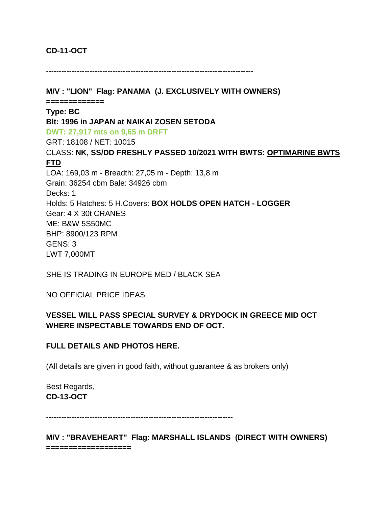## **CD-11-OCT**

---------------------------------------------------------------------------------

**M/V : "LION" Flag: PANAMA (J. EXCLUSIVELY WITH OWNERS) ============= Type: BC Blt: 1996 in JAPAN at NAIKAI ZOSEN SETODA DWT: 27,917 mts on 9,65 m DRFT** GRT: 18108 / NET: 10015 CLASS: **NK, SS/DD FRESHLY PASSED 10/2021 WITH BWTS: OPTIMARINE BWTS FTD** LOA: 169,03 m - Breadth: 27,05 m - Depth: 13,8 m Grain: 36254 cbm Bale: 34926 cbm Decks: 1 Holds: 5 Hatches: 5 H.Covers: **BOX HOLDS OPEN HATCH - LOGGER** Gear: 4 X 30t CRANES ME: B&W 5S50MC BHP: 8900/123 RPM GENS: 3 LWT 7,000MT

SHE IS TRADING IN EUROPE MED / BLACK SEA

NO OFFICIAL PRICE IDEAS

## **VESSEL WILL PASS SPECIAL SURVEY & DRYDOCK IN GREECE MID OCT WHERE INSPECTABLE TOWARDS END OF OCT.**

## **FULL DETAILS AND PHOTOS HERE.**

(All details are given in good faith, without guarantee & as brokers only)

Best Regards, **CD-13-OCT**

-------------------------------------------------------------------------

**M/V : "BRAVEHEART" Flag: MARSHALL ISLANDS (DIRECT WITH OWNERS) ===================**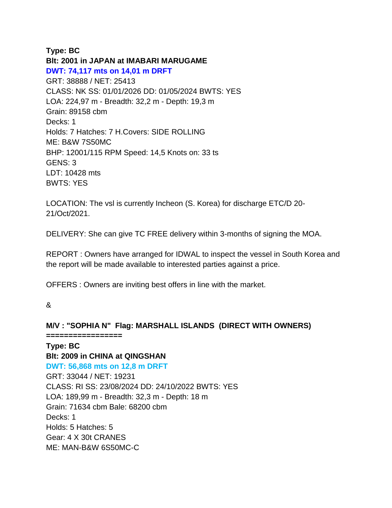### **Type: BC**

**Blt: 2001 in JAPAN at IMABARI MARUGAME DWT: 74,117 mts on 14,01 m DRFT** GRT: 38888 / NET: 25413 CLASS: NK SS: 01/01/2026 DD: 01/05/2024 BWTS: YES LOA: 224,97 m - Breadth: 32,2 m - Depth: 19,3 m Grain: 89158 cbm Decks: 1 Holds: 7 Hatches: 7 H.Covers: SIDE ROLLING ME: B&W 7S50MC BHP: 12001/115 RPM Speed: 14,5 Knots on: 33 ts GENS: 3 LDT: 10428 mts BWTS: YES

LOCATION: The vsl is currently Incheon (S. Korea) for discharge ETC/D 20- 21/Oct/2021.

DELIVERY: She can give TC FREE delivery within 3-months of signing the MOA.

REPORT : Owners have arranged for IDWAL to inspect the vessel in South Korea and the report will be made available to interested parties against a price.

OFFERS : Owners are inviting best offers in line with the market.

## &

**M/V : "SOPHIA N" Flag: MARSHALL ISLANDS (DIRECT WITH OWNERS) ================= Type: BC Blt: 2009 in CHINA at QINGSHAN DWT: 56,868 mts on 12,8 m DRFT** GRT: 33044 / NET: 19231 CLASS: RI SS: 23/08/2024 DD: 24/10/2022 BWTS: YES LOA: 189,99 m - Breadth: 32,3 m - Depth: 18 m Grain: 71634 cbm Bale: 68200 cbm Decks: 1 Holds: 5 Hatches: 5 Gear: 4 X 30t CRANES ME: MAN-B&W 6S50MC-C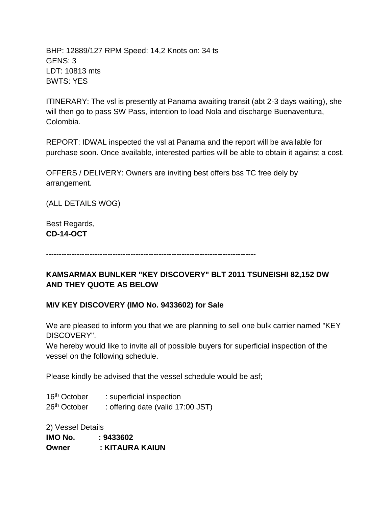BHP: 12889/127 RPM Speed: 14,2 Knots on: 34 ts GENS: 3 LDT: 10813 mts BWTS: YES

ITINERARY: The vsl is presently at Panama awaiting transit (abt 2-3 days waiting), she will then go to pass SW Pass, intention to load Nola and discharge Buenaventura, Colombia.

REPORT: IDWAL inspected the vsl at Panama and the report will be available for purchase soon. Once available, interested parties will be able to obtain it against a cost.

OFFERS / DELIVERY: Owners are inviting best offers bss TC free dely by arrangement.

(ALL DETAILS WOG)

Best Regards, **CD-14-OCT**

----------------------------------------------------------------------------------

# **KAMSARMAX BUNLKER "KEY DISCOVERY" BLT 2011 TSUNEISHI 82,152 DW AND THEY QUOTE AS BELOW**

## **M/V KEY DISCOVERY (IMO No. 9433602) for Sale**

We are pleased to inform you that we are planning to sell one bulk carrier named "KEY DISCOVERY".

We hereby would like to invite all of possible buyers for superficial inspection of the vessel on the following schedule.

Please kindly be advised that the vessel schedule would be asf;

16<sup>th</sup> October : superficial inspection 26<sup>th</sup> October : offering date (valid 17:00 JST)

2) Vessel Details **IMO No. : 9433602 Owner : KITAURA KAIUN**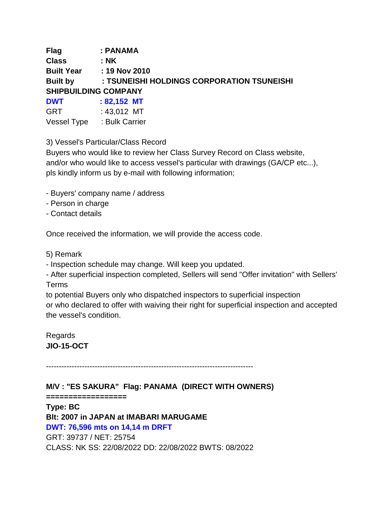**Flag : PANAMA Class : NK Built Year : 19 Nov 2010 Built by : TSUNEISHI HOLDINGS CORPORATION TSUNEISHI SHIPBUILDING COMPANY DWT : 82,152 MT**

GRT : 43,012 MT Vessel Type : Bulk Carrier

3) Vessel's Particular/Class Record

Buyers who would like to review her Class Survey Record on Class website, and/or who would like to access vessel's particular with drawings (GA/CP etc...), pls kindly inform us by e-mail with following information;

- Buyers' company name / address
- Person in charge
- Contact details

Once received the information, we will provide the access code.

- 5) Remark
- Inspection schedule may change. Will keep you updated.
- After superficial inspection completed, Sellers will send "Offer invitation" with Sellers' Terms

to potential Buyers only who dispatched inspectors to superficial inspection or who declared to offer with waiving their right for superficial inspection and accepted the vessel's condition.

Regards **JIO-15-OCT**

---------------------------------------------------------------------------------

**M/V : "ES SAKURA" Flag: PANAMA (DIRECT WITH OWNERS)**

**==================**

**Type: BC Blt: 2007 in JAPAN at IMABARI MARUGAME DWT: 76,596 mts on 14,14 m DRFT** GRT: 39737 / NET: 25754 CLASS: NK SS: 22/08/2022 DD: 22/08/2022 BWTS: 08/2022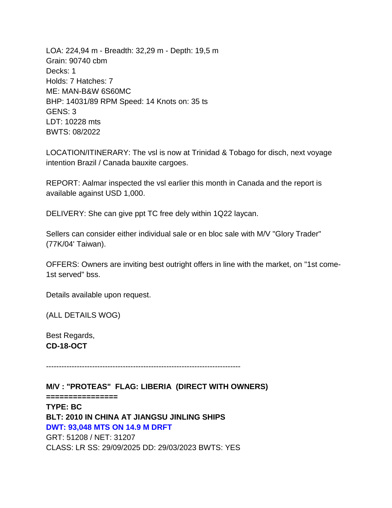LOA: 224,94 m - Breadth: 32,29 m - Depth: 19,5 m Grain: 90740 cbm Decks: 1 Holds: 7 Hatches: 7 ME: MAN-B&W 6S60MC BHP: 14031/89 RPM Speed: 14 Knots on: 35 ts GENS: 3 LDT: 10228 mts BWTS: 08/2022

LOCATION/ITINERARY: The vsl is now at Trinidad & Tobago for disch, next voyage intention Brazil / Canada bauxite cargoes.

REPORT: Aalmar inspected the vsl earlier this month in Canada and the report is available against USD 1,000.

DELIVERY: She can give ppt TC free dely within 1Q22 laycan.

Sellers can consider either individual sale or en bloc sale with M/V "Glory Trader" (77K/04' Taiwan).

OFFERS: Owners are inviting best outright offers in line with the market, on "1st come-1st served" bss.

Details available upon request.

(ALL DETAILS WOG)

Best Regards, **CD-18-OCT**

----------------------------------------------------------------------------

**M/V : "PROTEAS" FLAG: LIBERIA (DIRECT WITH OWNERS)**

**================**

**TYPE: BC BLT: 2010 IN CHINA AT JIANGSU JINLING SHIPS DWT: 93,048 MTS ON 14.9 M DRFT** GRT: 51208 / NET: 31207 CLASS: LR SS: 29/09/2025 DD: 29/03/2023 BWTS: YES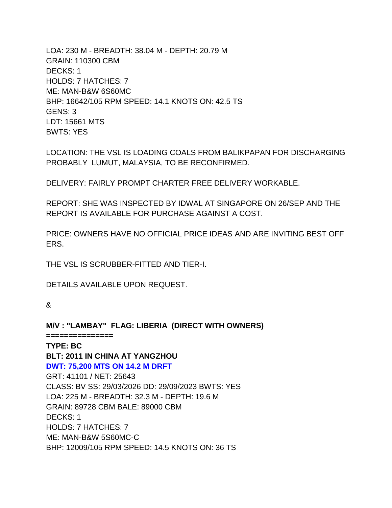LOA: 230 M - BREADTH: 38.04 M - DEPTH: 20.79 M GRAIN: 110300 CBM DECKS: 1 HOLDS: 7 HATCHES: 7 ME: MAN-B&W 6S60MC BHP: 16642/105 RPM SPEED: 14.1 KNOTS ON: 42.5 TS GENS: 3 LDT: 15661 MTS BWTS: YES

LOCATION: THE VSL IS LOADING COALS FROM BALIKPAPAN FOR DISCHARGING PROBABLY LUMUT, MALAYSIA, TO BE RECONFIRMED.

DELIVERY: FAIRLY PROMPT CHARTER FREE DELIVERY WORKABLE.

REPORT: SHE WAS INSPECTED BY IDWAL AT SINGAPORE ON 26/SEP AND THE REPORT IS AVAILABLE FOR PURCHASE AGAINST A COST.

PRICE: OWNERS HAVE NO OFFICIAL PRICE IDEAS AND ARE INVITING BEST OFF ERS.

THE VSL IS SCRUBBER-FITTED AND TIER-I.

DETAILS AVAILABLE UPON REQUEST.

#### &

**M/V : "LAMBAY" FLAG: LIBERIA (DIRECT WITH OWNERS) =============== TYPE: BC BLT: 2011 IN CHINA AT YANGZHOU DWT: 75,200 MTS ON 14.2 M DRFT** GRT: 41101 / NET: 25643 CLASS: BV SS: 29/03/2026 DD: 29/09/2023 BWTS: YES LOA: 225 M - BREADTH: 32.3 M - DEPTH: 19.6 M GRAIN: 89728 CBM BALE: 89000 CBM DECKS: 1 HOLDS: 7 HATCHES: 7 ME: MAN-B&W 5S60MC-C BHP: 12009/105 RPM SPEED: 14.5 KNOTS ON: 36 TS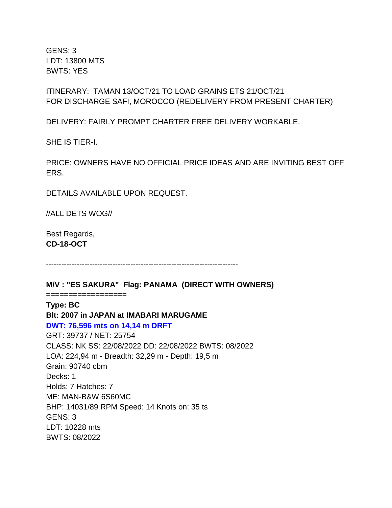GENS: 3 LDT: 13800 MTS BWTS: YES

ITINERARY: TAMAN 13/OCT/21 TO LOAD GRAINS ETS 21/OCT/21 FOR DISCHARGE SAFI, MOROCCO (REDELIVERY FROM PRESENT CHARTER)

DELIVERY: FAIRLY PROMPT CHARTER FREE DELIVERY WORKABLE.

SHE IS TIER-I.

PRICE: OWNERS HAVE NO OFFICIAL PRICE IDEAS AND ARE INVITING BEST OFF ERS.

DETAILS AVAILABLE UPON REQUEST.

//ALL DETS WOG//

Best Regards, **CD-18-OCT**

---------------------------------------------------------------------------

**M/V : "ES SAKURA" Flag: PANAMA (DIRECT WITH OWNERS)**

**================== Type: BC Blt: 2007 in JAPAN at IMABARI MARUGAME DWT: 76,596 mts on 14,14 m DRFT** GRT: 39737 / NET: 25754 CLASS: NK SS: 22/08/2022 DD: 22/08/2022 BWTS: 08/2022 LOA: 224,94 m - Breadth: 32,29 m - Depth: 19,5 m Grain: 90740 cbm Decks: 1 Holds: 7 Hatches: 7 ME: MAN-B&W 6S60MC BHP: 14031/89 RPM Speed: 14 Knots on: 35 ts GENS: 3 LDT: 10228 mts BWTS: 08/2022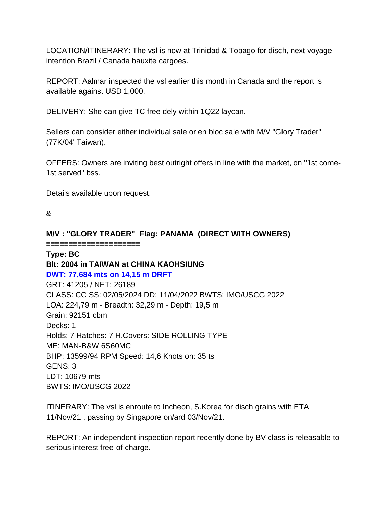LOCATION/ITINERARY: The vsl is now at Trinidad & Tobago for disch, next voyage intention Brazil / Canada bauxite cargoes.

REPORT: Aalmar inspected the vsl earlier this month in Canada and the report is available against USD 1,000.

DELIVERY: She can give TC free dely within 1Q22 laycan.

Sellers can consider either individual sale or en bloc sale with M/V "Glory Trader" (77K/04' Taiwan).

OFFERS: Owners are inviting best outright offers in line with the market, on "1st come-1st served" bss.

Details available upon request.

&

## **M/V : "GLORY TRADER" Flag: PANAMA (DIRECT WITH OWNERS)**

**=====================**

# **Type: BC Blt: 2004 in TAIWAN at CHINA KAOHSIUNG**

**DWT: 77,684 mts on 14,15 m DRFT**

GRT: 41205 / NET: 26189 CLASS: CC SS: 02/05/2024 DD: 11/04/2022 BWTS: IMO/USCG 2022 LOA: 224,79 m - Breadth: 32,29 m - Depth: 19,5 m Grain: 92151 cbm Decks: 1 Holds: 7 Hatches: 7 H.Covers: SIDE ROLLING TYPE ME: MAN-B&W 6S60MC BHP: 13599/94 RPM Speed: 14,6 Knots on: 35 ts GENS: 3 LDT: 10679 mts BWTS: IMO/USCG 2022

ITINERARY: The vsl is enroute to Incheon, S.Korea for disch grains with ETA 11/Nov/21 , passing by Singapore on/ard 03/Nov/21.

REPORT: An independent inspection report recently done by BV class is releasable to serious interest free-of-charge.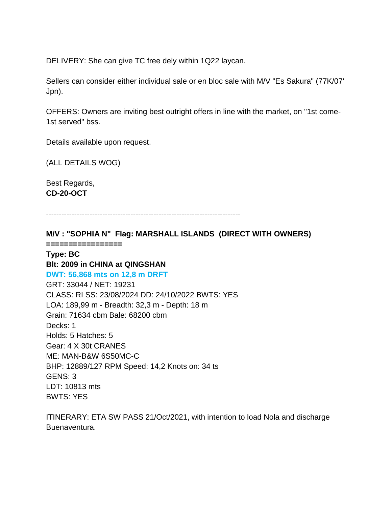DELIVERY: She can give TC free dely within 1Q22 laycan.

Sellers can consider either individual sale or en bloc sale with M/V "Es Sakura" (77K/07' Jpn).

OFFERS: Owners are inviting best outright offers in line with the market, on "1st come-1st served" bss.

Details available upon request.

(ALL DETAILS WOG)

Best Regards, **CD-20-OCT**

----------------------------------------------------------------------------

**M/V : "SOPHIA N" Flag: MARSHALL ISLANDS (DIRECT WITH OWNERS)**

**=================**

## **Type: BC Blt: 2009 in CHINA at QINGSHAN DWT: 56,868 mts on 12,8 m DRFT**

GRT: 33044 / NET: 19231 CLASS: RI SS: 23/08/2024 DD: 24/10/2022 BWTS: YES LOA: 189,99 m - Breadth: 32,3 m - Depth: 18 m Grain: 71634 cbm Bale: 68200 cbm Decks: 1 Holds: 5 Hatches: 5 Gear: 4 X 30t CRANES ME: MAN-B&W 6S50MC-C BHP: 12889/127 RPM Speed: 14,2 Knots on: 34 ts GENS: 3 LDT: 10813 mts BWTS: YES

ITINERARY: ETA SW PASS 21/Oct/2021, with intention to load Nola and discharge Buenaventura.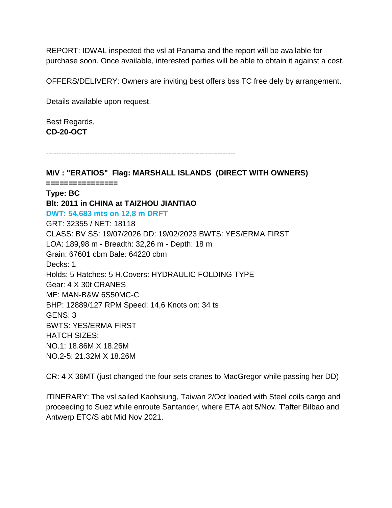REPORT: IDWAL inspected the vsl at Panama and the report will be available for purchase soon. Once available, interested parties will be able to obtain it against a cost.

OFFERS/DELIVERY: Owners are inviting best offers bss TC free dely by arrangement.

Details available upon request.

Best Regards, **CD-20-OCT**

--------------------------------------------------------------------------

**M/V : "ERATIOS" Flag: MARSHALL ISLANDS (DIRECT WITH OWNERS) ================ Type: BC Blt: 2011 in CHINA at TAIZHOU JIANTIAO DWT: 54,683 mts on 12,8 m DRFT**

GRT: 32355 / NET: 18118 CLASS: BV SS: 19/07/2026 DD: 19/02/2023 BWTS: YES/ERMA FIRST LOA: 189,98 m - Breadth: 32,26 m - Depth: 18 m Grain: 67601 cbm Bale: 64220 cbm Decks: 1 Holds: 5 Hatches: 5 H.Covers: HYDRAULIC FOLDING TYPE Gear: 4 X 30t CRANES ME: MAN-B&W 6S50MC-C BHP: 12889/127 RPM Speed: 14,6 Knots on: 34 ts GENS: 3 BWTS: YES/ERMA FIRST HATCH SIZES: NO.1: 18.86M X 18.26M NO.2-5: 21.32M X 18.26M

CR: 4 X 36MT (just changed the four sets cranes to MacGregor while passing her DD)

ITINERARY: The vsl sailed Kaohsiung, Taiwan 2/Oct loaded with Steel coils cargo and proceeding to Suez while enroute Santander, where ETA abt 5/Nov. T'after Bilbao and Antwerp ETC/S abt Mid Nov 2021.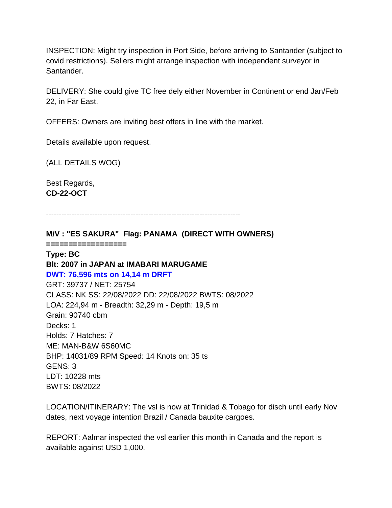INSPECTION: Might try inspection in Port Side, before arriving to Santander (subject to covid restrictions). Sellers might arrange inspection with independent surveyor in Santander.

DELIVERY: She could give TC free dely either November in Continent or end Jan/Feb 22, in Far East.

OFFERS: Owners are inviting best offers in line with the market.

Details available upon request.

(ALL DETAILS WOG)

Best Regards, **CD-22-OCT**

----------------------------------------------------------------------------

**M/V : "ES SAKURA" Flag: PANAMA (DIRECT WITH OWNERS)**

**==================**

## **Type: BC Blt: 2007 in JAPAN at IMABARI MARUGAME**

#### **DWT: 76,596 mts on 14,14 m DRFT**

GRT: 39737 / NET: 25754 CLASS: NK SS: 22/08/2022 DD: 22/08/2022 BWTS: 08/2022 LOA: 224,94 m - Breadth: 32,29 m - Depth: 19,5 m Grain: 90740 cbm Decks: 1 Holds: 7 Hatches: 7 ME: MAN-B&W 6S60MC BHP: 14031/89 RPM Speed: 14 Knots on: 35 ts GENS: 3 LDT: 10228 mts BWTS: 08/2022

LOCATION/ITINERARY: The vsl is now at Trinidad & Tobago for disch until early Nov dates, next voyage intention Brazil / Canada bauxite cargoes.

REPORT: Aalmar inspected the vsl earlier this month in Canada and the report is available against USD 1,000.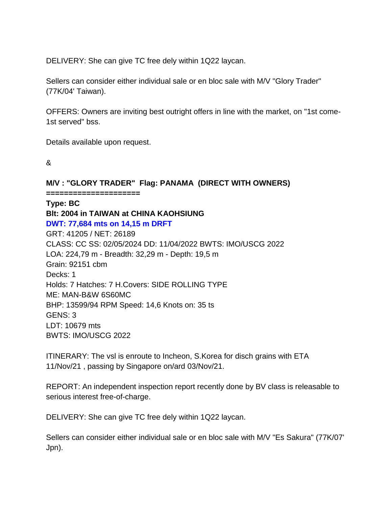DELIVERY: She can give TC free dely within 1Q22 laycan.

Sellers can consider either individual sale or en bloc sale with M/V "Glory Trader" (77K/04' Taiwan).

OFFERS: Owners are inviting best outright offers in line with the market, on "1st come-1st served" bss.

Details available upon request.

&

**M/V : "GLORY TRADER" Flag: PANAMA (DIRECT WITH OWNERS)**

**=====================**

**Type: BC Blt: 2004 in TAIWAN at CHINA KAOHSIUNG DWT: 77,684 mts on 14,15 m DRFT** GRT: 41205 / NET: 26189 CLASS: CC SS: 02/05/2024 DD: 11/04/2022 BWTS: IMO/USCG 2022 LOA: 224,79 m - Breadth: 32,29 m - Depth: 19,5 m Grain: 92151 cbm Decks: 1 Holds: 7 Hatches: 7 H.Covers: SIDE ROLLING TYPE ME: MAN-B&W 6S60MC BHP: 13599/94 RPM Speed: 14,6 Knots on: 35 ts GENS: 3 LDT: 10679 mts BWTS: IMO/USCG 2022

ITINERARY: The vsl is enroute to Incheon, S.Korea for disch grains with ETA 11/Nov/21 , passing by Singapore on/ard 03/Nov/21.

REPORT: An independent inspection report recently done by BV class is releasable to serious interest free-of-charge.

DELIVERY: She can give TC free dely within 1Q22 laycan.

Sellers can consider either individual sale or en bloc sale with M/V "Es Sakura" (77K/07' Jpn).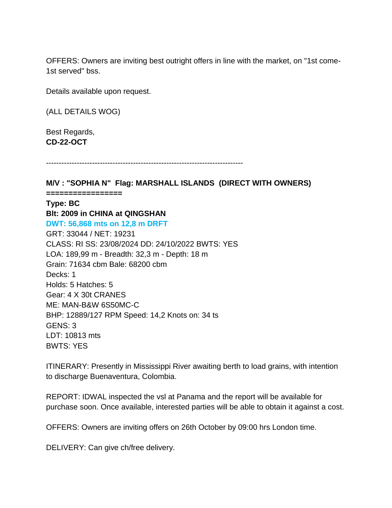OFFERS: Owners are inviting best outright offers in line with the market, on "1st come-1st served" bss.

Details available upon request.

(ALL DETAILS WOG)

Best Regards, **CD-22-OCT**

-----------------------------------------------------------------------------

**M/V : "SOPHIA N" Flag: MARSHALL ISLANDS (DIRECT WITH OWNERS) =================**

**Type: BC Blt: 2009 in CHINA at QINGSHAN DWT: 56,868 mts on 12,8 m DRFT** GRT: 33044 / NET: 19231 CLASS: RI SS: 23/08/2024 DD: 24/10/2022 BWTS: YES LOA: 189,99 m - Breadth: 32,3 m - Depth: 18 m Grain: 71634 cbm Bale: 68200 cbm Decks: 1 Holds: 5 Hatches: 5 Gear: 4 X 30t CRANES ME: MAN-B&W 6S50MC-C BHP: 12889/127 RPM Speed: 14,2 Knots on: 34 ts GENS: 3 LDT: 10813 mts BWTS: YES

ITINERARY: Presently in Mississippi River awaiting berth to load grains, with intention to discharge Buenaventura, Colombia.

REPORT: IDWAL inspected the vsl at Panama and the report will be available for purchase soon. Once available, interested parties will be able to obtain it against a cost.

OFFERS: Owners are inviting offers on 26th October by 09:00 hrs London time.

DELIVERY: Can give ch/free delivery.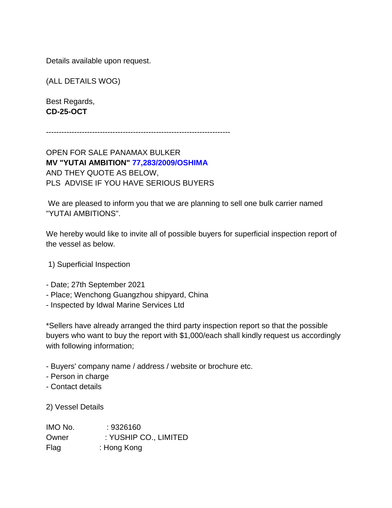Details available upon request.

(ALL DETAILS WOG)

Best Regards, **CD-25-OCT**

------------------------------------------------------------------------

OPEN FOR SALE PANAMAX BULKER **MV "YUTAI AMBITION" 77,283/2009/OSHIMA** AND THEY QUOTE AS BELOW, PLS ADVISE IF YOU HAVE SERIOUS BUYERS

We are pleased to inform you that we are planning to sell one bulk carrier named "YUTAI AMBITIONS".

We hereby would like to invite all of possible buyers for superficial inspection report of the vessel as below.

- 1) Superficial Inspection
- Date; 27th September 2021
- Place; Wenchong Guangzhou shipyard, China
- Inspected by Idwal Marine Services Ltd

\*Sellers have already arranged the third party inspection report so that the possible buyers who want to buy the report with \$1,000/each shall kindly request us accordingly with following information;

- Buyers' company name / address / website or brochure etc.
- Person in charge
- Contact details

2) Vessel Details

| IMO No. | : 9326160             |
|---------|-----------------------|
| Owner   | : YUSHIP CO., LIMITED |
| Flag    | : Hong Kong           |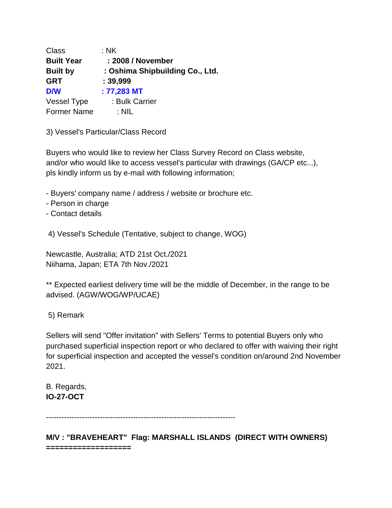| Class             | $:$ NK                          |
|-------------------|---------------------------------|
| <b>Built Year</b> | : 2008 / November               |
| <b>Built by</b>   | : Oshima Shipbuilding Co., Ltd. |
| <b>GRT</b>        | : 39,999                        |
| <b>D/W</b>        | $: 77,283$ MT                   |
| Vessel Type       | : Bulk Carrier                  |
| Former Name       | : NIL                           |

3) Vessel's Particular/Class Record

Buyers who would like to review her Class Survey Record on Class website, and/or who would like to access vessel's particular with drawings (GA/CP etc...), pls kindly inform us by e-mail with following information;

- Buyers' company name / address / website or brochure etc.
- Person in charge
- Contact details

4) Vessel's Schedule (Tentative, subject to change, WOG)

Newcastle, Australia; ATD 21st Oct./2021 Niihama, Japan; ETA 7th Nov./2021

\*\* Expected earliest delivery time will be the middle of December, in the range to be advised. (AGW/WOG/WP/UCAE)

5) Remark

Sellers will send "Offer invitation" with Sellers' Terms to potential Buyers only who purchased superficial inspection report or who declared to offer with waiving their right for superficial inspection and accepted the vessel's condition on/around 2nd November 2021.

B. Regards, **IO-27-OCT**

--------------------------------------------------------------------------

**M/V : "BRAVEHEART" Flag: MARSHALL ISLANDS (DIRECT WITH OWNERS) ===================**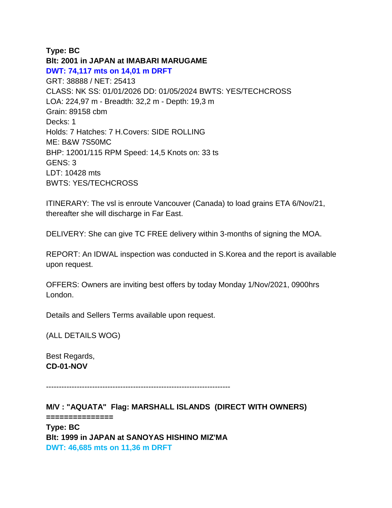### **Type: BC**

**Blt: 2001 in JAPAN at IMABARI MARUGAME DWT: 74,117 mts on 14,01 m DRFT** GRT: 38888 / NET: 25413 CLASS: NK SS: 01/01/2026 DD: 01/05/2024 BWTS: YES/TECHCROSS LOA: 224,97 m - Breadth: 32,2 m - Depth: 19,3 m Grain: 89158 cbm Decks: 1 Holds: 7 Hatches: 7 H.Covers: SIDE ROLLING ME: B&W 7S50MC BHP: 12001/115 RPM Speed: 14,5 Knots on: 33 ts GENS: 3 LDT: 10428 mts BWTS: YES/TECHCROSS

ITINERARY: The vsl is enroute Vancouver (Canada) to load grains ETA 6/Nov/21, thereafter she will discharge in Far East.

DELIVERY: She can give TC FREE delivery within 3-months of signing the MOA.

REPORT: An IDWAL inspection was conducted in S.Korea and the report is available upon request.

OFFERS: Owners are inviting best offers by today Monday 1/Nov/2021, 0900hrs London.

Details and Sellers Terms available upon request.

(ALL DETAILS WOG)

Best Regards, **CD-01-NOV**

------------------------------------------------------------------------

**M/V : "AQUATA" Flag: MARSHALL ISLANDS (DIRECT WITH OWNERS)**

**===============**

**Type: BC Blt: 1999 in JAPAN at SANOYAS HISHINO MIZ'MA DWT: 46,685 mts on 11,36 m DRFT**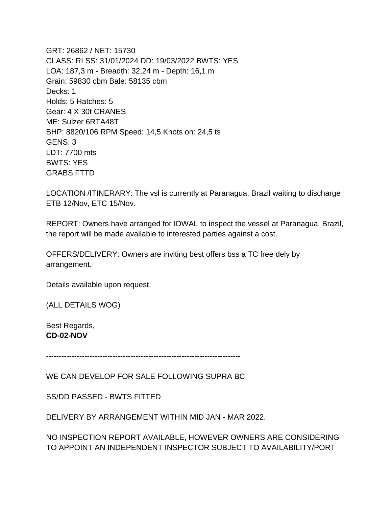GRT: 26862 / NET: 15730 CLASS: RI SS: 31/01/2024 DD: 19/03/2022 BWTS: YES LOA: 187,3 m - Breadth: 32,24 m - Depth: 16,1 m Grain: 59830 cbm Bale: 58135 cbm Decks: 1 Holds: 5 Hatches: 5 Gear: 4 X 30t CRANES ME: Sulzer 6RTA48T BHP: 8820/106 RPM Speed: 14,5 Knots on: 24,5 ts GENS: 3 LDT: 7700 mts BWTS: YES GRABS FTTD

LOCATION /ITINERARY: The vsl is currently at Paranagua, Brazil waiting to discharge ETB 12/Nov, ETC 15/Nov.

REPORT: Owners have arranged for IDWAL to inspect the vessel at Paranagua, Brazil, the report will be made available to interested parties against a cost.

OFFERS/DELIVERY: Owners are inviting best offers bss a TC free dely by arrangement.

Details available upon request.

(ALL DETAILS WOG)

Best Regards, **CD-02-NOV**

----------------------------------------------------------------------------

WE CAN DEVELOP FOR SALE FOLLOWING SUPRA BC

SS/DD PASSED - BWTS FITTED

DELIVERY BY ARRANGEMENT WITHIN MID JAN - MAR 2022.

NO INSPECTION REPORT AVAILABLE, HOWEVER OWNERS ARE CONSIDERING TO APPOINT AN INDEPENDENT INSPECTOR SUBJECT TO AVAILABILITY/PORT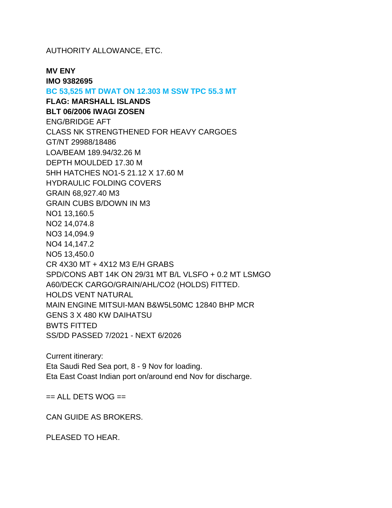AUTHORITY ALLOWANCE, ETC.

**MV ENY**

**IMO 9382695 BC 53,525 MT DWAT ON 12.303 M SSW TPC 55.3 MT FLAG: MARSHALL ISLANDS BLT 06/2006 IWAGI ZOSEN** ENG/BRIDGE AFT CLASS NK STRENGTHENED FOR HEAVY CARGOES GT/NT 29988/18486 LOA/BEAM 189.94/32.26 M DEPTH MOULDED 17.30 M 5HH HATCHES NO1-5 21.12 X 17.60 M HYDRAULIC FOLDING COVERS GRAIN 68,927.40 M3 GRAIN CUBS B/DOWN IN M3 NO1 13,160.5 NO2 14,074.8 NO3 14,094.9 NO4 14,147.2 NO5 13,450.0 CR 4X30 MT + 4X12 M3 E/H GRABS SPD/CONS ABT 14K ON 29/31 MT B/L VLSFO + 0.2 MT LSMGO A60/DECK CARGO/GRAIN/AHL/CO2 (HOLDS) FITTED. HOLDS VENT NATURAL MAIN ENGINE MITSUI-MAN B&W5L50MC 12840 BHP MCR GENS 3 X 480 KW DAIHATSU BWTS FITTED SS/DD PASSED 7/2021 - NEXT 6/2026

Current itinerary: Eta Saudi Red Sea port, 8 - 9 Nov for loading. Eta East Coast Indian port on/around end Nov for discharge.

 $==$  ALL DETS WOG  $==$ 

CAN GUIDE AS BROKERS.

PLEASED TO HEAR.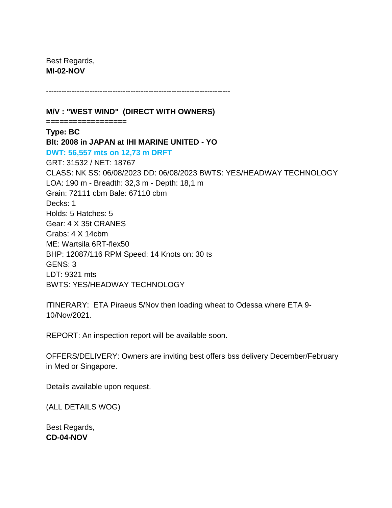Best Regards, **MI-02-NOV**

------------------------------------------------------------------------

**M/V : "WEST WIND" (DIRECT WITH OWNERS)**

**==================**

**Type: BC Blt: 2008 in JAPAN at IHI MARINE UNITED - YO DWT: 56,557 mts on 12,73 m DRFT** GRT: 31532 / NET: 18767 CLASS: NK SS: 06/08/2023 DD: 06/08/2023 BWTS: YES/HEADWAY TECHNOLOGY LOA: 190 m - Breadth: 32,3 m - Depth: 18,1 m Grain: 72111 cbm Bale: 67110 cbm Decks: 1 Holds: 5 Hatches: 5 Gear: 4 X 35t CRANES Grabs: 4 X 14cbm ME: Wartsila 6RT-flex50 BHP: 12087/116 RPM Speed: 14 Knots on: 30 ts GENS: 3 LDT: 9321 mts BWTS: YES/HEADWAY TECHNOLOGY

ITINERARY: ETA Piraeus 5/Nov then loading wheat to Odessa where ETA 9- 10/Nov/2021.

REPORT: An inspection report will be available soon.

OFFERS/DELIVERY: Owners are inviting best offers bss delivery December/February in Med or Singapore.

Details available upon request.

(ALL DETAILS WOG)

Best Regards, **CD-04-NOV**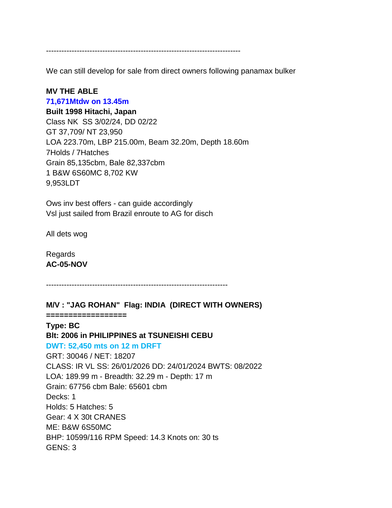----------------------------------------------------------------------------

We can still develop for sale from direct owners following panamax bulker

#### **MV THE ABLE**

#### **71,671Mtdw on 13.45m**

**Built 1998 Hitachi, Japan** Class NK SS 3/02/24, DD 02/22 GT 37,709/ NT 23,950 LOA 223.70m, LBP 215.00m, Beam 32.20m, Depth 18.60m 7Holds / 7Hatches Grain 85,135cbm, Bale 82,337cbm 1 B&W 6S60MC 8,702 KW 9,953LDT

Ows inv best offers - can guide accordingly Vsl just sailed from Brazil enroute to AG for disch

All dets wog

Regards **AC-05-NOV**

**==================**

-----------------------------------------------------------------------

**M/V : "JAG ROHAN" Flag: INDIA (DIRECT WITH OWNERS)**

**Type: BC Blt: 2006 in PHILIPPINES at TSUNEISHI CEBU DWT: 52,450 mts on 12 m DRFT** GRT: 30046 / NET: 18207 CLASS: IR VL SS: 26/01/2026 DD: 24/01/2024 BWTS: 08/2022 LOA: 189.99 m - Breadth: 32.29 m - Depth: 17 m Grain: 67756 cbm Bale: 65601 cbm Decks: 1 Holds: 5 Hatches: 5 Gear: 4 X 30t CRANES ME: B&W 6S50MC BHP: 10599/116 RPM Speed: 14.3 Knots on: 30 ts GENS: 3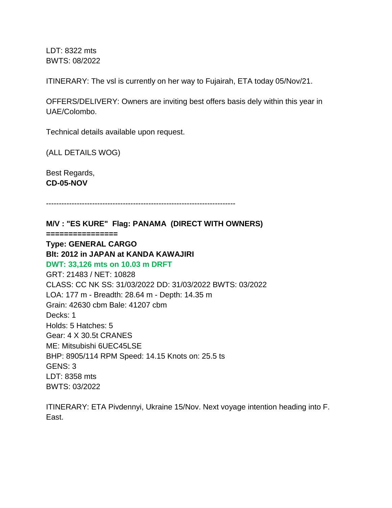LDT: 8322 mts BWTS: 08/2022

ITINERARY: The vsl is currently on her way to Fujairah, ETA today 05/Nov/21.

OFFERS/DELIVERY: Owners are inviting best offers basis dely within this year in UAE/Colombo.

Technical details available upon request.

(ALL DETAILS WOG)

Best Regards, **CD-05-NOV**

--------------------------------------------------------------------------

**M/V : "ES KURE" Flag: PANAMA (DIRECT WITH OWNERS) ================ Type: GENERAL CARGO Blt: 2012 in JAPAN at KANDA KAWAJIRI DWT: 33,126 mts on 10.03 m DRFT** GRT: 21483 / NET: 10828 CLASS: CC NK SS: 31/03/2022 DD: 31/03/2022 BWTS: 03/2022 LOA: 177 m - Breadth: 28.64 m - Depth: 14.35 m Grain: 42630 cbm Bale: 41207 cbm Decks: 1 Holds: 5 Hatches: 5 Gear: 4 X 30.5t CRANES ME: Mitsubishi 6UEC45LSE BHP: 8905/114 RPM Speed: 14.15 Knots on: 25.5 ts GENS: 3 LDT: 8358 mts BWTS: 03/2022

ITINERARY: ETA Pivdennyi, Ukraine 15/Nov. Next voyage intention heading into F. East.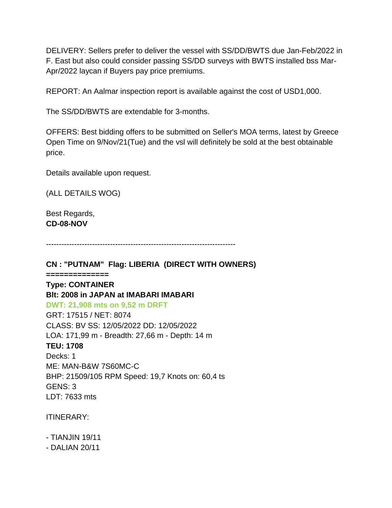DELIVERY: Sellers prefer to deliver the vessel with SS/DD/BWTS due Jan-Feb/2022 in F. East but also could consider passing SS/DD surveys with BWTS installed bss Mar-Apr/2022 laycan if Buyers pay price premiums.

REPORT: An Aalmar inspection report is available against the cost of USD1,000.

The SS/DD/BWTS are extendable for 3-months.

OFFERS: Best bidding offers to be submitted on Seller's MOA terms, latest by Greece Open Time on 9/Nov/21(Tue) and the vsl will definitely be sold at the best obtainable price.

Details available upon request.

(ALL DETAILS WOG)

Best Regards, **CD-08-NOV**

--------------------------------------------------------------------------

**CN : "PUTNAM" Flag: LIBERIA (DIRECT WITH OWNERS)**

**============== Type: CONTAINER Blt: 2008 in JAPAN at IMABARI IMABARI DWT: 21,908 mts on 9,52 m DRFT** GRT: 17515 / NET: 8074 CLASS: BV SS: 12/05/2022 DD: 12/05/2022 LOA: 171,99 m - Breadth: 27,66 m - Depth: 14 m **TEU: 1708** Decks: 1 ME: MAN-B&W 7S60MC-C BHP: 21509/105 RPM Speed: 19,7 Knots on: 60,4 ts GENS: 3 LDT: 7633 mts

ITINERARY:

- TIANJIN 19/11

- DALIAN 20/11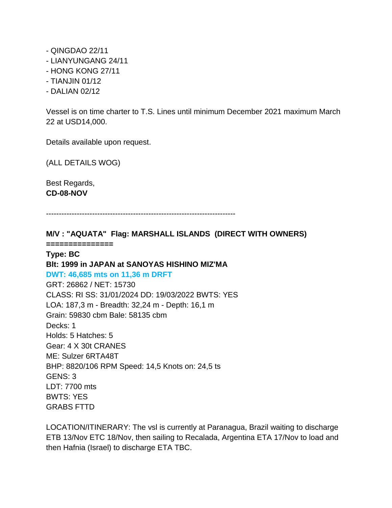- QINGDAO 22/11
- LIANYUNGANG 24/11
- HONG KONG 27/11
- TIANJIN 01/12
- DALIAN 02/12

Vessel is on time charter to T.S. Lines until minimum December 2021 maximum March 22 at USD14,000.

Details available upon request.

(ALL DETAILS WOG)

Best Regards, **CD-08-NOV**

--------------------------------------------------------------------------

**M/V : "AQUATA" Flag: MARSHALL ISLANDS (DIRECT WITH OWNERS)**

**===============**

## **Type: BC**

## **Blt: 1999 in JAPAN at SANOYAS HISHINO MIZ'MA**

**DWT: 46,685 mts on 11,36 m DRFT**

GRT: 26862 / NET: 15730 CLASS: RI SS: 31/01/2024 DD: 19/03/2022 BWTS: YES LOA: 187,3 m - Breadth: 32,24 m - Depth: 16,1 m Grain: 59830 cbm Bale: 58135 cbm Decks: 1 Holds: 5 Hatches: 5 Gear: 4 X 30t CRANES ME: Sulzer 6RTA48T BHP: 8820/106 RPM Speed: 14,5 Knots on: 24,5 ts GENS: 3 LDT: 7700 mts BWTS: YES GRABS FTTD

LOCATION/ITINERARY: The vsl is currently at Paranagua, Brazil waiting to discharge ETB 13/Nov ETC 18/Nov, then sailing to Recalada, Argentina ETA 17/Nov to load and then Hafnia (Israel) to discharge ETA TBC.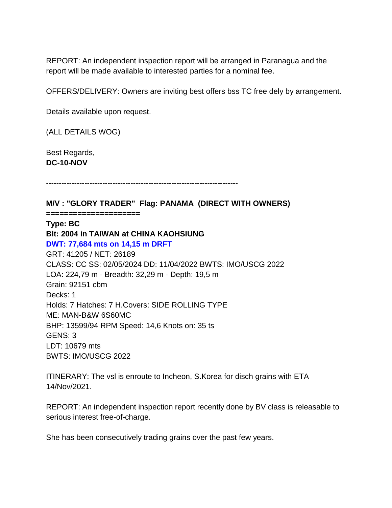REPORT: An independent inspection report will be arranged in Paranagua and the report will be made available to interested parties for a nominal fee.

OFFERS/DELIVERY: Owners are inviting best offers bss TC free dely by arrangement.

Details available upon request.

(ALL DETAILS WOG)

Best Regards, **DC-10-NOV**

---------------------------------------------------------------------------

**M/V : "GLORY TRADER" Flag: PANAMA (DIRECT WITH OWNERS)**

**=====================**

#### **Type: BC**

**Blt: 2004 in TAIWAN at CHINA KAOHSIUNG DWT: 77,684 mts on 14,15 m DRFT** GRT: 41205 / NET: 26189 CLASS: CC SS: 02/05/2024 DD: 11/04/2022 BWTS: IMO/USCG 2022 LOA: 224,79 m - Breadth: 32,29 m - Depth: 19,5 m Grain: 92151 cbm Decks: 1 Holds: 7 Hatches: 7 H.Covers: SIDE ROLLING TYPE ME: MAN-B&W 6S60MC BHP: 13599/94 RPM Speed: 14,6 Knots on: 35 ts GENS: 3 LDT: 10679 mts BWTS: IMO/USCG 2022

ITINERARY: The vsl is enroute to Incheon, S.Korea for disch grains with ETA 14/Nov/2021.

REPORT: An independent inspection report recently done by BV class is releasable to serious interest free-of-charge.

She has been consecutively trading grains over the past few years.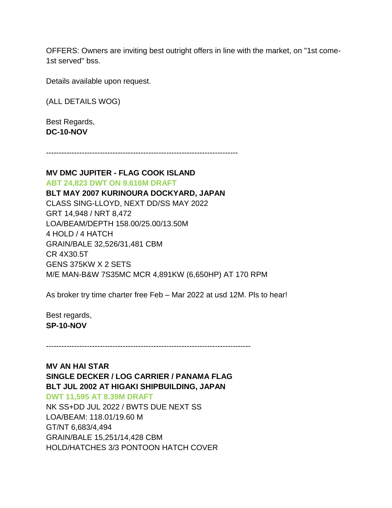OFFERS: Owners are inviting best outright offers in line with the market, on "1st come-1st served" bss.

Details available upon request.

(ALL DETAILS WOG)

Best Regards, **DC-10-NOV**

---------------------------------------------------------------------------

## **MV DMC JUPITER - FLAG COOK ISLAND**

**ABT 24,823 DWT ON 9.616M DRAFT BLT MAY 2007 KURINOURA DOCKYARD, JAPAN** CLASS SING-LLOYD, NEXT DD/SS MAY 2022 GRT 14,948 / NRT 8,472 LOA/BEAM/DEPTH 158.00/25.00/13.50M 4 HOLD / 4 HATCH GRAIN/BALE 32,526/31,481 CBM CR 4X30.5T GENS 375KW X 2 SETS M/E MAN-B&W 7S35MC MCR 4,891KW (6,650HP) AT 170 RPM

As broker try time charter free Feb – Mar 2022 at usd 12M. Pls to hear!

Best regards, **SP-10-NOV**

--------------------------------------------------------------------------------

## **MV AN HAI STAR**

**SINGLE DECKER / LOG CARRIER / PANAMA FLAG BLT JUL 2002 AT HIGAKI SHIPBUILDING, JAPAN**

**DWT 11,595 AT 8.39M DRAFT**

NK SS+DD JUL 2022 / BWTS DUE NEXT SS LOA/BEAM: 118.01/19.60 M GT/NT 6,683/4,494 GRAIN/BALE 15,251/14,428 CBM HOLD/HATCHES 3/3 PONTOON HATCH COVER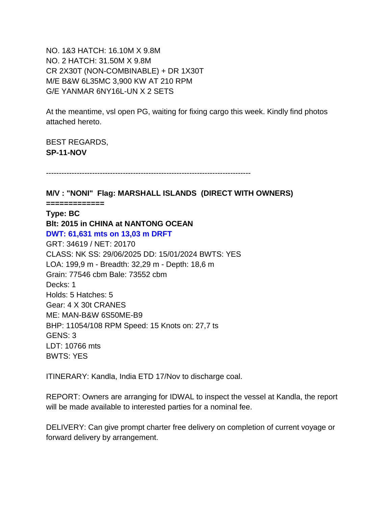NO. 1&3 HATCH: 16.10M X 9.8M NO. 2 HATCH: 31.50M X 9.8M CR 2X30T (NON-COMBINABLE) + DR 1X30T M/E B&W 6L35MC 3,900 KW AT 210 RPM G/E YANMAR 6NY16L-UN X 2 SETS

At the meantime, vsl open PG, waiting for fixing cargo this week. Kindly find photos attached hereto.

BEST REGARDS, **SP-11-NOV**

--------------------------------------------------------------------------------

**M/V : "NONI" Flag: MARSHALL ISLANDS (DIRECT WITH OWNERS)**

**=============**

**Type: BC**

**Blt: 2015 in CHINA at NANTONG OCEAN DWT: 61,631 mts on 13,03 m DRFT** GRT: 34619 / NET: 20170 CLASS: NK SS: 29/06/2025 DD: 15/01/2024 BWTS: YES LOA: 199,9 m - Breadth: 32,29 m - Depth: 18,6 m Grain: 77546 cbm Bale: 73552 cbm Decks: 1 Holds: 5 Hatches: 5 Gear: 4 X 30t CRANES ME: MAN-B&W 6S50ME-B9 BHP: 11054/108 RPM Speed: 15 Knots on: 27,7 ts GENS: 3 LDT: 10766 mts BWTS: YES

ITINERARY: Kandla, India ETD 17/Nov to discharge coal.

REPORT: Owners are arranging for IDWAL to inspect the vessel at Kandla, the report will be made available to interested parties for a nominal fee.

DELIVERY: Can give prompt charter free delivery on completion of current voyage or forward delivery by arrangement.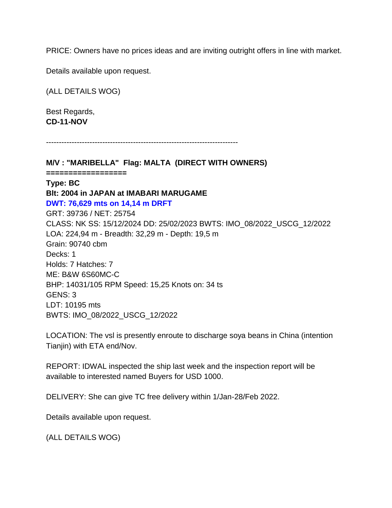PRICE: Owners have no prices ideas and are inviting outright offers in line with market.

Details available upon request.

(ALL DETAILS WOG)

Best Regards, **CD-11-NOV**

---------------------------------------------------------------------------

**M/V : "MARIBELLA" Flag: MALTA (DIRECT WITH OWNERS) ================== Type: BC Blt: 2004 in JAPAN at IMABARI MARUGAME DWT: 76,629 mts on 14,14 m DRFT** GRT: 39736 / NET: 25754 CLASS: NK SS: 15/12/2024 DD: 25/02/2023 BWTS: IMO\_08/2022\_USCG\_12/2022 LOA: 224,94 m - Breadth: 32,29 m - Depth: 19,5 m Grain: 90740 cbm Decks: 1 Holds: 7 Hatches: 7 ME: B&W 6S60MC-C BHP: 14031/105 RPM Speed: 15,25 Knots on: 34 ts GENS: 3 LDT: 10195 mts BWTS: IMO\_08/2022\_USCG\_12/2022

LOCATION: The vsl is presently enroute to discharge soya beans in China (intention Tianjin) with ETA end/Nov.

REPORT: IDWAL inspected the ship last week and the inspection report will be available to interested named Buyers for USD 1000.

DELIVERY: She can give TC free delivery within 1/Jan-28/Feb 2022.

Details available upon request.

(ALL DETAILS WOG)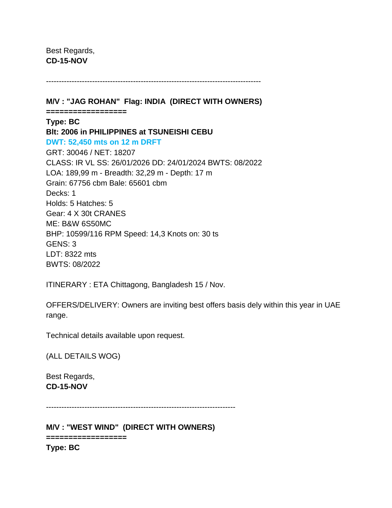Best Regards, **CD-15-NOV**

------------------------------------------------------------------------------------

**M/V : "JAG ROHAN" Flag: INDIA (DIRECT WITH OWNERS) ================== Type: BC Blt: 2006 in PHILIPPINES at TSUNEISHI CEBU DWT: 52,450 mts on 12 m DRFT** GRT: 30046 / NET: 18207 CLASS: IR VL SS: 26/01/2026 DD: 24/01/2024 BWTS: 08/2022 LOA: 189,99 m - Breadth: 32,29 m - Depth: 17 m Grain: 67756 cbm Bale: 65601 cbm Decks: 1 Holds: 5 Hatches: 5 Gear: 4 X 30t CRANES ME: B&W 6S50MC BHP: 10599/116 RPM Speed: 14,3 Knots on: 30 ts GENS: 3 LDT: 8322 mts BWTS: 08/2022

ITINERARY : ETA Chittagong, Bangladesh 15 / Nov.

OFFERS/DELIVERY: Owners are inviting best offers basis dely within this year in UAE range.

Technical details available upon request.

(ALL DETAILS WOG)

Best Regards, **CD-15-NOV**

--------------------------------------------------------------------------

**M/V : "WEST WIND" (DIRECT WITH OWNERS)**

**================== Type: BC**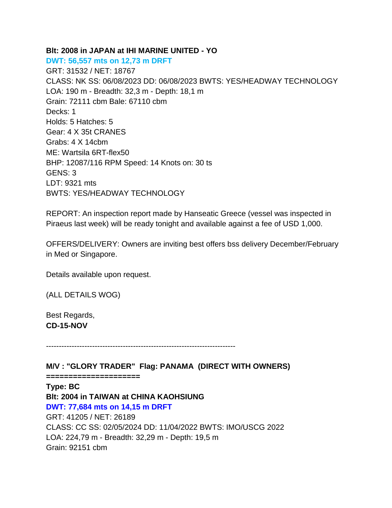#### **Blt: 2008 in JAPAN at IHI MARINE UNITED - YO**

**DWT: 56,557 mts on 12,73 m DRFT** GRT: 31532 / NET: 18767 CLASS: NK SS: 06/08/2023 DD: 06/08/2023 BWTS: YES/HEADWAY TECHNOLOGY LOA: 190 m - Breadth: 32,3 m - Depth: 18,1 m Grain: 72111 cbm Bale: 67110 cbm Decks: 1 Holds: 5 Hatches: 5 Gear: 4 X 35t CRANES Grabs: 4 X 14cbm ME: Wartsila 6RT-flex50 BHP: 12087/116 RPM Speed: 14 Knots on: 30 ts GENS: 3 LDT: 9321 mts BWTS: YES/HEADWAY TECHNOLOGY

REPORT: An inspection report made by Hanseatic Greece (vessel was inspected in Piraeus last week) will be ready tonight and available against a fee of USD 1,000.

OFFERS/DELIVERY: Owners are inviting best offers bss delivery December/February in Med or Singapore.

Details available upon request.

(ALL DETAILS WOG)

Best Regards, **CD-15-NOV**

--------------------------------------------------------------------------

**M/V : "GLORY TRADER" Flag: PANAMA (DIRECT WITH OWNERS)**

**=====================**

**Type: BC Blt: 2004 in TAIWAN at CHINA KAOHSIUNG DWT: 77,684 mts on 14,15 m DRFT** GRT: 41205 / NET: 26189 CLASS: CC SS: 02/05/2024 DD: 11/04/2022 BWTS: IMO/USCG 2022 LOA: 224,79 m - Breadth: 32,29 m - Depth: 19,5 m Grain: 92151 cbm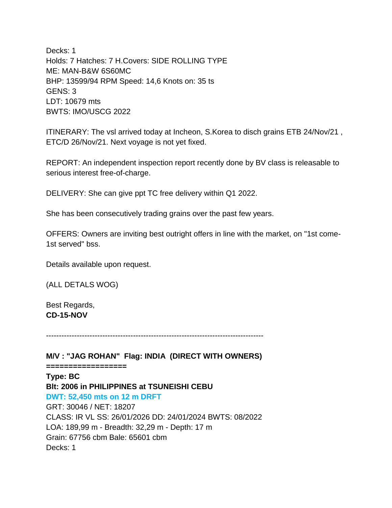Decks: 1 Holds: 7 Hatches: 7 H.Covers: SIDE ROLLING TYPE ME: MAN-B&W 6S60MC BHP: 13599/94 RPM Speed: 14,6 Knots on: 35 ts GENS: 3 LDT: 10679 mts BWTS: IMO/USCG 2022

ITINERARY: The vsl arrived today at Incheon, S.Korea to disch grains ETB 24/Nov/21 , ETC/D 26/Nov/21. Next voyage is not yet fixed.

REPORT: An independent inspection report recently done by BV class is releasable to serious interest free-of-charge.

DELIVERY: She can give ppt TC free delivery within Q1 2022.

She has been consecutively trading grains over the past few years.

OFFERS: Owners are inviting best outright offers in line with the market, on "1st come-1st served" bss.

Details available upon request.

(ALL DETALS WOG)

Best Regards, **CD-15-NOV**

-------------------------------------------------------------------------------------

**M/V : "JAG ROHAN" Flag: INDIA (DIRECT WITH OWNERS) ================== Type: BC Blt: 2006 in PHILIPPINES at TSUNEISHI CEBU DWT: 52,450 mts on 12 m DRFT** GRT: 30046 / NET: 18207 CLASS: IR VL SS: 26/01/2026 DD: 24/01/2024 BWTS: 08/2022 LOA: 189,99 m - Breadth: 32,29 m - Depth: 17 m Grain: 67756 cbm Bale: 65601 cbm Decks: 1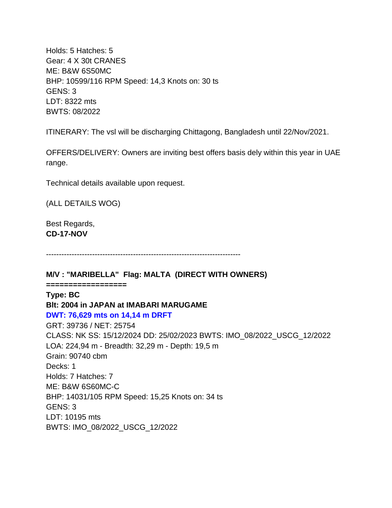Holds: 5 Hatches: 5 Gear: 4 X 30t CRANES ME: B&W 6S50MC BHP: 10599/116 RPM Speed: 14,3 Knots on: 30 ts GENS: 3 LDT: 8322 mts BWTS: 08/2022

ITINERARY: The vsl will be discharging Chittagong, Bangladesh until 22/Nov/2021.

OFFERS/DELIVERY: Owners are inviting best offers basis dely within this year in UAE range.

Technical details available upon request.

(ALL DETAILS WOG)

Best Regards, **CD-17-NOV**

----------------------------------------------------------------------------

**M/V : "MARIBELLA" Flag: MALTA (DIRECT WITH OWNERS)**

**================== Type: BC Blt: 2004 in JAPAN at IMABARI MARUGAME DWT: 76,629 mts on 14,14 m DRFT** GRT: 39736 / NET: 25754 CLASS: NK SS: 15/12/2024 DD: 25/02/2023 BWTS: IMO\_08/2022\_USCG\_12/2022 LOA: 224,94 m - Breadth: 32,29 m - Depth: 19,5 m Grain: 90740 cbm Decks: 1 Holds: 7 Hatches: 7 ME: B&W 6S60MC-C BHP: 14031/105 RPM Speed: 15,25 Knots on: 34 ts GENS: 3 LDT: 10195 mts BWTS: IMO\_08/2022\_USCG\_12/2022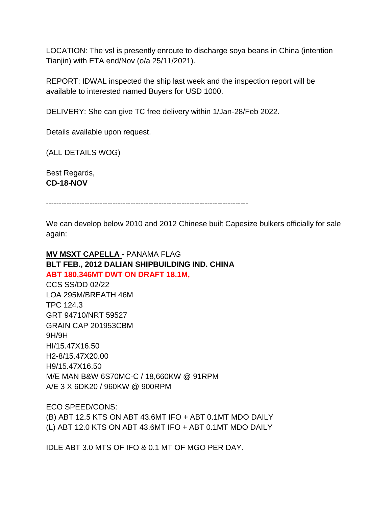LOCATION: The vsl is presently enroute to discharge soya beans in China (intention Tianjin) with ETA end/Nov (o/a 25/11/2021).

REPORT: IDWAL inspected the ship last week and the inspection report will be available to interested named Buyers for USD 1000.

DELIVERY: She can give TC free delivery within 1/Jan-28/Feb 2022.

Details available upon request.

(ALL DETAILS WOG)

Best Regards, **CD-18-NOV**

-------------------------------------------------------------------------------

We can develop below 2010 and 2012 Chinese built Capesize bulkers officially for sale again:

# **MV MSXT CAPELLA** - PANAMA FLAG **BLT FEB., 2012 DALIAN SHIPBUILDING IND. CHINA ABT 180,346MT DWT ON DRAFT 18.1M,**

CCS SS/DD 02/22 LOA 295M/BREATH 46M TPC 124.3 GRT 94710/NRT 59527 GRAIN CAP 201953CBM 9H/9H HI/15.47X16.50 H2-8/15.47X20.00 H9/15.47X16.50 M/E MAN B&W 6S70MC-C / 18,660KW @ 91RPM A/E 3 X 6DK20 / 960KW @ 900RPM

ECO SPEED/CONS:

(B) ABT 12.5 KTS ON ABT 43.6MT IFO + ABT 0.1MT MDO DAILY (L) ABT 12.0 KTS ON ABT 43.6MT IFO + ABT 0.1MT MDO DAILY

IDLE ABT 3.0 MTS OF IFO & 0.1 MT OF MGO PER DAY.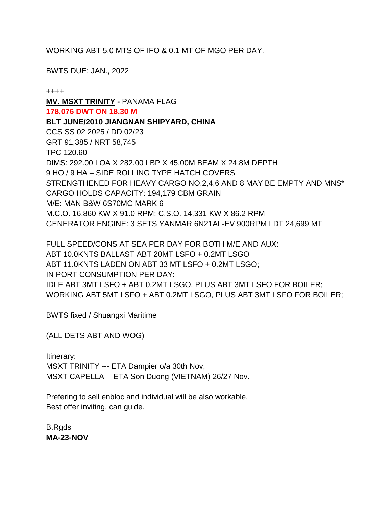WORKING ABT 5.0 MTS OF IFO & 0.1 MT OF MGO PER DAY.

BWTS DUE: JAN., 2022

++++ **MV. MSXT TRINITY -** PANAMA FLAG **178,076 DWT ON 18.30 M BLT JUNE/2010 JIANGNAN SHIPYARD, CHINA** CCS SS 02 2025 / DD 02/23 GRT 91,385 / NRT 58,745 TPC 120.60 DIMS: 292.00 LOA X 282.00 LBP X 45.00M BEAM X 24.8M DEPTH 9 HO / 9 HA – SIDE ROLLING TYPE HATCH COVERS STRENGTHENED FOR HEAVY CARGO NO.2,4,6 AND 8 MAY BE EMPTY AND MNS\* CARGO HOLDS CAPACITY: 194,179 CBM GRAIN M/E: MAN B&W 6S70MC MARK 6 M.C.O. 16,860 KW X 91.0 RPM; C.S.O. 14,331 KW X 86.2 RPM GENERATOR ENGINE: 3 SETS YANMAR 6N21AL-EV 900RPM LDT 24,699 MT

FULL SPEED/CONS AT SEA PER DAY FOR BOTH M/E AND AUX: ABT 10.0KNTS BALLAST ABT 20MT LSFO + 0.2MT LSGO ABT 11.0KNTS LADEN ON ABT 33 MT LSFO + 0.2MT LSGO; IN PORT CONSUMPTION PER DAY: IDLE ABT 3MT LSFO + ABT 0.2MT LSGO, PLUS ABT 3MT LSFO FOR BOILER; WORKING ABT 5MT LSFO + ABT 0.2MT LSGO, PLUS ABT 3MT LSFO FOR BOILER;

BWTS fixed / Shuangxi Maritime

(ALL DETS ABT AND WOG)

Itinerary: MSXT TRINITY --- ETA Dampier o/a 30th Nov, MSXT CAPELLA -- ETA Son Duong (VIETNAM) 26/27 Nov.

Prefering to sell enbloc and individual will be also workable. Best offer inviting, can guide.

B.Rgds **MA-23-NOV**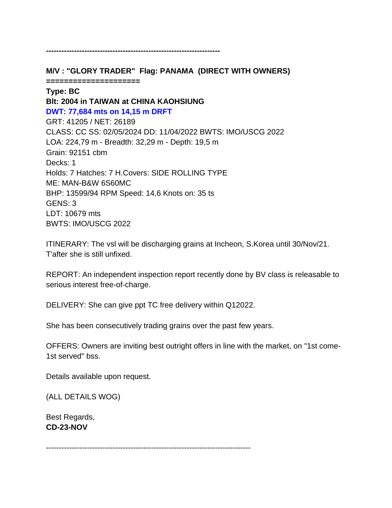**M/V : "GLORY TRADER" Flag: PANAMA (DIRECT WITH OWNERS)**

**--------------------------------------------------------------------**

**=====================**

**Type: BC Blt: 2004 in TAIWAN at CHINA KAOHSIUNG DWT: 77,684 mts on 14,15 m DRFT** GRT: 41205 / NET: 26189 CLASS: CC SS: 02/05/2024 DD: 11/04/2022 BWTS: IMO/USCG 2022 LOA: 224,79 m - Breadth: 32,29 m - Depth: 19,5 m Grain: 92151 cbm Decks: 1 Holds: 7 Hatches: 7 H.Covers: SIDE ROLLING TYPE ME: MAN-B&W 6S60MC BHP: 13599/94 RPM Speed: 14,6 Knots on: 35 ts GENS: 3 LDT: 10679 mts BWTS: IMO/USCG 2022

ITINERARY: The vsl will be discharging grains at Incheon, S.Korea until 30/Nov/21. T'after she is still unfixed.

REPORT: An independent inspection report recently done by BV class is releasable to serious interest free-of-charge.

DELIVERY: She can give ppt TC free delivery within Q12022.

She has been consecutively trading grains over the past few years.

OFFERS: Owners are inviting best outright offers in line with the market, on "1st come-1st served" bss.

Details available upon request.

(ALL DETAILS WOG)

Best Regards, **CD-23-NOV**

--------------------------------------------------------------------------------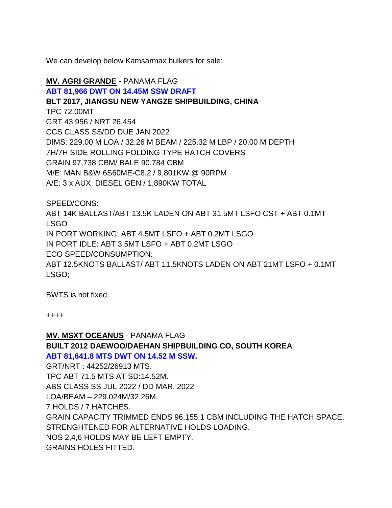We can develop below Kamsarmax bulkers for sale:

# **MV. AGRI GRANDE -** PANAMA FLAG

#### **ABT 81,966 DWT ON 14.45M SSW DRAFT**

**BLT 2017, JIANGSU NEW YANGZE SHIPBUILDING, CHINA**

TPC 72.00MT GRT 43,956 / NRT 26,454

CCS CLASS SS/DD DUE JAN 2022

DIMS: 229.00 M LOA / 32.26 M BEAM / 225.32 M LBP / 20.00 M DEPTH

7H/7H SIDE ROLLING FOLDING TYPE HATCH COVERS

GRAIN 97,738 CBM/ BALE 90,784 CBM

M/E: MAN B&W 6S60ME-C8.2 / 9,801KW @ 90RPM

A/E: 3 x AUX. DIESEL GEN / 1,890KW TOTAL

SPEED/CONS:

ABT 14K BALLAST/ABT 13.5K LADEN ON ABT 31.5MT LSFO CST + ABT 0.1MT LSGO IN PORT WORKING: ABT 4.5MT LSFO + ABT 0.2MT LSGO IN PORT IDLE: ABT 3.5MT LSFO + ABT 0.2MT LSGO ECO SPEED/CONSUMPTION: ABT 12.5KNOTS BALLAST/ ABT 11.5KNOTS LADEN ON ABT 21MT LSFO + 0.1MT LSGO;

BWTS is not fixed.

++++

**MV. MSXT OCEANUS** - PANAMA FLAG **BUILT 2012 DAEWOO/DAEHAN SHIPBUILDING CO, SOUTH KOREA ABT 81,641.8 MTS DWT ON 14.52 M SSW.** GRT/NRT : 44252/26913 MTS. TPC ABT 71.5 MTS AT SD:14.52M. ABS CLASS SS JUL 2022 / DD MAR. 2022 LOA/BEAM – 229.024M/32.26M. 7 HOLDS / 7 HATCHES. GRAIN CAPACITY TRIMMED ENDS 96,155.1 CBM INCLUDING THE HATCH SPACE. STRENGHTENED FOR ALTERNATIVE HOLDS LOADING. NOS 2,4,6 HOLDS MAY BE LEFT EMPTY. GRAINS HOLES FITTED.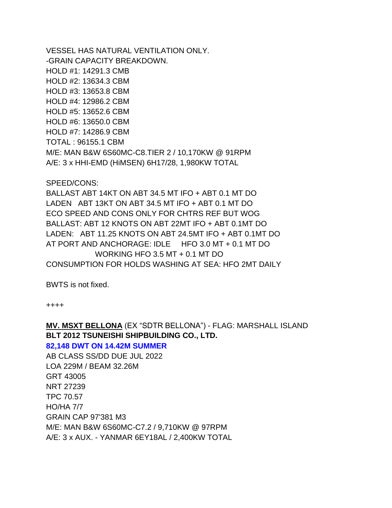VESSEL HAS NATURAL VENTILATION ONLY. -GRAIN CAPACITY BREAKDOWN. HOLD #1: 14291.3 CMB HOLD #2: 13634.3 CBM HOLD #3: 13653.8 CBM HOLD #4: 12986.2 CBM HOLD #5: 13652.6 CBM HOLD #6: 13650.0 CBM HOLD #7: 14286.9 CBM TOTAL : 96155.1 CBM M/E: MAN B&W 6S60MC-C8.TIER 2 / 10,170KW @ 91RPM A/E: 3 x HHI-EMD (HiMSEN) 6H17/28, 1,980KW TOTAL

SPEED/CONS:

BALLAST ABT 14KT ON ABT 34.5 MT IFO + ABT 0.1 MT DO LADEN ABT 13KT ON ABT 34.5 MT IFO + ABT 0.1 MT DO ECO SPEED AND CONS ONLY FOR CHTRS REF BUT WOG BALLAST: ABT 12 KNOTS ON ABT 22MT IFO + ABT 0.1MT DO LADEN: ABT 11.25 KNOTS ON ABT 24.5MT IFO + ABT 0.1MT DO AT PORT AND ANCHORAGE: IDLE HFO 3.0 MT + 0.1 MT DO WORKING HFO 3.5 MT + 0.1 MT DO CONSUMPTION FOR HOLDS WASHING AT SEA: HFO 2MT DAILY

BWTS is not fixed.

++++

# **MV. MSXT BELLONA** (EX "SDTR BELLONA") - FLAG: MARSHALL ISLAND **BLT 2012 TSUNEISHI SHIPBUILDING CO., LTD.**

#### **82,148 DWT ON 14.42M SUMMER**

AB CLASS SS/DD DUE JUL 2022 LOA 229M / BEAM 32.26M GRT 43005 NRT 27239 TPC 70.57 HO/HA 7/7 GRAIN CAP 97'381 M3 M/E: MAN B&W 6S60MC-C7.2 / 9,710KW @ 97RPM A/E: 3 x AUX. - YANMAR 6EY18AL / 2,400KW TOTAL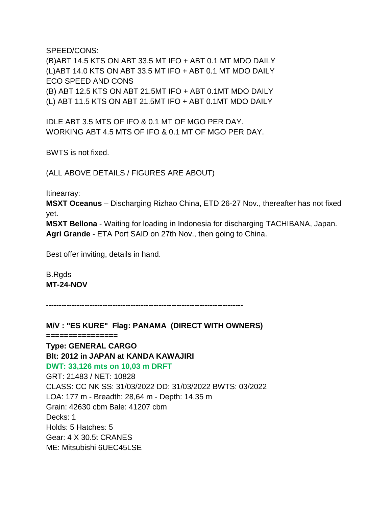SPEED/CONS:

(B)ABT 14.5 KTS ON ABT 33.5 MT IFO + ABT 0.1 MT MDO DAILY (L)ABT 14.0 KTS ON ABT 33.5 MT IFO + ABT 0.1 MT MDO DAILY ECO SPEED AND CONS (B) ABT 12.5 KTS ON ABT 21.5MT IFO + ABT 0.1MT MDO DAILY (L) ABT 11.5 KTS ON ABT 21.5MT IFO + ABT 0.1MT MDO DAILY

IDLE ABT 3.5 MTS OF IFO & 0.1 MT OF MGO PER DAY. WORKING ABT 4.5 MTS OF IFO & 0.1 MT OF MGO PER DAY.

BWTS is not fixed.

(ALL ABOVE DETAILS / FIGURES ARE ABOUT)

Itinearray:

**MSXT Oceanus** – Discharging Rizhao China, ETD 26-27 Nov., thereafter has not fixed yet.

**MSXT Bellona** - Waiting for loading in Indonesia for discharging TACHIBANA, Japan. **Agri Grande** - ETA Port SAID on 27th Nov., then going to China.

Best offer inviting, details in hand.

B.Rgds **MT-24-NOV**

**-----------------------------------------------------------------------------**

**M/V : "ES KURE" Flag: PANAMA (DIRECT WITH OWNERS) ================ Type: GENERAL CARGO Blt: 2012 in JAPAN at KANDA KAWAJIRI DWT: 33,126 mts on 10,03 m DRFT** GRT: 21483 / NET: 10828 CLASS: CC NK SS: 31/03/2022 DD: 31/03/2022 BWTS: 03/2022 LOA: 177 m - Breadth: 28,64 m - Depth: 14,35 m Grain: 42630 cbm Bale: 41207 cbm Decks: 1 Holds: 5 Hatches: 5 Gear: 4 X 30.5t CRANES ME: Mitsubishi 6UEC45LSE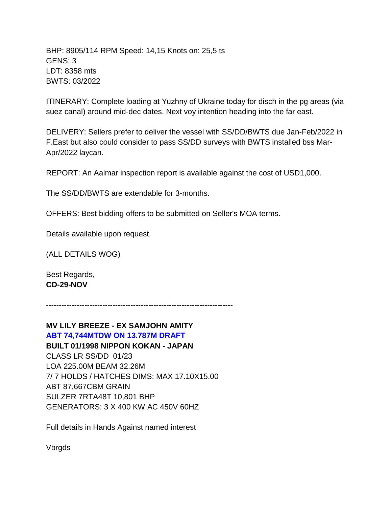BHP: 8905/114 RPM Speed: 14,15 Knots on: 25,5 ts GENS: 3 LDT: 8358 mts BWTS: 03/2022

ITINERARY: Complete loading at Yuzhny of Ukraine today for disch in the pg areas (via suez canal) around mid-dec dates. Next voy intention heading into the far east.

DELIVERY: Sellers prefer to deliver the vessel with SS/DD/BWTS due Jan-Feb/2022 in F.East but also could consider to pass SS/DD surveys with BWTS installed bss Mar-Apr/2022 laycan.

REPORT: An Aalmar inspection report is available against the cost of USD1,000.

The SS/DD/BWTS are extendable for 3-months.

OFFERS: Best bidding offers to be submitted on Seller's MOA terms.

Details available upon request.

(ALL DETAILS WOG)

Best Regards, **CD-29-NOV**

-------------------------------------------------------------------------

**MV LILY BREEZE - EX SAMJOHN AMITY ABT 74,744MTDW ON 13.787M DRAFT BUILT 01/1998 NIPPON KOKAN - JAPAN** CLASS LR SS/DD 01/23 LOA 225.00M BEAM 32.26M 7/ 7 HOLDS / HATCHES DIMS: MAX 17.10X15.00 ABT 87,667CBM GRAIN SULZER 7RTA48T 10,801 BHP GENERATORS: 3 X 400 KW AC 450V 60HZ

Full details in Hands Against named interest

Vbrgds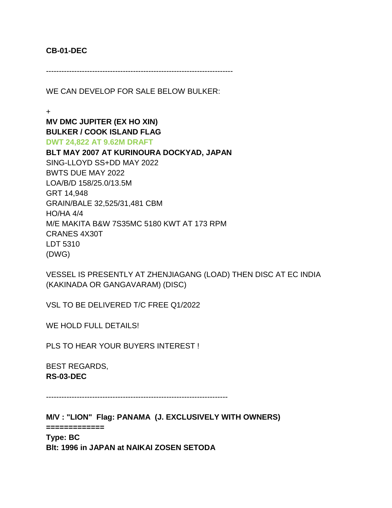#### **CB-01-DEC**

-------------------------------------------------------------------------

WE CAN DEVELOP FOR SALE BELOW BULKER:

+

**MV DMC JUPITER (EX HO XIN) BULKER / COOK ISLAND FLAG DWT 24,822 AT 9.62M DRAFT**

**BLT MAY 2007 AT KURINOURA DOCKYAD, JAPAN** SING-LLOYD SS+DD MAY 2022 BWTS DUE MAY 2022 LOA/B/D 158/25.0/13.5M GRT 14,948 GRAIN/BALE 32,525/31,481 CBM HO/HA 4/4 M/E MAKITA B&W 7S35MC 5180 KWT AT 173 RPM CRANES 4X30T LDT 5310 (DWG)

VESSEL IS PRESENTLY AT ZHENJIAGANG (LOAD) THEN DISC AT EC INDIA (KAKINADA OR GANGAVARAM) (DISC)

VSL TO BE DELIVERED T/C FREE Q1/2022

WE HOLD FULL DETAILS!

PLS TO HEAR YOUR BUYERS INTEREST !

BEST REGARDS, **RS-03-DEC**

-----------------------------------------------------------------------

**M/V : "LION" Flag: PANAMA (J. EXCLUSIVELY WITH OWNERS)**

**=============**

**Type: BC Blt: 1996 in JAPAN at NAIKAI ZOSEN SETODA**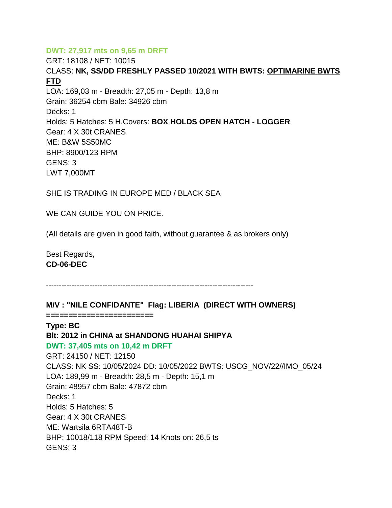## **DWT: 27,917 mts on 9,65 m DRFT**

GRT: 18108 / NET: 10015 CLASS: **NK, SS/DD FRESHLY PASSED 10/2021 WITH BWTS: OPTIMARINE BWTS FTD** LOA: 169,03 m - Breadth: 27,05 m - Depth: 13,8 m Grain: 36254 cbm Bale: 34926 cbm Decks: 1 Holds: 5 Hatches: 5 H.Covers: **BOX HOLDS OPEN HATCH - LOGGER** Gear: 4 X 30t CRANES ME: B&W 5S50MC BHP: 8900/123 RPM GENS: 3 LWT 7,000MT

SHE IS TRADING IN EUROPE MED / BLACK SEA

WE CAN GUIDE YOU ON PRICE.

(All details are given in good faith, without guarantee & as brokers only)

Best Regards, **CD-06-DEC**

---------------------------------------------------------------------------------

### **M/V : "NILE CONFIDANTE" Flag: LIBERIA (DIRECT WITH OWNERS)**

**========================**

**Type: BC**

# **Blt: 2012 in CHINA at SHANDONG HUAHAI SHIPYA DWT: 37,405 mts on 10,42 m DRFT**

GRT: 24150 / NET: 12150 CLASS: NK SS: 10/05/2024 DD: 10/05/2022 BWTS: USCG\_NOV/22//IMO\_05/24 LOA: 189,99 m - Breadth: 28,5 m - Depth: 15,1 m Grain: 48957 cbm Bale: 47872 cbm Decks: 1 Holds: 5 Hatches: 5 Gear: 4 X 30t CRANES ME: Wartsila 6RTA48T-B BHP: 10018/118 RPM Speed: 14 Knots on: 26,5 ts GENS: 3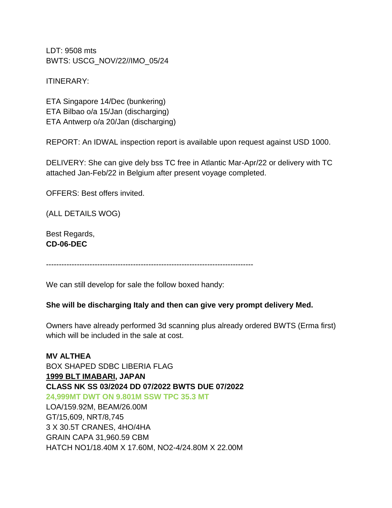LDT: 9508 mts BWTS: USCG\_NOV/22//IMO\_05/24

ITINERARY:

ETA Singapore 14/Dec (bunkering) ETA Bilbao o/a 15/Jan (discharging) ETA Antwerp o/a 20/Jan (discharging)

REPORT: An IDWAL inspection report is available upon request against USD 1000.

DELIVERY: She can give dely bss TC free in Atlantic Mar-Apr/22 or delivery with TC attached Jan-Feb/22 in Belgium after present voyage completed.

OFFERS: Best offers invited.

(ALL DETAILS WOG)

Best Regards, **CD-06-DEC**

---------------------------------------------------------------------------------

We can still develop for sale the follow boxed handy:

#### **She will be discharging Italy and then can give very prompt delivery Med.**

Owners have already performed 3d scanning plus already ordered BWTS (Erma first) which will be included in the sale at cost.

**MV ALTHEA** BOX SHAPED SDBC LIBERIA FLAG **1999 BLT IMABARI, JAPAN CLASS NK SS 03/2024 DD 07/2022 BWTS DUE 07/2022 24,999MT DWT ON 9.801M SSW TPC 35.3 MT** LOA/159.92M, BEAM/26.00M GT/15,609, NRT/8,745 3 X 30.5T CRANES, 4HO/4HA GRAIN CAPA 31,960.59 CBM HATCH NO1/18.40M X 17.60M, NO2-4/24.80M X 22.00M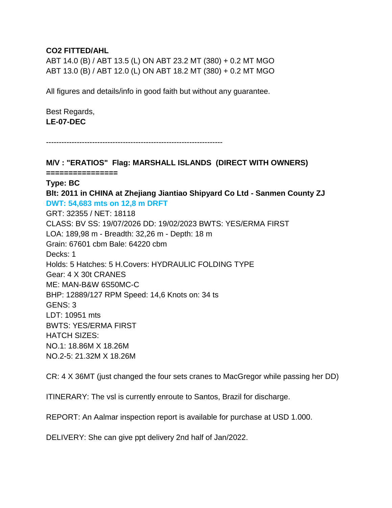#### **CO2 FITTED/AHL**

ABT 14.0 (B) / ABT 13.5 (L) ON ABT 23.2 MT (380) + 0.2 MT MGO ABT 13.0 (B) / ABT 12.0 (L) ON ABT 18.2 MT (380) + 0.2 MT MGO

All figures and details/info in good faith but without any guarantee.

Best Regards, **LE-07-DEC**

---------------------------------------------------------------------

**M/V : "ERATIOS" Flag: MARSHALL ISLANDS (DIRECT WITH OWNERS) ================ Type: BC Blt: 2011 in CHINA at Zhejiang Jiantiao Shipyard Co Ltd - Sanmen County ZJ DWT: 54,683 mts on 12,8 m DRFT** GRT: 32355 / NET: 18118 CLASS: BV SS: 19/07/2026 DD: 19/02/2023 BWTS: YES/ERMA FIRST LOA: 189,98 m - Breadth: 32,26 m - Depth: 18 m Grain: 67601 cbm Bale: 64220 cbm Decks: 1 Holds: 5 Hatches: 5 H.Covers: HYDRAULIC FOLDING TYPE Gear: 4 X 30t CRANES ME: MAN-B&W 6S50MC-C BHP: 12889/127 RPM Speed: 14,6 Knots on: 34 ts GENS: 3 LDT: 10951 mts BWTS: YES/ERMA FIRST HATCH SIZES: NO.1: 18.86M X 18.26M NO.2-5: 21.32M X 18.26M

CR: 4 X 36MT (just changed the four sets cranes to MacGregor while passing her DD)

ITINERARY: The vsl is currently enroute to Santos, Brazil for discharge.

REPORT: An Aalmar inspection report is available for purchase at USD 1.000.

DELIVERY: She can give ppt delivery 2nd half of Jan/2022.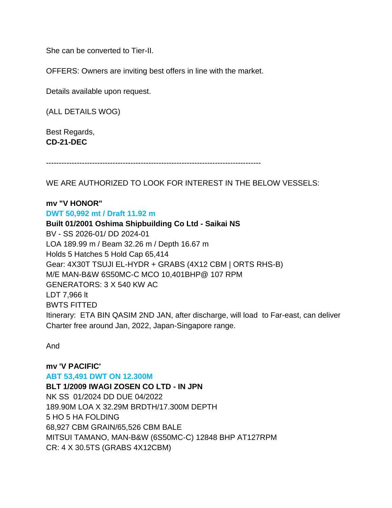She can be converted to Tier-II.

OFFERS: Owners are inviting best offers in line with the market.

Details available upon request.

(ALL DETAILS WOG)

Best Regards, **CD-21-DEC**

------------------------------------------------------------------------------------

WE ARE AUTHORIZED TO LOOK FOR INTEREST IN THE BELOW VESSELS:

#### **mv "V HONOR"**

**DWT 50,992 mt / Draft 11.92 m**

**Built 01/2001 Oshima Shipbuilding Co Ltd - Saikai NS** BV - SS 2026-01/ DD 2024-01 LOA 189.99 m / Beam 32.26 m / Depth 16.67 m Holds 5 Hatches 5 Hold Cap 65,414 Gear: 4X30T TSUJI EL-HYDR + GRABS (4X12 CBM | ORTS RHS-B) M/E MAN-B&W 6S50MC-C MCO 10,401BHP@ 107 RPM GENERATORS: 3 X 540 KW AC LDT 7,966 lt BWTS FITTED Itinerary: ETA BIN QASIM 2ND JAN, after discharge, will load to Far-east, can deliver Charter free around Jan, 2022, Japan-Singapore range.

And

**mv 'V PACIFIC' ABT 53,491 DWT ON 12.300M BLT 1/2009 IWAGI ZOSEN CO LTD - IN JPN** NK SS 01/2024 DD DUE 04/2022 189.90M LOA X 32.29M BRDTH/17.300M DEPTH 5 HO 5 HA FOLDING 68,927 CBM GRAIN/65,526 CBM BALE MITSUI TAMANO, MAN-B&W (6S50MC-C) 12848 BHP AT127RPM CR: 4 X 30.5TS (GRABS 4X12CBM)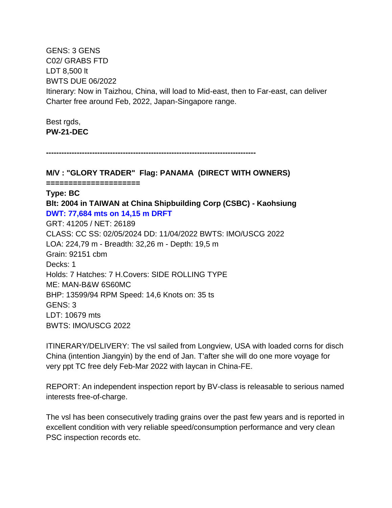GENS: 3 GENS C02/ GRABS FTD LDT 8,500 lt BWTS DUE 06/2022 Itinerary: Now in Taizhou, China, will load to Mid-east, then to Far-east, can deliver Charter free around Feb, 2022, Japan-Singapore range.

Best rgds, **PW-21-DEC**

**----------------------------------------------------------------------------------**

**M/V : "GLORY TRADER" Flag: PANAMA (DIRECT WITH OWNERS)**

**=====================**

#### **Type: BC**

**Blt: 2004 in TAIWAN at China Shipbuilding Corp (CSBC) - Kaohsiung DWT: 77,684 mts on 14,15 m DRFT**

GRT: 41205 / NET: 26189 CLASS: CC SS: 02/05/2024 DD: 11/04/2022 BWTS: IMO/USCG 2022 LOA: 224,79 m - Breadth: 32,26 m - Depth: 19,5 m Grain: 92151 cbm Decks: 1 Holds: 7 Hatches: 7 H.Covers: SIDE ROLLING TYPE ME: MAN-B&W 6S60MC BHP: 13599/94 RPM Speed: 14,6 Knots on: 35 ts GENS: 3 LDT: 10679 mts BWTS: IMO/USCG 2022

ITINERARY/DELIVERY: The vsl sailed from Longview, USA with loaded corns for disch China (intention Jiangyin) by the end of Jan. T'after she will do one more voyage for very ppt TC free dely Feb-Mar 2022 with laycan in China-FE.

REPORT: An independent inspection report by BV-class is releasable to serious named interests free-of-charge.

The vsl has been consecutively trading grains over the past few years and is reported in excellent condition with very reliable speed/consumption performance and very clean PSC inspection records etc.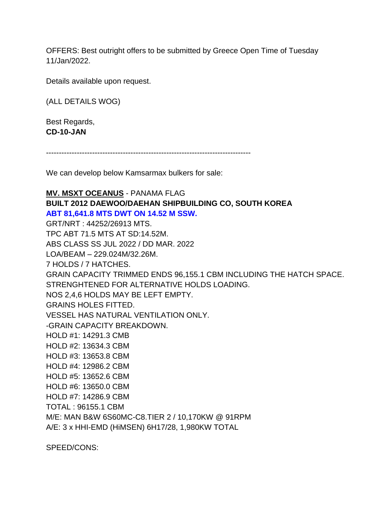OFFERS: Best outright offers to be submitted by Greece Open Time of Tuesday 11/Jan/2022.

Details available upon request.

(ALL DETAILS WOG)

Best Regards, **CD-10-JAN**

--------------------------------------------------------------------------------

We can develop below Kamsarmax bulkers for sale:

**MV. MSXT OCEANUS** - PANAMA FLAG **BUILT 2012 DAEWOO/DAEHAN SHIPBUILDING CO, SOUTH KOREA ABT 81,641.8 MTS DWT ON 14.52 M SSW.** GRT/NRT : 44252/26913 MTS. TPC ABT 71.5 MTS AT SD:14.52M. ABS CLASS SS JUL 2022 / DD MAR. 2022 LOA/BEAM – 229.024M/32.26M. 7 HOLDS / 7 HATCHES. GRAIN CAPACITY TRIMMED ENDS 96,155.1 CBM INCLUDING THE HATCH SPACE. STRENGHTENED FOR ALTERNATIVE HOLDS LOADING. NOS 2,4,6 HOLDS MAY BE LEFT EMPTY. GRAINS HOLES FITTED. VESSEL HAS NATURAL VENTILATION ONLY. -GRAIN CAPACITY BREAKDOWN. HOLD #1: 14291.3 CMB HOLD #2: 13634.3 CBM HOLD #3: 13653.8 CBM HOLD #4: 12986.2 CBM HOLD #5: 13652.6 CBM HOLD #6: 13650.0 CBM HOLD #7: 14286.9 CBM TOTAL : 96155.1 CBM M/E: MAN B&W 6S60MC-C8.TIER 2 / 10,170KW @ 91RPM A/E: 3 x HHI-EMD (HiMSEN) 6H17/28, 1,980KW TOTAL

SPEED/CONS: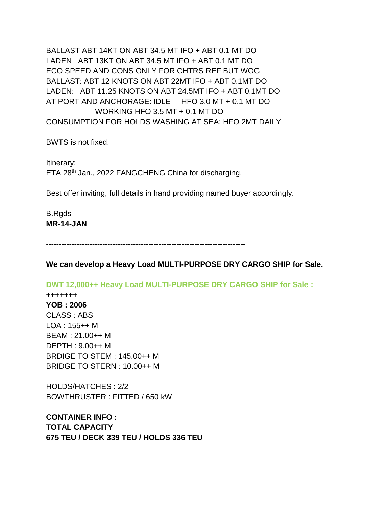BALLAST ABT 14KT ON ABT 34.5 MT IFO + ABT 0.1 MT DO LADEN ABT 13KT ON ABT 34.5 MT IFO + ABT 0.1 MT DO ECO SPEED AND CONS ONLY FOR CHTRS REF BUT WOG BALLAST: ABT 12 KNOTS ON ABT 22MT IFO + ABT 0.1MT DO LADEN: ABT 11.25 KNOTS ON ABT 24.5MT IFO + ABT 0.1MT DO AT PORT AND ANCHORAGE: IDLE HFO 3.0 MT + 0.1 MT DO WORKING HFO 3.5 MT + 0.1 MT DO CONSUMPTION FOR HOLDS WASHING AT SEA: HFO 2MT DAILY

BWTS is not fixed.

Itinerary: ETA 28<sup>th</sup> Jan., 2022 FANGCHENG China for discharging.

Best offer inviting, full details in hand providing named buyer accordingly.

B.Rgds **MR-14-JAN**

**------------------------------------------------------------------------------**

**We can develop a Heavy Load MULTI-PURPOSE DRY CARGO SHIP for Sale.**

**DWT 12,000++ Heavy Load MULTI-PURPOSE DRY CARGO SHIP for Sale :**

**+++++++ YOB : 2006** CLASS : ABS LOA : 155++ M BEAM : 21.00++ M DEPTH : 9.00++ M BRDIGE TO STEM : 145.00++ M BRIDGE TO STERN : 10.00++ M

HOLDS/HATCHES : 2/2 BOWTHRUSTER : FITTED / 650 kW

**CONTAINER INFO : TOTAL CAPACITY 675 TEU / DECK 339 TEU / HOLDS 336 TEU**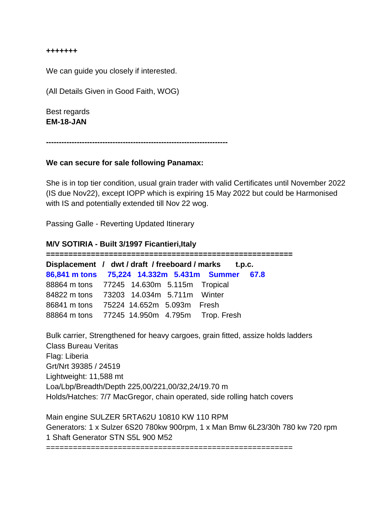**+++++++** 

We can guide you closely if interested.

(All Details Given in Good Faith, WOG)

Best regards **EM-18-JAN**

**-----------------------------------------------------------------------**

#### **We can secure for sale following Panamax:**

She is in top tier condition, usual grain trader with valid Certificates until November 2022 (IS due Nov22), except IOPP which is expiring 15 May 2022 but could be Harmonised with IS and potentially extended till Nov 22 wog.

Passing Galle - Reverting Updated Itinerary

#### **M/V SOTIRIA - Built 3/1997 Ficantieri,Italy**

**======================================================= Displacement / dwt / draft / freeboard / marks t.p.c. 86,841 m tons 75,224 14.332m 5.431m Summer 67.8** 88864 m tons 77245 14.630m 5.115m Tropical 84822 m tons 73203 14.034m 5.711m Winter 86841 m tons 75224 14.652m 5.093m Fresh 88864 m tons 77245 14.950m 4.795m Trop. Fresh

Bulk carrier, Strengthened for heavy cargoes, grain fitted, assize holds ladders Class Bureau Veritas Flag: Liberia Grt/Nrt 39385 / 24519 Lightweight: 11,588 mt Loa/Lbp/Breadth/Depth 225,00/221,00/32,24/19.70 m Holds/Hatches: 7/7 MacGregor, chain operated, side rolling hatch covers

Main engine SULZER 5RTA62U 10810 KW 110 RPM Generators: 1 x Sulzer 6S20 780kw 900rpm, 1 x Man Bmw 6L23/30h 780 kw 720 rpm 1 Shaft Generator STN S5L 900 M52

=======================================================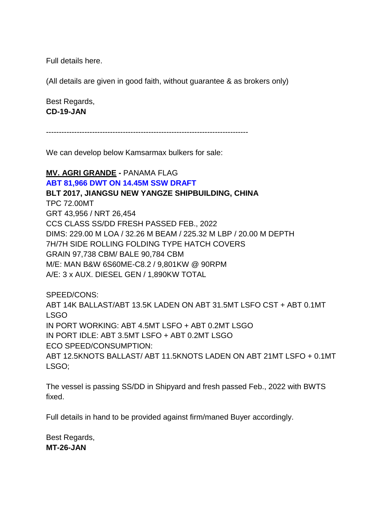Full details here.

(All details are given in good faith, without guarantee & as brokers only)

Best Regards, **CD-19-JAN**

-------------------------------------------------------------------------------

We can develop below Kamsarmax bulkers for sale:

### **MV. AGRI GRANDE -** PANAMA FLAG

### **ABT 81,966 DWT ON 14.45M SSW DRAFT**

#### **BLT 2017, JIANGSU NEW YANGZE SHIPBUILDING, CHINA**

TPC 72.00MT GRT 43,956 / NRT 26,454 CCS CLASS SS/DD FRESH PASSED FEB., 2022 DIMS: 229.00 M LOA / 32.26 M BEAM / 225.32 M LBP / 20.00 M DEPTH 7H/7H SIDE ROLLING FOLDING TYPE HATCH COVERS GRAIN 97,738 CBM/ BALE 90,784 CBM M/E: MAN B&W 6S60ME-C8.2 / 9,801KW @ 90RPM A/E: 3 x AUX. DIESEL GEN / 1,890KW TOTAL

SPEED/CONS:

ABT 14K BALLAST/ABT 13.5K LADEN ON ABT 31.5MT LSFO CST + ABT 0.1MT LSGO IN PORT WORKING: ABT 4.5MT LSFO + ABT 0.2MT LSGO IN PORT IDLE: ABT 3.5MT LSFO + ABT 0.2MT LSGO ECO SPEED/CONSUMPTION: ABT 12.5KNOTS BALLAST/ ABT 11.5KNOTS LADEN ON ABT 21MT LSFO + 0.1MT LSGO;

The vessel is passing SS/DD in Shipyard and fresh passed Feb., 2022 with BWTS fixed.

Full details in hand to be provided against firm/maned Buyer accordingly.

Best Regards, **MT-26-JAN**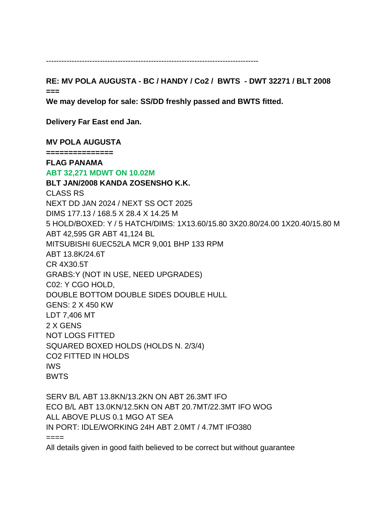-----------------------------------------------------------------------------------

**RE: MV POLA AUGUSTA - BC / HANDY / Co2 / BWTS - DWT 32271 / BLT 2008 ===**

**We may develop for sale: SS/DD freshly passed and BWTS fitted.** 

**Delivery Far East end Jan.** 

**MV POLA AUGUSTA** 

**===============**

#### **FLAG PANAMA ABT 32,271 MDWT ON 10.02M**

**BLT JAN/2008 KANDA ZOSENSHO K.K.** CLASS RS NEXT DD JAN 2024 / NEXT SS OCT 2025 DIMS 177.13 / 168.5 X 28.4 X 14.25 M 5 HOLD/BOXED: Y / 5 HATCH/DIMS: 1X13.60/15.80 3X20.80/24.00 1X20.40/15.80 M ABT 42,595 GR ABT 41,124 BL MITSUBISHI 6UEC52LA MCR 9,001 BHP 133 RPM ABT 13.8K/24.6T CR 4X30.5T GRABS:Y (NOT IN USE, NEED UPGRADES) C02: Y CGO HOLD, DOUBLE BOTTOM DOUBLE SIDES DOUBLE HULL GENS: 2 X 450 KW LDT 7,406 MT 2 X GENS NOT LOGS FITTED SQUARED BOXED HOLDS (HOLDS N. 2/3/4) CO2 FITTED IN HOLDS IWS BWTS

SERV B/L ABT 13.8KN/13.2KN ON ABT 26.3MT IFO ECO B/L ABT 13.0KN/12.5KN ON ABT 20.7MT/22.3MT IFO WOG ALL ABOVE PLUS 0.1 MGO AT SEA IN PORT: IDLE/WORKING 24H ABT 2.0MT / 4.7MT IFO380  $====$ 

All details given in good faith believed to be correct but without guarantee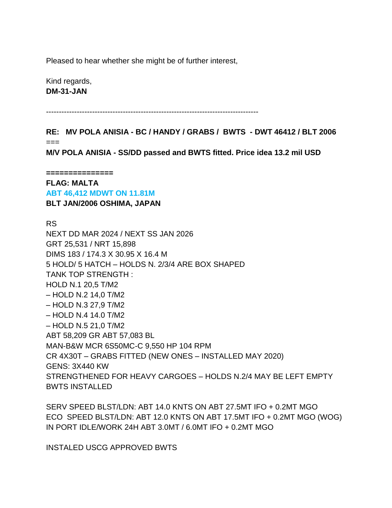Pleased to hear whether she might be of further interest,

Kind regards, **DM-31-JAN**

-----------------------------------------------------------------------------------

**RE: MV POLA ANISIA - BC / HANDY / GRABS / BWTS - DWT 46412 / BLT 2006** ===

**M/V POLA ANISIA - SS/DD passed and BWTS fitted. Price idea 13.2 mil USD**

**===============**

**FLAG: MALTA ABT 46,412 MDWT ON 11.81M BLT JAN/2006 OSHIMA, JAPAN**

RS

NEXT DD MAR 2024 / NEXT SS JAN 2026 GRT 25,531 / NRT 15,898 DIMS 183 / 174.3 X 30.95 X 16.4 M 5 HOLD/ 5 HATCH – HOLDS N. 2/3/4 ARE BOX SHAPED TANK TOP STRENGTH : HOLD N.1 20,5 T/M2 – HOLD N.2 14,0 T/M2 – HOLD N.3 27,9 T/M2 – HOLD N.4 14.0 T/M2 – HOLD N.5 21,0 T/M2 ABT 58,209 GR ABT 57,083 BL MAN-B&W MCR 6S50MC-C 9,550 HP 104 RPM CR 4X30T – GRABS FITTED (NEW ONES – INSTALLED MAY 2020) GENS: 3X440 KW STRENGTHENED FOR HEAVY CARGOES – HOLDS N.2/4 MAY BE LEFT EMPTY BWTS INSTALLED

SERV SPEED BLST/LDN: ABT 14.0 KNTS ON ABT 27.5MT IFO + 0.2MT MGO ECO SPEED BLST/LDN: ABT 12.0 KNTS ON ABT 17.5MT IFO + 0.2MT MGO (WOG) IN PORT IDLE/WORK 24H ABT 3.0MT / 6.0MT IFO + 0.2MT MGO

INSTALED USCG APPROVED BWTS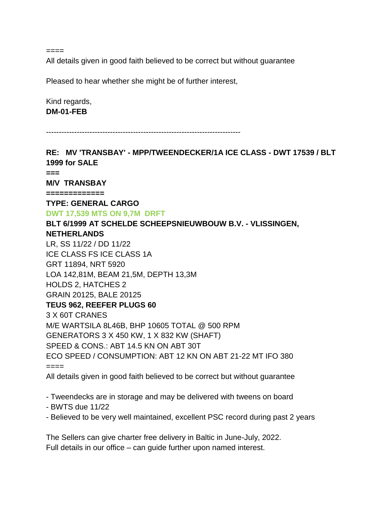$====$ 

All details given in good faith believed to be correct but without guarantee

Pleased to hear whether she might be of further interest,

Kind regards, **DM-01-FEB**

----------------------------------------------------------------------------

**RE: MV 'TRANSBAY' - MPP/TWEENDECKER/1A ICE CLASS - DWT 17539 / BLT 1999 for SALE === M/V TRANSBAY ============= TYPE: GENERAL CARGO DWT 17,539 MTS ON 9,7M DRFT BLT 6/1999 AT SCHELDE SCHEEPSNIEUWBOUW B.V. - VLISSINGEN, NETHERLANDS** LR, SS 11/22 / DD 11/22 ICE CLASS FS ICE CLASS 1A GRT 11894, NRT 5920 LOA 142,81M, BEAM 21,5M, DEPTH 13,3M HOLDS 2, HATCHES 2 GRAIN 20125, BALE 20125 **TEUS 962, REEFER PLUGS 60** 3 X 60T CRANES M/E WARTSILA 8L46B, BHP 10605 TOTAL @ 500 RPM GENERATORS 3 X 450 KW, 1 X 832 KW (SHAFT) SPEED & CONS.: ABT 14.5 KN ON ABT 30T ECO SPEED / CONSUMPTION: ABT 12 KN ON ABT 21-22 MT IFO 380 ==== All details given in good faith believed to be correct but without guarantee

- Tweendecks are in storage and may be delivered with tweens on board

- BWTS due 11/22
- Believed to be very well maintained, excellent PSC record during past 2 years

The Sellers can give charter free delivery in Baltic in June-July, 2022. Full details in our office – can guide further upon named interest.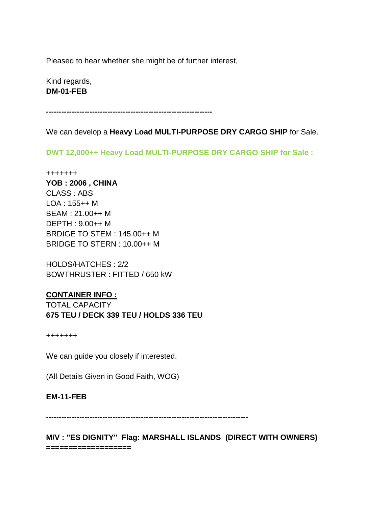Pleased to hear whether she might be of further interest,

Kind regards, **DM-01-FEB**

**-----------------------------------------------------------------**

We can develop a **Heavy Load MULTI-PURPOSE DRY CARGO SHIP** for Sale.

**DWT 12,000++ Heavy Load MULTI-PURPOSE DRY CARGO SHIP for Sale :**

+++++++ **YOB : 2006 , CHINA** CLASS : ABS LOA : 155++ M BEAM : 21.00++ M DEPTH : 9.00++ M BRDIGE TO STEM : 145.00++ M BRIDGE TO STERN : 10.00++ M

HOLDS/HATCHES : 2/2 BOWTHRUSTER : FITTED / 650 kW

### **CONTAINER INFO :**

TOTAL CAPACITY **675 TEU / DECK 339 TEU / HOLDS 336 TEU**

+++++++

We can guide you closely if interested.

(All Details Given in Good Faith, WOG)

#### **EM-11-FEB**

-------------------------------------------------------------------------------

**M/V : "ES DIGNITY" Flag: MARSHALL ISLANDS (DIRECT WITH OWNERS) ===================**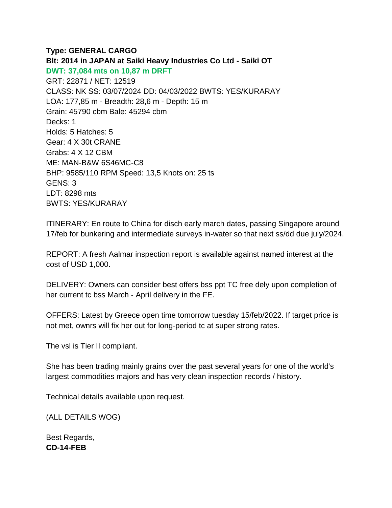# **Type: GENERAL CARGO**

**Blt: 2014 in JAPAN at Saiki Heavy Industries Co Ltd - Saiki OT DWT: 37,084 mts on 10,87 m DRFT** GRT: 22871 / NET: 12519 CLASS: NK SS: 03/07/2024 DD: 04/03/2022 BWTS: YES/KURARAY LOA: 177,85 m - Breadth: 28,6 m - Depth: 15 m Grain: 45790 cbm Bale: 45294 cbm Decks: 1 Holds: 5 Hatches: 5 Gear: 4 X 30t CRANE Grabs: 4 X 12 CBM ME: MAN-B&W 6S46MC-C8 BHP: 9585/110 RPM Speed: 13,5 Knots on: 25 ts GENS: 3 LDT: 8298 mts BWTS: YES/KURARAY

ITINERARY: En route to China for disch early march dates, passing Singapore around 17/feb for bunkering and intermediate surveys in-water so that next ss/dd due july/2024.

REPORT: A fresh Aalmar inspection report is available against named interest at the cost of USD 1,000.

DELIVERY: Owners can consider best offers bss ppt TC free dely upon completion of her current tc bss March - April delivery in the FE.

OFFERS: Latest by Greece open time tomorrow tuesday 15/feb/2022. If target price is not met, ownrs will fix her out for long-period tc at super strong rates.

The vsl is Tier II compliant.

She has been trading mainly grains over the past several years for one of the world's largest commodities majors and has very clean inspection records / history.

Technical details available upon request.

(ALL DETAILS WOG)

Best Regards, **CD-14-FEB**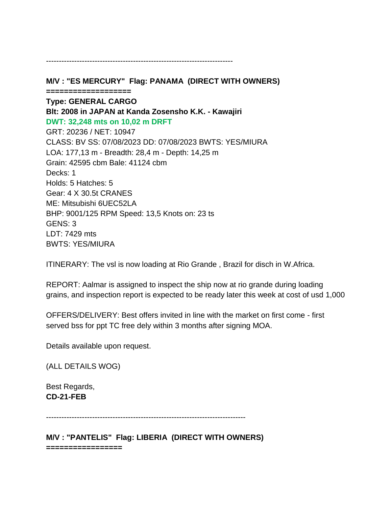**M/V : "ES MERCURY" Flag: PANAMA (DIRECT WITH OWNERS) =================== Type: GENERAL CARGO Blt: 2008 in JAPAN at Kanda Zosensho K.K. - Kawajiri DWT: 32,248 mts on 10,02 m DRFT** GRT: 20236 / NET: 10947 CLASS: BV SS: 07/08/2023 DD: 07/08/2023 BWTS: YES/MIURA LOA: 177,13 m - Breadth: 28,4 m - Depth: 14,25 m Grain: 42595 cbm Bale: 41124 cbm Decks: 1 Holds: 5 Hatches: 5 Gear: 4 X 30.5t CRANES ME: Mitsubishi 6UEC52LA BHP: 9001/125 RPM Speed: 13,5 Knots on: 23 ts GENS: 3 LDT: 7429 mts BWTS: YES/MIURA

-------------------------------------------------------------------------

ITINERARY: The vsl is now loading at Rio Grande , Brazil for disch in W.Africa.

REPORT: Aalmar is assigned to inspect the ship now at rio grande during loading grains, and inspection report is expected to be ready later this week at cost of usd 1,000

OFFERS/DELIVERY: Best offers invited in line with the market on first come - first served bss for ppt TC free dely within 3 months after signing MOA.

Details available upon request.

(ALL DETAILS WOG)

Best Regards, **CD-21-FEB**

------------------------------------------------------------------------------

**M/V : "PANTELIS" Flag: LIBERIA (DIRECT WITH OWNERS) =================**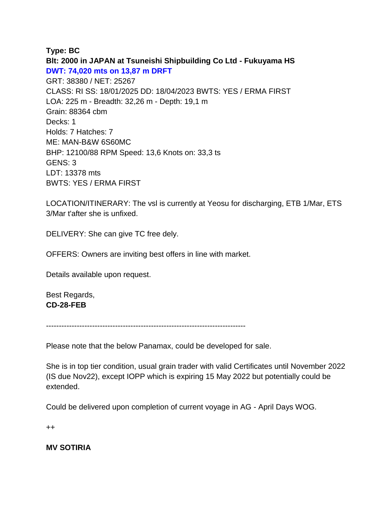### **Type: BC**

**Blt: 2000 in JAPAN at Tsuneishi Shipbuilding Co Ltd - Fukuyama HS DWT: 74,020 mts on 13,87 m DRFT** GRT: 38380 / NET: 25267 CLASS: RI SS: 18/01/2025 DD: 18/04/2023 BWTS: YES / ERMA FIRST LOA: 225 m - Breadth: 32,26 m - Depth: 19,1 m Grain: 88364 cbm Decks: 1 Holds: 7 Hatches: 7 ME: MAN-B&W 6S60MC BHP: 12100/88 RPM Speed: 13,6 Knots on: 33,3 ts GENS: 3 LDT: 13378 mts BWTS: YES / ERMA FIRST

LOCATION/ITINERARY: The vsl is currently at Yeosu for discharging, ETB 1/Mar, ETS 3/Mar t'after she is unfixed.

DELIVERY: She can give TC free dely.

OFFERS: Owners are inviting best offers in line with market.

Details available upon request.

Best Regards, **CD-28-FEB**

------------------------------------------------------------------------------

Please note that the below Panamax, could be developed for sale.

She is in top tier condition, usual grain trader with valid Certificates until November 2022 (IS due Nov22), except IOPP which is expiring 15 May 2022 but potentially could be extended.

Could be delivered upon completion of current voyage in AG - April Days WOG.

++

**MV SOTIRIA**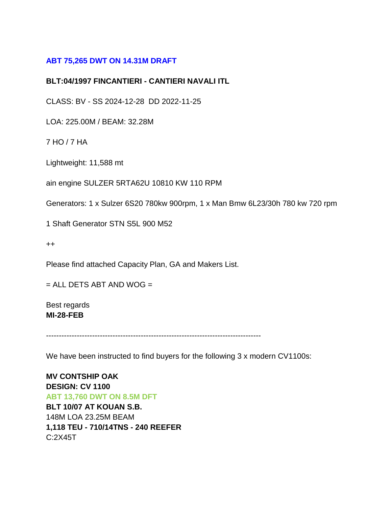# **ABT 75,265 DWT ON 14.31M DRAFT**

#### **BLT:04/1997 FINCANTIERI - CANTIERI NAVALI ITL**

CLASS: BV - SS 2024-12-28 DD 2022-11-25

LOA: 225.00M / BEAM: 32.28M

7 HO / 7 HA

Lightweight: 11,588 mt

ain engine SULZER 5RTA62U 10810 KW 110 RPM

Generators: 1 x Sulzer 6S20 780kw 900rpm, 1 x Man Bmw 6L23/30h 780 kw 720 rpm

1 Shaft Generator STN S5L 900 M52

++

Please find attached Capacity Plan, GA and Makers List.

 $=$  ALL DETS ABT AND WOG  $=$ 

Best regards **MI-28-FEB**

------------------------------------------------------------------------------------

We have been instructed to find buyers for the following 3 x modern CV1100s:

**MV CONTSHIP OAK DESIGN: CV 1100 ABT 13,760 DWT ON 8.5M DFT BLT 10/07 AT KOUAN S.B.** 148M LOA 23.25M BEAM **1,118 TEU - 710/14TNS - 240 REEFER** C:2X45T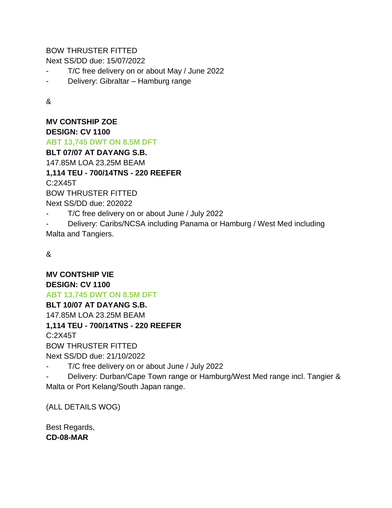BOW THRUSTER FITTED

Next SS/DD due: 15/07/2022

- T/C free delivery on or about May / June 2022
- Delivery: Gibraltar Hamburg range

&

**MV CONTSHIP ZOE DESIGN: CV 1100 ABT 13,745 DWT ON 8.5M DFT BLT 07/07 AT DAYANG S.B.** 147.85M LOA 23.25M BEAM **1,114 TEU - 700/14TNS - 220 REEFER** C:2X45T BOW THRUSTER FITTED Next SS/DD due: 202022 T/C free delivery on or about June / July 2022

Delivery: Caribs/NCSA including Panama or Hamburg / West Med including Malta and Tangiers.

&

**MV CONTSHIP VIE**

### **DESIGN: CV 1100**

**ABT 13,745 DWT ON 8.5M DFT**

**BLT 10/07 AT DAYANG S.B.**

147.85M LOA 23.25M BEAM

### **1,114 TEU - 700/14TNS - 220 REEFER**

C:2X45T

BOW THRUSTER FITTED

Next SS/DD due: 21/10/2022

T/C free delivery on or about June / July 2022

Delivery: Durban/Cape Town range or Hamburg/West Med range incl. Tangier & Malta or Port Kelang/South Japan range.

(ALL DETAILS WOG)

Best Regards, **CD-08-MAR**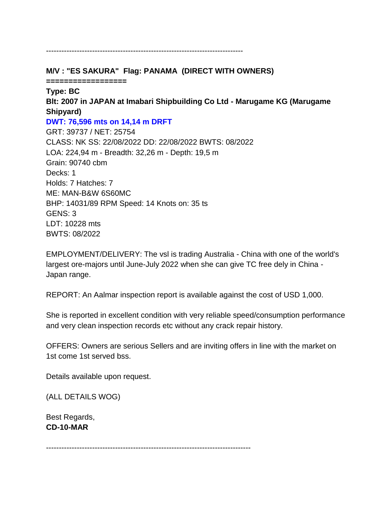**M/V : "ES SAKURA" Flag: PANAMA (DIRECT WITH OWNERS)**

-----------------------------------------------------------------------------

**==================**

# **Type: BC**

**Blt: 2007 in JAPAN at Imabari Shipbuilding Co Ltd - Marugame KG (Marugame Shipyard)**

# **DWT: 76,596 mts on 14,14 m DRFT**

GRT: 39737 / NET: 25754 CLASS: NK SS: 22/08/2022 DD: 22/08/2022 BWTS: 08/2022 LOA: 224,94 m - Breadth: 32,26 m - Depth: 19,5 m Grain: 90740 cbm Decks: 1 Holds: 7 Hatches: 7 ME: MAN-B&W 6S60MC BHP: 14031/89 RPM Speed: 14 Knots on: 35 ts GENS: 3 LDT: 10228 mts BWTS: 08/2022

EMPLOYMENT/DELIVERY: The vsl is trading Australia - China with one of the world's largest ore-majors until June-July 2022 when she can give TC free dely in China - Japan range.

REPORT: An Aalmar inspection report is available against the cost of USD 1,000.

She is reported in excellent condition with very reliable speed/consumption performance and very clean inspection records etc without any crack repair history.

OFFERS: Owners are serious Sellers and are inviting offers in line with the market on 1st come 1st served bss.

Details available upon request.

(ALL DETAILS WOG)

Best Regards, **CD-10-MAR**

--------------------------------------------------------------------------------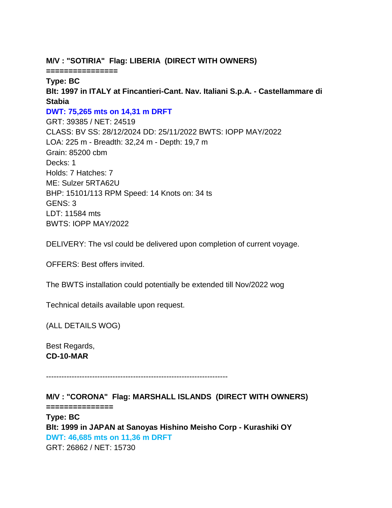## **M/V : "SOTIRIA" Flag: LIBERIA (DIRECT WITH OWNERS)**

**================**

**Type: BC Blt: 1997 in ITALY at Fincantieri-Cant. Nav. Italiani S.p.A. - Castellammare di Stabia DWT: 75,265 mts on 14,31 m DRFT** GRT: 39385 / NET: 24519 CLASS: BV SS: 28/12/2024 DD: 25/11/2022 BWTS: IOPP MAY/2022 LOA: 225 m - Breadth: 32,24 m - Depth: 19,7 m Grain: 85200 cbm Decks: 1 Holds: 7 Hatches: 7 ME: Sulzer 5RTA62U BHP: 15101/113 RPM Speed: 14 Knots on: 34 ts GENS: 3

LDT: 11584 mts BWTS: IOPP MAY/2022

DELIVERY: The vsl could be delivered upon completion of current voyage.

OFFERS: Best offers invited.

The BWTS installation could potentially be extended till Nov/2022 wog

Technical details available upon request.

(ALL DETAILS WOG)

Best Regards, **CD-10-MAR**

-----------------------------------------------------------------------

**M/V : "CORONA" Flag: MARSHALL ISLANDS (DIRECT WITH OWNERS) ===============**

**Type: BC Blt: 1999 in JAPAN at Sanoyas Hishino Meisho Corp - Kurashiki OY DWT: 46,685 mts on 11,36 m DRFT** GRT: 26862 / NET: 15730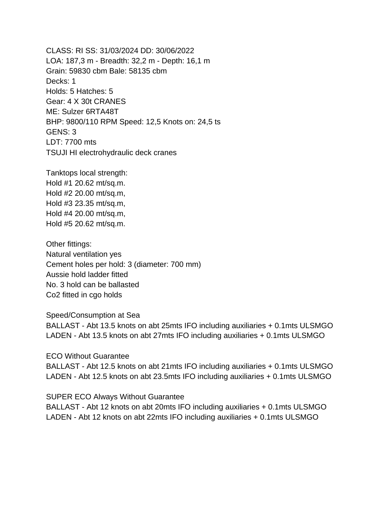CLASS: RI SS: 31/03/2024 DD: 30/06/2022 LOA: 187,3 m - Breadth: 32,2 m - Depth: 16,1 m Grain: 59830 cbm Bale: 58135 cbm Decks: 1 Holds: 5 Hatches: 5 Gear: 4 X 30t CRANES ME: Sulzer 6RTA48T BHP: 9800/110 RPM Speed: 12,5 Knots on: 24,5 ts GENS: 3 LDT: 7700 mts TSUJI HI electrohydraulic deck cranes

Tanktops local strength: Hold #1 20.62 mt/sq.m. Hold #2 20.00 mt/sq.m, Hold #3 23.35 mt/sq.m, Hold #4 20.00 mt/sq.m, Hold #5 20.62 mt/sq.m.

Other fittings: Natural ventilation yes Cement holes per hold: 3 (diameter: 700 mm) Aussie hold ladder fitted No. 3 hold can be ballasted Co2 fitted in cgo holds

Speed/Consumption at Sea

BALLAST - Abt 13.5 knots on abt 25mts IFO including auxiliaries + 0.1mts ULSMGO LADEN - Abt 13.5 knots on abt 27mts IFO including auxiliaries + 0.1mts ULSMGO

ECO Without Guarantee

BALLAST - Abt 12.5 knots on abt 21mts IFO including auxiliaries + 0.1mts ULSMGO LADEN - Abt 12.5 knots on abt 23.5mts IFO including auxiliaries + 0.1mts ULSMGO

SUPER ECO Always Without Guarantee BALLAST - Abt 12 knots on abt 20mts IFO including auxiliaries + 0.1mts ULSMGO LADEN - Abt 12 knots on abt 22mts IFO including auxiliaries + 0.1mts ULSMGO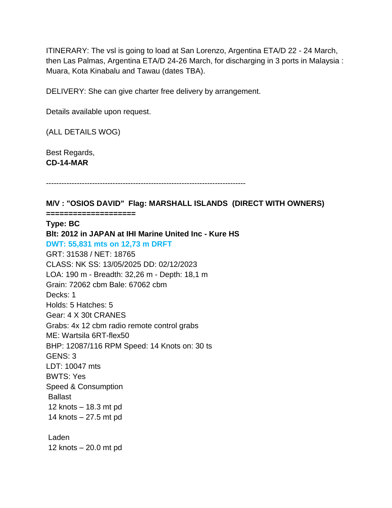ITINERARY: The vsl is going to load at San Lorenzo, Argentina ETA/D 22 - 24 March, then Las Palmas, Argentina ETA/D 24-26 March, for discharging in 3 ports in Malaysia : Muara, Kota Kinabalu and Tawau (dates TBA).

DELIVERY: She can give charter free delivery by arrangement.

Details available upon request.

(ALL DETAILS WOG)

Best Regards, **CD-14-MAR**

------------------------------------------------------------------------------

**M/V : "OSIOS DAVID" Flag: MARSHALL ISLANDS (DIRECT WITH OWNERS)**

**====================**

#### **Type: BC**

**Blt: 2012 in JAPAN at IHI Marine United Inc - Kure HS DWT: 55,831 mts on 12,73 m DRFT** GRT: 31538 / NET: 18765 CLASS: NK SS: 13/05/2025 DD: 02/12/2023 LOA: 190 m - Breadth: 32,26 m - Depth: 18,1 m Grain: 72062 cbm Bale: 67062 cbm Decks: 1 Holds: 5 Hatches: 5 Gear: 4 X 30t CRANES Grabs: 4x 12 cbm radio remote control grabs ME: Wartsila 6RT-flex50 BHP: 12087/116 RPM Speed: 14 Knots on: 30 ts GENS: 3 LDT: 10047 mts BWTS: Yes Speed & Consumption Ballast 12 knots – 18.3 mt pd 14 knots – 27.5 mt pd Laden

12 knots – 20.0 mt pd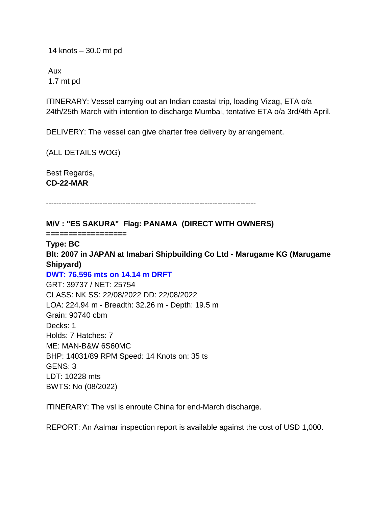14 knots – 30.0 mt pd

Aux 1.7 mt pd

ITINERARY: Vessel carrying out an Indian coastal trip, loading Vizag, ETA o/a 24th/25th March with intention to discharge Mumbai, tentative ETA o/a 3rd/4th April.

DELIVERY: The vessel can give charter free delivery by arrangement.

(ALL DETAILS WOG)

Best Regards, **CD-22-MAR**

----------------------------------------------------------------------------------

**M/V : "ES SAKURA" Flag: PANAMA (DIRECT WITH OWNERS)**

**==================**

**Type: BC Blt: 2007 in JAPAN at Imabari Shipbuilding Co Ltd - Marugame KG (Marugame Shipyard) DWT: 76,596 mts on 14.14 m DRFT** GRT: 39737 / NET: 25754 CLASS: NK SS: 22/08/2022 DD: 22/08/2022 LOA: 224.94 m - Breadth: 32.26 m - Depth: 19.5 m Grain: 90740 cbm Decks: 1 Holds: 7 Hatches: 7 ME: MAN-B&W 6S60MC BHP: 14031/89 RPM Speed: 14 Knots on: 35 ts GENS: 3 LDT: 10228 mts BWTS: No (08/2022)

ITINERARY: The vsl is enroute China for end-March discharge.

REPORT: An Aalmar inspection report is available against the cost of USD 1,000.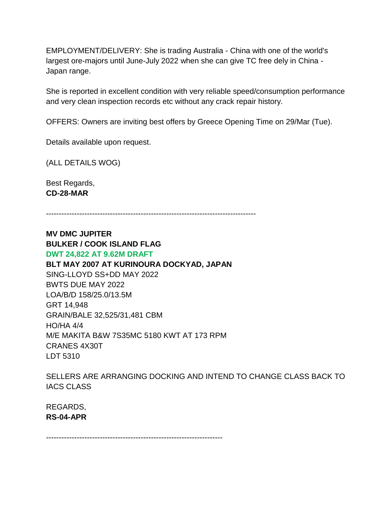EMPLOYMENT/DELIVERY: She is trading Australia - China with one of the world's largest ore-majors until June-July 2022 when she can give TC free dely in China - Japan range.

She is reported in excellent condition with very reliable speed/consumption performance and very clean inspection records etc without any crack repair history.

OFFERS: Owners are inviting best offers by Greece Opening Time on 29/Mar (Tue).

Details available upon request.

(ALL DETAILS WOG)

Best Regards, **CD-28-MAR**

----------------------------------------------------------------------------------

**MV DMC JUPITER BULKER / COOK ISLAND FLAG DWT 24,822 AT 9.62M DRAFT BLT MAY 2007 AT KURINOURA DOCKYAD, JAPAN** SING-LLOYD SS+DD MAY 2022 BWTS DUE MAY 2022 LOA/B/D 158/25.0/13.5M GRT 14,948 GRAIN/BALE 32,525/31,481 CBM HO/HA 4/4 M/E MAKITA B&W 7S35MC 5180 KWT AT 173 RPM CRANES 4X30T LDT 5310

SELLERS ARE ARRANGING DOCKING AND INTEND TO CHANGE CLASS BACK TO IACS CLASS

REGARDS, **RS-04-APR**

---------------------------------------------------------------------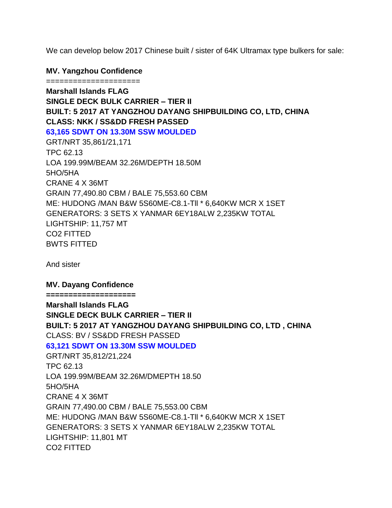We can develop below 2017 Chinese built / sister of 64K Ultramax type bulkers for sale:

#### **MV. Yangzhou Confidence**

===================== **Marshall Islands FLAG SINGLE DECK BULK CARRIER – TIER II BUILT: 5 2017 AT YANGZHOU DAYANG SHIPBUILDING CO, LTD, CHINA CLASS: NKK / SS&DD FRESH PASSED 63,165 SDWT ON 13.30M SSW MOULDED** GRT/NRT 35,861/21,171 TPC 62.13 LOA 199.99M/BEAM 32.26M/DEPTH 18.50M 5HO/5HA CRANE 4 X 36MT GRAIN 77,490.80 CBM / BALE 75,553.60 CBM ME: HUDONG /MAN B&W 5S60ME-C8.1-Tll \* 6,640KW MCR X 1SET GENERATORS: 3 SETS X YANMAR 6EY18ALW 2,235KW TOTAL LIGHTSHIP: 11,757 MT CO2 FITTED BWTS FITTED

And sister

#### **MV. Dayang Confidence**

**==================== Marshall Islands FLAG SINGLE DECK BULK CARRIER – TIER II BUILT: 5 2017 AT YANGZHOU DAYANG SHIPBUILDING CO, LTD , CHINA** CLASS: BV / SS&DD FRESH PASSED **63,121 SDWT ON 13.30M SSW MOULDED** GRT/NRT 35,812/21,224 TPC 62.13 LOA 199.99M/BEAM 32.26M/DMEPTH 18.50 5HO/5HA CRANE 4 X 36MT GRAIN 77,490.00 CBM / BALE 75,553.00 CBM ME: HUDONG /MAN B&W 5S60ME-C8.1-Tll \* 6,640KW MCR X 1SET GENERATORS: 3 SETS X YANMAR 6EY18ALW 2,235KW TOTAL

LIGHTSHIP: 11,801 MT

CO2 FITTED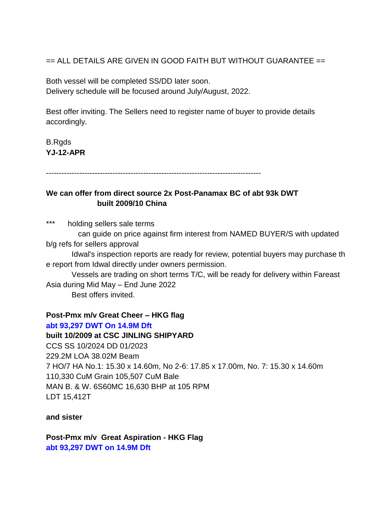== ALL DETAILS ARE GIVEN IN GOOD FAITH BUT WITHOUT GUARANTEE ==

Both vessel will be completed SS/DD later soon. Delivery schedule will be focused around July/August, 2022.

Best offer inviting. The Sellers need to register name of buyer to provide details accordingly.

B.Rgds **YJ-12-APR**

------------------------------------------------------------------------------------

## **We can offer from direct source 2x Post-Panamax BC of abt 93k DWT built 2009/10 China**

\*\*\* holding sellers sale terms can guide on price against firm interest from NAMED BUYER/S with updated

b/g refs for sellers approval

 Idwal's inspection reports are ready for review, potential buyers may purchase th e report from Idwal directly under owners permission.

 Vessels are trading on short terms T/C, will be ready for delivery within Fareast Asia during Mid May – End June 2022 Best offers invited.

**Post-Pmx m/v Great Cheer – HKG flag**

# **abt 93,297 DWT On 14.9M Dft**

**built 10/2009 at CSC JINLING SHIPYARD** CCS SS 10/2024 DD 01/2023 229.2M LOA 38.02M Beam 7 HO/7 HA No.1: 15.30 x 14.60m, No 2-6: 17.85 x 17.00m, No. 7: 15.30 x 14.60m 110,330 CuM Grain 105,507 CuM Bale MAN B. & W. 6S60MC 16,630 BHP at 105 RPM LDT 15,412T

**and sister** 

**Post-Pmx m/v Great Aspiration - HKG Flag abt 93,297 DWT on 14.9M Dft**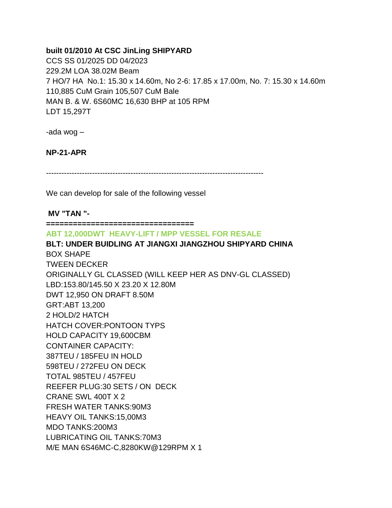## **built 01/2010 At CSC JinLing SHIPYARD**

CCS SS 01/2025 DD 04/2023 229.2M LOA 38.02M Beam 7 HO/7 HA No.1: 15.30 x 14.60m, No 2-6: 17.85 x 17.00m, No. 7: 15.30 x 14.60m 110,885 CuM Grain 105,507 CuM Bale MAN B. & W. 6S60MC 16,630 BHP at 105 RPM LDT 15,297T

-ada wog –

## **NP-21-APR**

-------------------------------------------------------------------------------------

We can develop for sale of the following vessel

#### **MV "TAN "-**

**=================================**

**ABT 12,000DWT HEAVY-LIFT / MPP VESSEL FOR RESALE**

**BLT: UNDER BUIDLING AT JIANGXI JIANGZHOU SHIPYARD CHINA** BOX SHAPE TWEEN DECKER ORIGINALLY GL CLASSED (WILL KEEP HER AS DNV-GL CLASSED) LBD:153.80/145.50 X 23.20 X 12.80M DWT 12,950 ON DRAFT 8.50M GRT:ABT 13,200 2 HOLD/2 HATCH HATCH COVER:PONTOON TYPS HOLD CAPACITY 19,600CBM CONTAINER CAPACITY: 387TEU / 185FEU IN HOLD 598TEU / 272FEU ON DECK TOTAL 985TEU / 457FEU REEFER PLUG:30 SETS / ON DECK CRANE SWL 400T X 2 FRESH WATER TANKS:90M3 HEAVY OIL TANKS:15,00M3 MDO TANKS:200M3 LUBRICATING OIL TANKS:70M3 M/E MAN 6S46MC-C,8280KW@129RPM X 1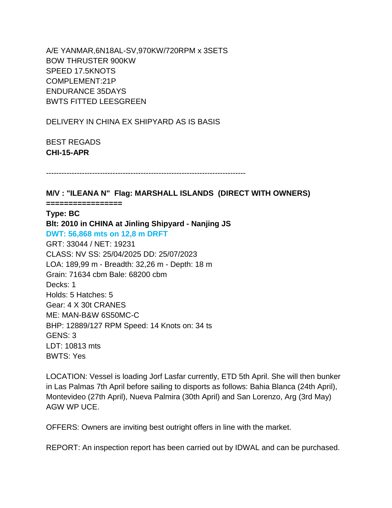A/E YANMAR,6N18AL-SV,970KW/720RPM x 3SETS BOW THRUSTER 900KW SPEED 17.5KNOTS COMPLEMENT:21P ENDURANCE 35DAYS BWTS FITTED LEESGREEN

DELIVERY IN CHINA EX SHIPYARD AS IS BASIS

BEST REGADS **CHI-15-APR**

------------------------------------------------------------------------------

**M/V : "ILEANA N" Flag: MARSHALL ISLANDS (DIRECT WITH OWNERS)**

**=================**

**Type: BC**

**Blt: 2010 in CHINA at Jinling Shipyard - Nanjing JS DWT: 56,868 mts on 12,8 m DRFT** GRT: 33044 / NET: 19231 CLASS: NV SS: 25/04/2025 DD: 25/07/2023 LOA: 189,99 m - Breadth: 32,26 m - Depth: 18 m Grain: 71634 cbm Bale: 68200 cbm Decks: 1 Holds: 5 Hatches: 5 Gear: 4 X 30t CRANES ME: MAN-B&W 6S50MC-C BHP: 12889/127 RPM Speed: 14 Knots on: 34 ts GENS: 3 LDT: 10813 mts BWTS: Yes

LOCATION: Vessel is loading Jorf Lasfar currently, ETD 5th April. She will then bunker in Las Palmas 7th April before sailing to disports as follows: Bahia Blanca (24th April), Montevideo (27th April), Nueva Palmira (30th April) and San Lorenzo, Arg (3rd May) AGW WP UCE.

OFFERS: Owners are inviting best outright offers in line with the market.

REPORT: An inspection report has been carried out by IDWAL and can be purchased.